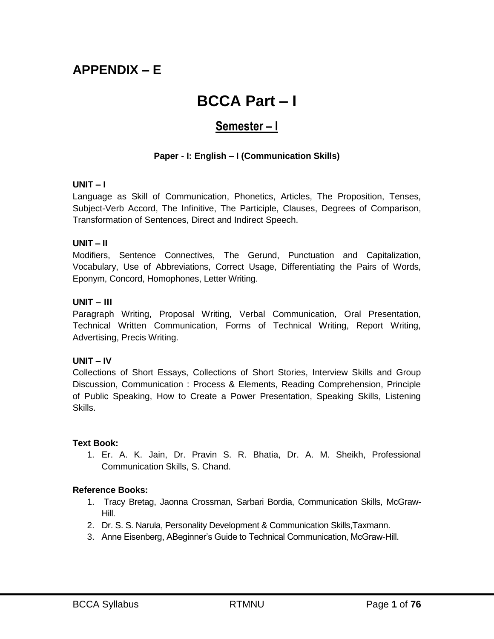# **APPENDIX – E**

# **BCCA Part – I**

# **Semester – I**

# **Paper - I: English – I (Communication Skills)**

#### **UNIT – I**

Language as Skill of Communication, Phonetics, Articles, The Proposition, Tenses, Subject-Verb Accord, The Infinitive, The Participle, Clauses, Degrees of Comparison, Transformation of Sentences, Direct and Indirect Speech.

#### **UNIT – II**

Modifiers, Sentence Connectives, The Gerund, Punctuation and Capitalization, Vocabulary, Use of Abbreviations, Correct Usage, Differentiating the Pairs of Words, Eponym, Concord, Homophones, Letter Writing.

#### **UNIT – III**

Paragraph Writing, Proposal Writing, Verbal Communication, Oral Presentation, Technical Written Communication, Forms of Technical Writing, Report Writing, Advertising, Precis Writing.

#### **UNIT – IV**

Collections of Short Essays, Collections of Short Stories, Interview Skills and Group Discussion, Communication : Process & Elements, Reading Comprehension, Principle of Public Speaking, How to Create a Power Presentation, Speaking Skills, Listening Skills.

#### **Text Book:**

1. Er. A. K. Jain, Dr. Pravin S. R. Bhatia, Dr. A. M. Sheikh, Professional Communication Skills, S. Chand.

#### **Reference Books:**

- 1. Tracy Bretag, Jaonna Crossman, Sarbari Bordia, Communication Skills, McGraw-Hill.
- 2. Dr. S. S. Narula, Personality Development & Communication Skills,Taxmann.
- 3. Anne Eisenberg, ABeginner's Guide to Technical Communication, McGraw-Hill.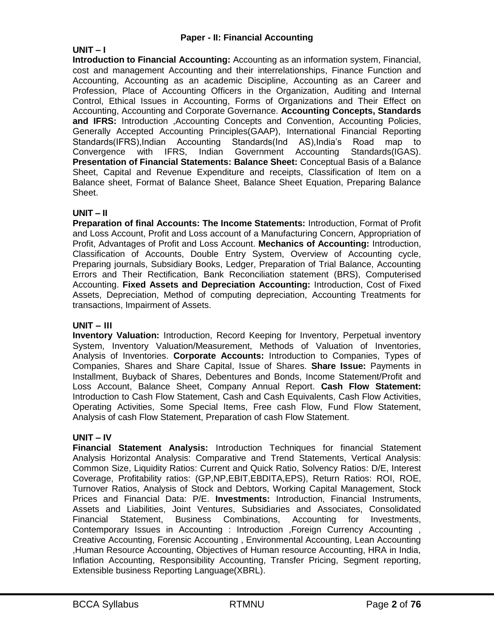#### **Paper - II: Financial Accounting**

#### **UNIT – I**

**Introduction to Financial Accounting:** Accounting as an information system, Financial, cost and management Accounting and their interrelationships, Finance Function and Accounting, Accounting as an academic Discipline, Accounting as an Career and Profession, Place of Accounting Officers in the Organization, Auditing and Internal Control, Ethical Issues in Accounting, Forms of Organizations and Their Effect on Accounting, Accounting and Corporate Governance. **Accounting Concepts, Standards and IFRS:** Introduction ,Accounting Concepts and Convention, Accounting Policies, Generally Accepted Accounting Principles(GAAP), International Financial Reporting Standards(IFRS),Indian Accounting Standards(Ind AS),India's Road map to Convergence with IFRS, Indian Government Accounting Standards(IGAS). **Presentation of Financial Statements: Balance Sheet:** Conceptual Basis of a Balance Sheet, Capital and Revenue Expenditure and receipts, Classification of Item on a Balance sheet, Format of Balance Sheet, Balance Sheet Equation, Preparing Balance Sheet.

# **UNIT – II**

**Preparation of final Accounts: The Income Statements:** Introduction, Format of Profit and Loss Account, Profit and Loss account of a Manufacturing Concern, Appropriation of Profit, Advantages of Profit and Loss Account. **Mechanics of Accounting:** Introduction, Classification of Accounts, Double Entry System, Overview of Accounting cycle, Preparing journals, Subsidiary Books, Ledger, Preparation of Trial Balance, Accounting Errors and Their Rectification, Bank Reconciliation statement (BRS), Computerised Accounting. **Fixed Assets and Depreciation Accounting:** Introduction, Cost of Fixed Assets, Depreciation, Method of computing depreciation, Accounting Treatments for transactions, Impairment of Assets.

#### **UNIT – III**

**Inventory Valuation:** Introduction, Record Keeping for Inventory, Perpetual inventory System, Inventory Valuation/Measurement, Methods of Valuation of Inventories, Analysis of Inventories. **Corporate Accounts:** Introduction to Companies, Types of Companies, Shares and Share Capital, Issue of Shares. **Share Issue:** Payments in Installment, Buyback of Shares, Debentures and Bonds, Income Statement/Profit and Loss Account, Balance Sheet, Company Annual Report. **Cash Flow Statement:** Introduction to Cash Flow Statement, Cash and Cash Equivalents, Cash Flow Activities, Operating Activities, Some Special Items, Free cash Flow, Fund Flow Statement, Analysis of cash Flow Statement, Preparation of cash Flow Statement.

#### **UNIT – IV**

**Financial Statement Analysis:** Introduction Techniques for financial Statement Analysis Horizontal Analysis: Comparative and Trend Statements, Vertical Analysis: Common Size, Liquidity Ratios: Current and Quick Ratio, Solvency Ratios: D/E, Interest Coverage, Profitability ratios: (GP,NP,EBIT,EBDITA,EPS), Return Ratios: ROI, ROE, Turnover Ratios, Analysis of Stock and Debtors, Working Capital Management, Stock Prices and Financial Data: P/E. **Investments:** Introduction, Financial Instruments, Assets and Liabilities, Joint Ventures, Subsidiaries and Associates, Consolidated Financial Statement, Business Combinations, Accounting for Investments, Contemporary Issues in Accounting : Introduction ,Foreign Currency Accounting , Creative Accounting, Forensic Accounting , Environmental Accounting, Lean Accounting ,Human Resource Accounting, Objectives of Human resource Accounting, HRA in India, Inflation Accounting, Responsibility Accounting, Transfer Pricing, Segment reporting, Extensible business Reporting Language(XBRL).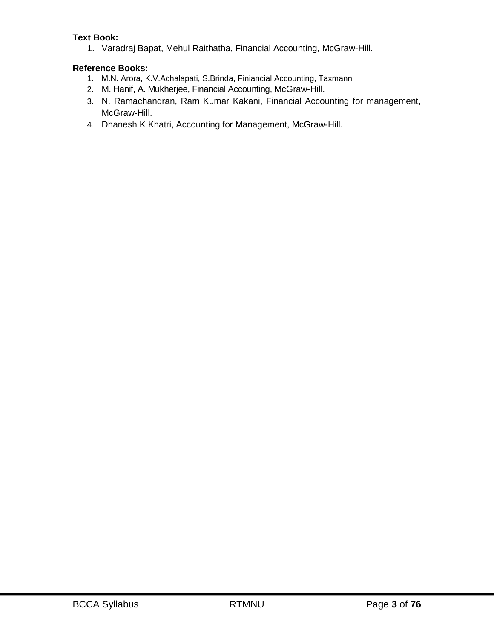# **Text Book:**

1. Varadraj Bapat, Mehul Raithatha, Financial Accounting, McGraw-Hill.

# **Reference Books:**

- 1. M.N. Arora, K.V.Achalapati, S.Brinda, Finiancial Accounting, Taxmann
- 2. M. Hanif, A. Mukherjee, Financial Accounting, McGraw-Hill.
- 3. N. Ramachandran, Ram Kumar Kakani, Financial Accounting for management, McGraw-Hill.
- 4. Dhanesh K Khatri, Accounting for Management, McGraw-Hill.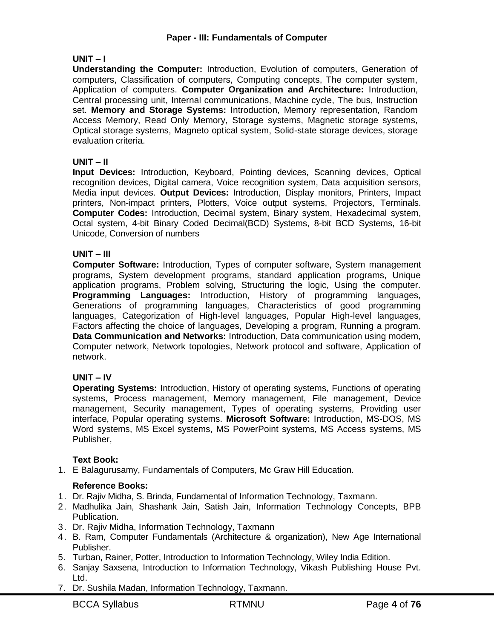#### **UNIT – I**

**Understanding the Computer:** Introduction, Evolution of computers, Generation of computers, Classification of computers, Computing concepts, The computer system, Application of computers. **Computer Organization and Architecture:** Introduction, Central processing unit, Internal communications, Machine cycle, The bus, Instruction set. **Memory and Storage Systems:** Introduction, Memory representation, Random Access Memory, Read Only Memory, Storage systems, Magnetic storage systems, Optical storage systems, Magneto optical system, Solid-state storage devices, storage evaluation criteria.

#### **UNIT – II**

**Input Devices:** Introduction, Keyboard, Pointing devices, Scanning devices, Optical recognition devices, Digital camera, Voice recognition system, Data acquisition sensors, Media input devices. **Output Devices:** Introduction, Display monitors, Printers, Impact printers, Non-impact printers, Plotters, Voice output systems, Projectors, Terminals. **Computer Codes:** Introduction, Decimal system, Binary system, Hexadecimal system, Octal system, 4-bit Binary Coded Decimal(BCD) Systems, 8-bit BCD Systems, 16-bit Unicode, Conversion of numbers

#### **UNIT – III**

**Computer Software:** Introduction, Types of computer software, System management programs, System development programs, standard application programs, Unique application programs, Problem solving, Structuring the logic, Using the computer. **Programming Languages:** Introduction, History of programming languages, Generations of programming languages, Characteristics of good programming languages, Categorization of High-level languages, Popular High-level languages, Factors affecting the choice of languages, Developing a program, Running a program. **Data Communication and Networks:** Introduction, Data communication using modem, Computer network, Network topologies, Network protocol and software, Application of network.

#### **UNIT – IV**

**Operating Systems:** Introduction, History of operating systems, Functions of operating systems, Process management, Memory management, File management, Device management, Security management, Types of operating systems, Providing user interface, Popular operating systems. **Microsoft Software:** Introduction, MS-DOS, MS Word systems, MS Excel systems, MS PowerPoint systems, MS Access systems, MS Publisher,

#### **Text Book:**

1. E Balagurusamy, Fundamentals of Computers, Mc Graw Hill Education.

#### **Reference Books:**

- 1. Dr. Rajiv Midha, S. Brinda, Fundamental of Information Technology, Taxmann.
- 2. Madhulika Jain, Shashank Jain, Satish Jain, Information Technology Concepts, BPB Publication.
- 3. Dr. Rajiv Midha, Information Technology, Taxmann
- 4. B. Ram, Computer Fundamentals (Architecture & organization), New Age International Publisher.
- 5. Turban, Rainer, Potter, Introduction to Information Technology, Wiley India Edition.
- 6. Sanjay Saxsena, Introduction to Information Technology, Vikash Publishing House Pvt. Ltd.
- 7. Dr. Sushila Madan, Information Technology, Taxmann.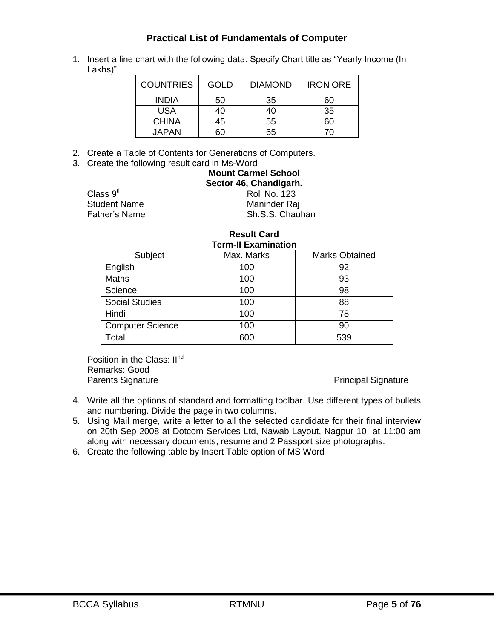# **Practical List of Fundamentals of Computer**

1. Insert a line chart with the following data. Specify Chart title as "Yearly Income (In Lakhs)".

| <b>COUNTRIES</b> | GOLD | <b>DIAMOND</b> | <b>IRON ORE</b> |
|------------------|------|----------------|-----------------|
| <b>INDIA</b>     | 50   | 35             | 60              |
| USA              | 40   | 40             | 35              |
| <b>CHINA</b>     | 45   | 55             | 60              |
| <b>JAPAN</b>     |      | 65             |                 |

- 2. Create a Table of Contents for Generations of Computers.
- 3. Create the following result card in Ms-Word

| <b>Mount Carmel School</b><br>Sector 46, Chandigarh. |
|------------------------------------------------------|
| <b>Roll No. 123</b>                                  |
| Maninder Raj                                         |
| Sh.S.S. Chauhan                                      |

Class  $9<sup>th</sup>$ Student Name<br>Father's Name

#### **Result Card Term-II Examination**

| TEHIFILE A GIHII GUUN   |            |                       |  |  |  |  |
|-------------------------|------------|-----------------------|--|--|--|--|
| Subject                 | Max. Marks | <b>Marks Obtained</b> |  |  |  |  |
| English                 | 100        | 92                    |  |  |  |  |
| Maths                   | 100        | 93                    |  |  |  |  |
| Science                 | 100        | 98                    |  |  |  |  |
| <b>Social Studies</b>   | 100        | 88                    |  |  |  |  |
| Hindi                   | 100        | 78                    |  |  |  |  |
| <b>Computer Science</b> | 100        | 90                    |  |  |  |  |
| Total                   | 600        | 539                   |  |  |  |  |

Position in the Class: II<sup>nd</sup> Remarks: Good Parents Signature **Principal Signature** Principal Signature

- 4. Write all the options of standard and formatting toolbar. Use different types of bullets and numbering. Divide the page in two columns.
- 5. Using Mail merge, write a letter to all the selected candidate for their final interview on 20th Sep 2008 at Dotcom Services Ltd, Nawab Layout, Nagpur 10 at 11:00 am along with necessary documents, resume and 2 Passport size photographs.
- 6. Create the following table by Insert Table option of MS Word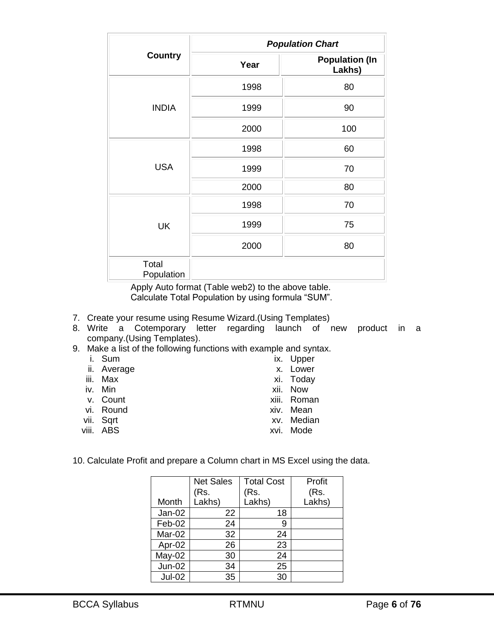|                     | <b>Population Chart</b> |                                 |  |  |
|---------------------|-------------------------|---------------------------------|--|--|
| <b>Country</b>      | Year                    | <b>Population (In</b><br>Lakhs) |  |  |
|                     | 1998                    | 80                              |  |  |
| <b>INDIA</b>        | 1999                    | 90                              |  |  |
|                     | 2000                    | 100                             |  |  |
| <b>USA</b>          | 1998                    | 60                              |  |  |
|                     | 1999                    | 70                              |  |  |
|                     | 2000                    | 80                              |  |  |
|                     | 1998                    | 70                              |  |  |
| <b>UK</b>           | 1999                    | 75                              |  |  |
|                     | 2000                    | 80                              |  |  |
| Total<br>Population |                         |                                 |  |  |

Apply Auto format (Table web2) to the above table. Calculate Total Population by using formula "SUM".

- 7. Create your resume using Resume Wizard.(Using Templates)
- 8. Write a Cotemporary letter regarding launch of new product in a company.(Using Templates).
- 9. Make a list of the following functions with example and syntax.
	- i. Sum ii. Average iii. Max iv. Min v. Count vi. Round vii. Sqrt viii. ABS ix. Upper x. Lower xi. Today xii. Now xiii. Roman xiv. Mean xv. Median xvi. Mode
- 10. Calculate Profit and prepare a Column chart in MS Excel using the data.

|               | <b>Net Sales</b><br>(Rs. | <b>Total Cost</b><br>(Rs. | Profit<br>(Rs. |
|---------------|--------------------------|---------------------------|----------------|
| Month         | Lakhs)                   | Lakhs)                    | Lakhs)         |
| $Jan-02$      | 22                       | 18                        |                |
| Feb-02        | 24                       | 9                         |                |
| Mar-02        | 32                       | 24                        |                |
| Apr-02        | 26                       | 23                        |                |
| $May-02$      | 30                       | 24                        |                |
| <b>Jun-02</b> | 34                       | 25                        |                |
| $Jul-02$      | 35                       | 30                        |                |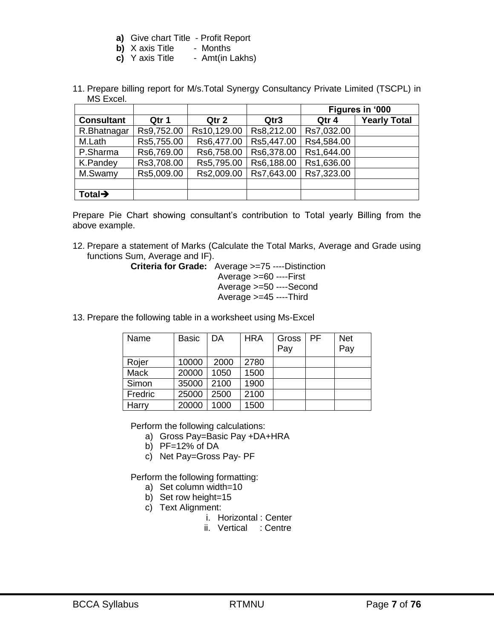- **a)** Give chart Title Profit Report
- **b)** X axis Title Months
- **c)** Y axis Title Amt(in Lakhs)
- 11. Prepare billing report for M/s.Total Synergy Consultancy Private Limited (TSCPL) in MS Excel.

|                     |            |             |            | Figures in '000 |                     |
|---------------------|------------|-------------|------------|-----------------|---------------------|
| <b>Consultant</b>   | Qtr 1      | Qtr 2       | Qtr3       | Qtr 4           | <b>Yearly Total</b> |
| R.Bhatnagar         | Rs9,752.00 | Rs10,129.00 | Rs8,212.00 | Rs7,032.00      |                     |
| M.Lath              | Rs5,755.00 | Rs6,477.00  | Rs5,447.00 | Rs4,584.00      |                     |
| P.Sharma            | Rs6,769.00 | Rs6,758.00  | Rs6,378.00 | Rs1,644.00      |                     |
| K.Pandey            | Rs3,708.00 | Rs5,795.00  | Rs6,188.00 | Rs1,636.00      |                     |
| M.Swamy             | Rs5,009.00 | Rs2,009.00  | Rs7,643.00 | Rs7,323.00      |                     |
|                     |            |             |            |                 |                     |
| Total $\rightarrow$ |            |             |            |                 |                     |

Prepare Pie Chart showing consultant's contribution to Total yearly Billing from the above example.

12. Prepare a statement of Marks (Calculate the Total Marks, Average and Grade using functions Sum, Average and IF).

**Criteria for Grade:** Average >=75 ----Distinction

Average >=60 ----First Average >=50 ----Second Average >=45 ----Third

13. Prepare the following table in a worksheet using Ms-Excel

| Name        | <b>Basic</b> | DA   | <b>HRA</b> | Gross<br>Pay | <b>PF</b> | <b>Net</b><br>Pay |
|-------------|--------------|------|------------|--------------|-----------|-------------------|
| Rojer       | 10000        | 2000 | 2780       |              |           |                   |
| <b>Mack</b> | 20000        | 1050 | 1500       |              |           |                   |
| Simon       | 35000        | 2100 | 1900       |              |           |                   |
| Fredric     | 25000        | 2500 | 2100       |              |           |                   |
| Harry       | 20000        | 1000 | 1500       |              |           |                   |

Perform the following calculations:

- a) Gross Pay=Basic Pay +DA+HRA
- b) PF=12% of DA
- c) Net Pay=Gross Pay- PF

Perform the following formatting:

- a) Set column width=10
- b) Set row height=15
- c) Text Alignment:
	- i. Horizontal : Center
	- ii. Vertical : Centre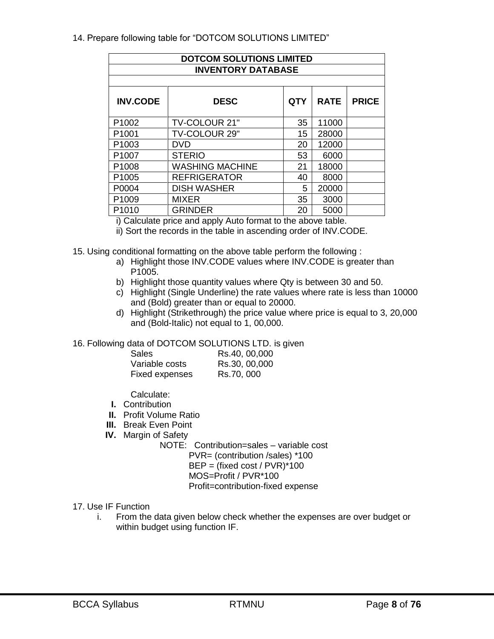# 14. Prepare following table for "DOTCOM SOLUTIONS LIMITED"

| <b>DOTCOM SOLUTIONS LIMITED</b><br><b>INVENTORY DATABASE</b>                |                        |    |       |  |  |  |  |
|-----------------------------------------------------------------------------|------------------------|----|-------|--|--|--|--|
| <b>INV.CODE</b><br><b>PRICE</b><br><b>DESC</b><br><b>RATE</b><br><b>QTY</b> |                        |    |       |  |  |  |  |
| P1002                                                                       | TV-COLOUR 21"          | 35 | 11000 |  |  |  |  |
| P <sub>1001</sub>                                                           | TV-COLOUR 29"          | 15 | 28000 |  |  |  |  |
| P <sub>1003</sub>                                                           | <b>DVD</b>             | 20 | 12000 |  |  |  |  |
| P <sub>1007</sub>                                                           | <b>STERIO</b>          | 53 | 6000  |  |  |  |  |
| P1008                                                                       | <b>WASHING MACHINE</b> | 21 | 18000 |  |  |  |  |
| P <sub>1005</sub>                                                           | <b>REFRIGERATOR</b>    | 40 | 8000  |  |  |  |  |
| P0004                                                                       | <b>DISH WASHER</b>     | 5  | 20000 |  |  |  |  |
| P1009                                                                       | <b>MIXER</b>           | 35 | 3000  |  |  |  |  |
| P <sub>1010</sub>                                                           | <b>GRINDER</b>         | 20 | 5000  |  |  |  |  |

i) Calculate price and apply Auto format to the above table.

ii) Sort the records in the table in ascending order of INV.CODE.

- 15. Using conditional formatting on the above table perform the following :
	- a) Highlight those INV.CODE values where INV.CODE is greater than P1005.
	- b) Highlight those quantity values where Qty is between 30 and 50.
	- c) Highlight (Single Underline) the rate values where rate is less than 10000 and (Bold) greater than or equal to 20000.
	- d) Highlight (Strikethrough) the price value where price is equal to 3, 20,000 and (Bold-Italic) not equal to 1, 00,000.

#### 16. Following data of DOTCOM SOLUTIONS LTD. is given

| <b>Sales</b>   | Rs.40, 00,000 |
|----------------|---------------|
| Variable costs | Rs.30, 00,000 |
| Fixed expenses | Rs.70, 000    |

Calculate:

- **I.** Contribution
- **II.** Profit Volume Ratio
- **III.** Break Even Point
- **IV.** Margin of Safety

NOTE: Contribution=sales – variable cost PVR= (contribution /sales) \*100  $BEP = (fixed cost / PVR)^*100$ MOS=Profit / PVR\*100 Profit=contribution-fixed expense

#### 17. Use IF Function

i. From the data given below check whether the expenses are over budget or within budget using function IF.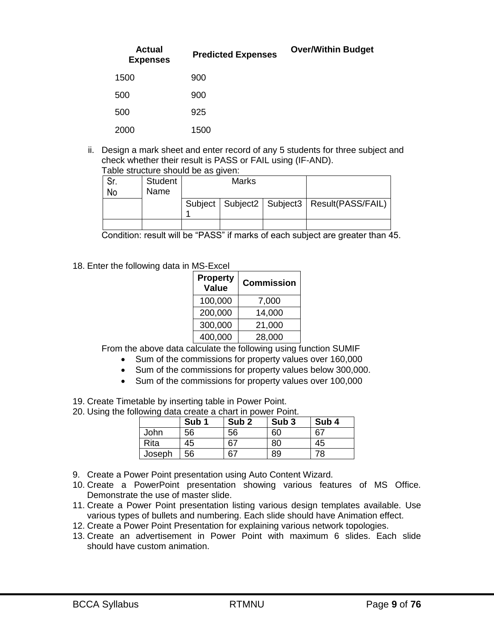| <b>Actual</b><br><b>Expenses</b> | <b>Predicted Expenses</b> | <b>Over/Within Budget</b> |
|----------------------------------|---------------------------|---------------------------|
| 1500                             | 900                       |                           |
| 500                              | 900                       |                           |
| 500                              | 925                       |                           |
| 2000                             | 1500                      |                           |

ii. Design a mark sheet and enter record of any 5 students for three subject and check whether their result is PASS or FAIL using (IF-AND). Table st

|  |  |  | able structure should be as given: |  |
|--|--|--|------------------------------------|--|
|  |  |  |                                    |  |

| No | Student<br>Name | <b>Marks</b> |                                                   |
|----|-----------------|--------------|---------------------------------------------------|
|    |                 |              | Subject   Subject2   Subject3   Result(PASS/FAIL) |
|    |                 |              |                                                   |

Condition: result will be "PASS" if marks of each subject are greater than 45.

18. Enter the following data in MS-Excel

| <b>Property</b><br><b>Value</b> | <b>Commission</b> |  |
|---------------------------------|-------------------|--|
| 100,000                         | 7,000             |  |
| 200,000                         | 14,000            |  |
| 300,000                         | 21,000            |  |
| 400,000                         | 28,000            |  |

From the above data calculate the following using function SUMIF

- Sum of the commissions for property values over 160,000
- Sum of the commissions for property values below 300,000.
- Sum of the commissions for property values over 100,000
- 19. Create Timetable by inserting table in Power Point.

20. Using the following data create a chart in power Point.

|        | Sub <sub>1</sub> | Sub <sub>2</sub> | Sub <sub>3</sub> | Sub <sub>4</sub> |
|--------|------------------|------------------|------------------|------------------|
| John   | 56               | 56               | 60               | 67               |
| Rita   | 45               | 67               | 80               | 45               |
| Joseph | 56               | 67               | 89               | 78               |

- 9. Create a Power Point presentation using Auto Content Wizard.
- 10. Create a PowerPoint presentation showing various features of MS Office. Demonstrate the use of master slide.
- 11. Create a Power Point presentation listing various design templates available. Use various types of bullets and numbering. Each slide should have Animation effect.
- 12. Create a Power Point Presentation for explaining various network topologies.
- 13. Create an advertisement in Power Point with maximum 6 slides. Each slide should have custom animation.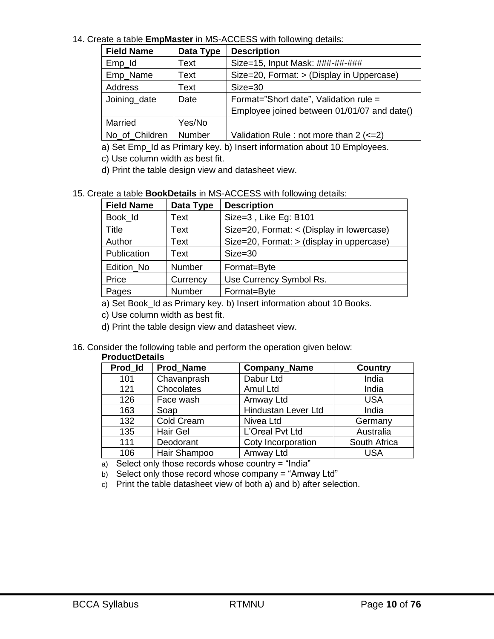#### 14. Create a table **EmpMaster** in MS-ACCESS with following details:

| <b>Field Name</b> | Data Type | <b>Description</b>                               |  |
|-------------------|-----------|--------------------------------------------------|--|
| $Emp_id$          | Text      | Size=15, Input Mask: ###-##-###                  |  |
| Emp_Name          | Text      | Size=20, Format: > (Display in Uppercase)        |  |
| Address           | Text      | $Size = 30$                                      |  |
| Joining_date      | Date      | Format="Short date", Validation rule =           |  |
|                   |           | Employee joined between 01/01/07 and date()      |  |
| Married           | Yes/No    |                                                  |  |
| No of Children    | Number    | Validation Rule : not more than $2$ ( $\leq$ =2) |  |

a) Set Emp\_Id as Primary key. b) Insert information about 10 Employees.

c) Use column width as best fit.

d) Print the table design view and datasheet view.

#### 15. Create a table **BookDetails** in MS-ACCESS with following details:

| <b>Field Name</b> | Data Type | <b>Description</b>                        |  |  |
|-------------------|-----------|-------------------------------------------|--|--|
| Book Id           | Text      | Size=3, Like Eg: B101                     |  |  |
| Title             | Text      | Size=20, Format: < (Display in lowercase) |  |  |
| Author            | Text      | Size=20, Format: > (display in uppercase) |  |  |
| Publication       | Text      | $Size = 30$                               |  |  |
| Edition No        | Number    | Format=Byte                               |  |  |
| Price             | Currency  | Use Currency Symbol Rs.                   |  |  |
| Pages             | Number    | Format=Byte                               |  |  |

a) Set Book\_Id as Primary key. b) Insert information about 10 Books.

c) Use column width as best fit.

d) Print the table design view and datasheet view.

#### 16. Consider the following table and perform the operation given below:

#### **ProductDetails**

| Prod Id | <b>Prod Name</b> | <b>Company_Name</b> | <b>Country</b> |
|---------|------------------|---------------------|----------------|
| 101     | Chavanprash      | Dabur Ltd           | India          |
| 121     | Chocolates       | Amul Ltd            | India          |
| 126     | Face wash        | Amway Ltd           | <b>USA</b>     |
| 163     | Soap             | Hindustan Lever Ltd | India          |
| 132     | Cold Cream       | Nivea Ltd           | Germany        |
| 135     | Hair Gel         | L'Oreal Pvt Ltd     | Australia      |
| 111     | Deodorant        | Coty Incorporation  | South Africa   |
| 106     | Hair Shampoo     | Amway Ltd           | <b>USA</b>     |

a) Select only those records whose country  $=$  "India"

b) Select only those record whose company = "Amway Ltd"

c) Print the table datasheet view of both a) and b) after selection.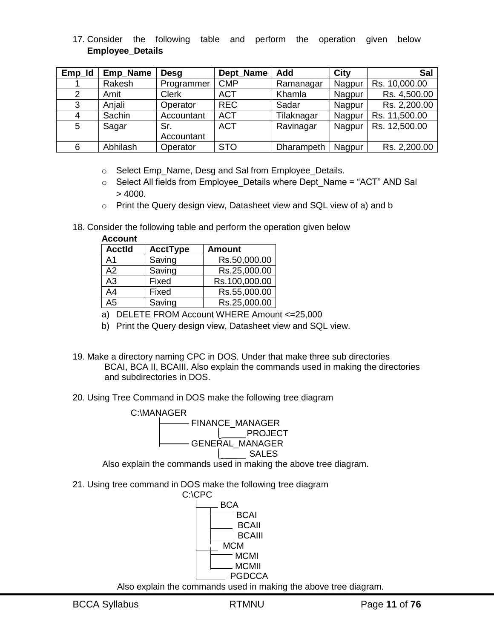# 17. Consider the following table and perform the operation given below **Employee\_Details**

| Emp_Id | Emp_Name | Desg         | Dept Name  | Add        | <b>City</b> | Sal           |
|--------|----------|--------------|------------|------------|-------------|---------------|
|        | Rakesh   | Programmer   | <b>CMP</b> | Ramanagar  | Nagpur      | Rs. 10,000.00 |
| 2      | Amit     | <b>Clerk</b> | <b>ACT</b> | Khamla     | Nagpur      | Rs. 4,500.00  |
| 3      | Anjali   | Operator     | <b>REC</b> | Sadar      | Nagpur      | Rs. 2,200.00  |
| 4      | Sachin   | Accountant   | <b>ACT</b> | Tilaknagar | Nagpur      | Rs. 11,500.00 |
| 5      | Sagar    | Sr.          | <b>ACT</b> | Ravinagar  | Nagpur      | Rs. 12,500.00 |
|        |          | Accountant   |            |            |             |               |
| 6      | Abhilash | Operator     | <b>STO</b> | Dharampeth | Nagpur      | Rs. 2,200.00  |

- o Select Emp\_Name, Desg and Sal from Employee\_Details.
- o Select All fields from Employee\_Details where Dept\_Name = "ACT" AND Sal  $> 4000.$
- o Print the Query design view, Datasheet view and SQL view of a) and b
- 18. Consider the following table and perform the operation given below

| <b>Account</b> |                 |               |
|----------------|-----------------|---------------|
| <b>Acctld</b>  | <b>AcctType</b> | <b>Amount</b> |
| A <sub>1</sub> | Saving          | Rs.50,000.00  |
| A2             | Saving          | Rs.25,000.00  |
| A <sub>3</sub> | Fixed           | Rs.100,000.00 |
| A <sub>4</sub> | Fixed           | Rs.55,000.00  |
| A5             | Saving          | Rs.25,000.00  |

- a) DELETE FROM Account WHERE Amount <=25,000
- b) Print the Query design view, Datasheet view and SQL view.
- 19. Make a directory naming CPC in DOS. Under that make three sub directories BCAI, BCA II, BCAIII. Also explain the commands used in making the directories and subdirectories in DOS.
- 20. Using Tree Command in DOS make the following tree diagram



21. Using tree command in DOS make the following tree diagram

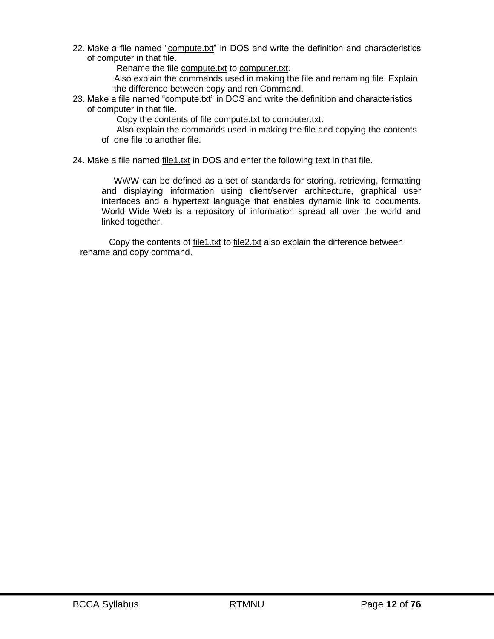22. Make a file named "compute.txt" in DOS and write the definition and characteristics of computer in that file.

Rename the file compute.txt to computer.txt.

 Also explain the commands used in making the file and renaming file. Explain the difference between copy and ren Command.

23. Make a file named "compute.txt" in DOS and write the definition and characteristics of computer in that file.

Copy the contents of file compute.txt to computer.txt.

- Also explain the commands used in making the file and copying the contents of one file to another file.
- 24. Make a file named file1.txt in DOS and enter the following text in that file.

 WWW can be defined as a set of standards for storing, retrieving, formatting and displaying information using client/server architecture, graphical user interfaces and a hypertext language that enables dynamic link to documents. World Wide Web is a repository of information spread all over the world and linked together.

Copy the contents of file1.txt to file2.txt also explain the difference between rename and copy command.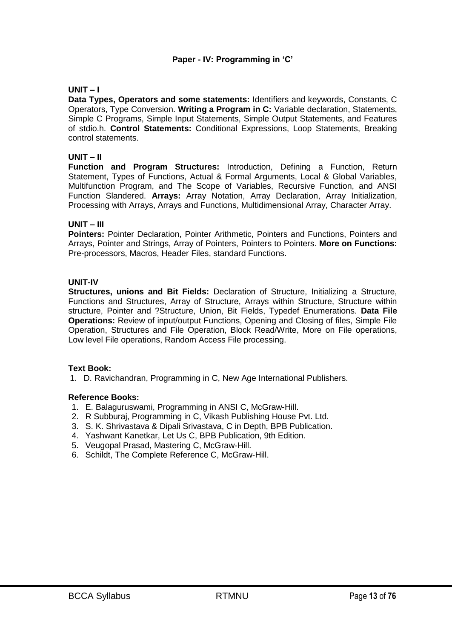# **Paper - IV: Programming in ‗C'**

# **UNIT – I**

**Data Types, Operators and some statements:** Identifiers and keywords, Constants, C Operators, Type Conversion. **Writing a Program in C:** Variable declaration, Statements, Simple C Programs, Simple Input Statements, Simple Output Statements, and Features of stdio.h. **Control Statements:** Conditional Expressions, Loop Statements, Breaking control statements.

# **UNIT – II**

**Function and Program Structures:** Introduction, Defining a Function, Return Statement, Types of Functions, Actual & Formal Arguments, Local & Global Variables, Multifunction Program, and The Scope of Variables, Recursive Function, and ANSI Function Slandered. **Arrays:** Array Notation, Array Declaration, Array Initialization, Processing with Arrays, Arrays and Functions, Multidimensional Array, Character Array.

#### **UNIT – III**

**Pointers:** Pointer Declaration, Pointer Arithmetic, Pointers and Functions, Pointers and Arrays, Pointer and Strings, Array of Pointers, Pointers to Pointers. **More on Functions:** Pre-processors, Macros, Header Files, standard Functions.

# **UNIT-IV**

**Structures, unions and Bit Fields:** Declaration of Structure, Initializing a Structure, Functions and Structures, Array of Structure, Arrays within Structure, Structure within structure, Pointer and ?Structure, Union, Bit Fields, Typedef Enumerations. **Data File Operations:** Review of input/output Functions, Opening and Closing of files, Simple File Operation, Structures and File Operation, Block Read/Write, More on File operations, Low level File operations, Random Access File processing.

#### **Text Book:**

1. D. Ravichandran, Programming in C, New Age International Publishers.

#### **Reference Books:**

- 1. E. Balaguruswami, Programming in ANSI C, McGraw-Hill.
- 2. R Subburaj, Programming in C, Vikash Publishing House Pvt. Ltd.
- 3. S. K. Shrivastava & Dipali Srivastava, C in Depth, BPB Publication.
- 4. Yashwant Kanetkar, Let Us C, BPB Publication, 9th Edition.
- 5. Veugopal Prasad, Mastering C, McGraw-Hill.
- 6. Schildt, The Complete Reference C, McGraw-Hill.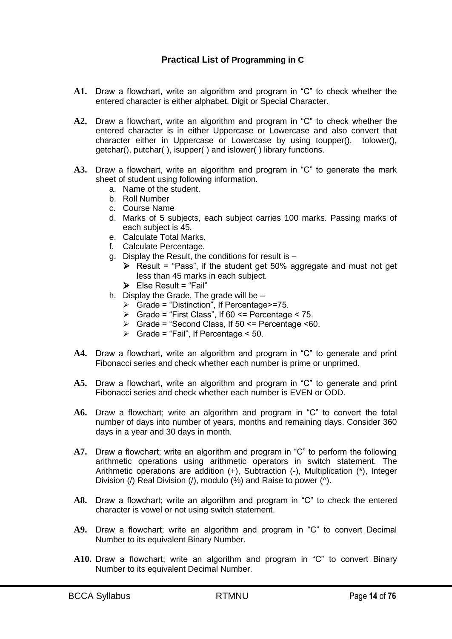# **Practical List of Programming in C**

- A1. Draw a flowchart, write an algorithm and program in "C" to check whether the entered character is either alphabet, Digit or Special Character.
- A2. Draw a flowchart, write an algorithm and program in "C" to check whether the entered character is in either Uppercase or Lowercase and also convert that character either in Uppercase or Lowercase by using toupper(), tolower(), getchar(), putchar( ), isupper( ) and islower( ) library functions.
- A3. Draw a flowchart, write an algorithm and program in "C" to generate the mark sheet of student using following information.
	- a. Name of the student.
	- b. Roll Number
	- c. Course Name
	- d. Marks of 5 subjects, each subject carries 100 marks. Passing marks of each subject is 45.
	- e. Calculate Total Marks.
	- f. Calculate Percentage.
	- g. Display the Result, the conditions for result is
		- $\triangleright$  Result = "Pass", if the student get 50% aggregate and must not get less than 45 marks in each subject.
		- $\triangleright$  Else Result = "Fail"
	- h. Display the Grade, The grade will be
		- $\triangleright$  Grade = "Distinction", If Percentage >=75.
		- $\triangleright$  Grade = "First Class", If 60 <= Percentage < 75.
		- $\triangleright$  Grade = "Second Class, If 50  $\leq$  Percentage  $\leq$ 60.
		- $\triangleright$  Grade = "Fail", If Percentage < 50.
- A4. Draw a flowchart, write an algorithm and program in "C" to generate and print Fibonacci series and check whether each number is prime or unprimed.
- A5. Draw a flowchart, write an algorithm and program in "C" to generate and print Fibonacci series and check whether each number is EVEN or ODD.
- A6. Draw a flowchart; write an algorithm and program in "C" to convert the total number of days into number of years, months and remaining days. Consider 360 days in a year and 30 days in month.
- A7. Draw a flowchart; write an algorithm and program in "C" to perform the following arithmetic operations using arithmetic operators in switch statement. The Arithmetic operations are addition (+), Subtraction (-), Multiplication (\*), Integer Division (/) Real Division (/), modulo (%) and Raise to power (^).
- **A8.** Draw a flowchart; write an algorithm and program in "C" to check the entered character is vowel or not using switch statement.
- A9. Draw a flowchart; write an algorithm and program in "C" to convert Decimal Number to its equivalent Binary Number.
- A10. Draw a flowchart; write an algorithm and program in "C" to convert Binary Number to its equivalent Decimal Number.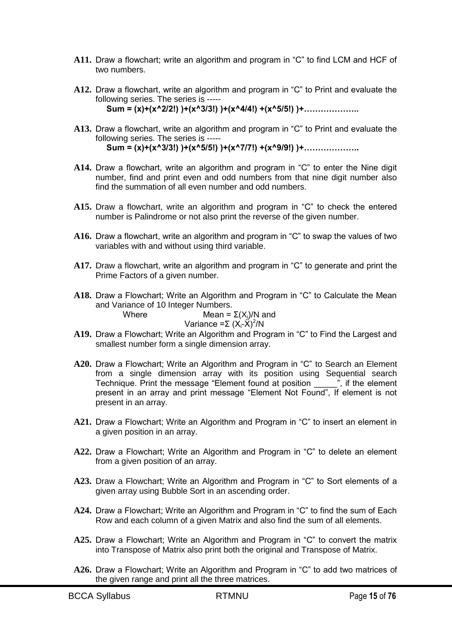- A11. Draw a flowchart; write an algorithm and program in "C" to find LCM and HCF of two numbers.
- A12. Draw a flowchart, write an algorithm and program in "C" to Print and evaluate the following series. The series is ----- **Sum = (x)+(x^2/2!) )+(x^3/3!) )+(x^4/4!) +(x^5/5!) )+………………..**
- A13. Draw a flowchart, write an algorithm and program in "C" to Print and evaluate the following series. The series is ----- **Sum = (x)+(x^3/3!) )+(x^5/5!) )+(x^7/7!) +(x^9/9!) )+………………..**
- A14. Draw a flowchart, write an algorithm and program in "C" to enter the Nine digit number, find and print even and odd numbers from that nine digit number also find the summation of all even number and odd numbers.
- A15. Draw a flowchart, write an algorithm and program in "C" to check the entered number is Palindrome or not also print the reverse of the given number.
- A16. Draw a flowchart, write an algorithm and program in "C" to swap the values of two variables with and without using third variable.
- A17. Draw a flowchart, write an algorithm and program in "C" to generate and print the Prime Factors of a given number.
- A18. Draw a Flowchart; Write an Algorithm and Program in "C" to Calculate the Mean and Variance of 10 Integer Numbers.<br>Where Mean =  $M$ ean =  $\Sigma(X_i)/N$  and

$$
Variance = \sum (X_i - \hat{X})^2 / N
$$

- A19. Draw a Flowchart; Write an Algorithm and Program in "C" to Find the Largest and smallest number form a single dimension array.
- A20. Draw a Flowchart; Write an Algorithm and Program in "C" to Search an Element from a single dimension array with its position using Sequential search Technique. Print the message "Element found at position  $\overline{\hspace{1cm}}$ ", if the element present in an array and print message "Element Not Found", If element is not present in an array.
- A21. Draw a Flowchart; Write an Algorithm and Program in "C" to insert an element in a given position in an array.
- A22. Draw a Flowchart; Write an Algorithm and Program in "C" to delete an element from a given position of an array.
- A23. Draw a Flowchart; Write an Algorithm and Program in "C" to Sort elements of a given array using Bubble Sort in an ascending order.
- A24. Draw a Flowchart; Write an Algorithm and Program in "C" to find the sum of Each Row and each column of a given Matrix and also find the sum of all elements.
- A25. Draw a Flowchart; Write an Algorithm and Program in "C" to convert the matrix into Transpose of Matrix also print both the original and Transpose of Matrix.
- A26. Draw a Flowchart; Write an Algorithm and Program in "C" to add two matrices of the given range and print all the three matrices.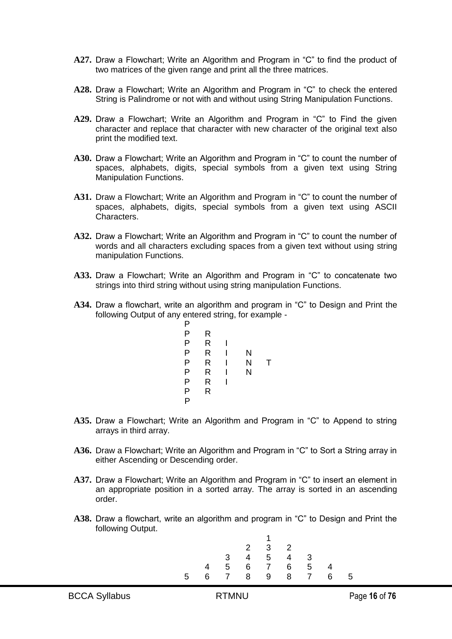- A27. Draw a Flowchart; Write an Algorithm and Program in "C" to find the product of two matrices of the given range and print all the three matrices.
- A28. Draw a Flowchart; Write an Algorithm and Program in "C" to check the entered String is Palindrome or not with and without using String Manipulation Functions.
- A29. Draw a Flowchart: Write an Algorithm and Program in "C" to Find the given character and replace that character with new character of the original text also print the modified text.
- A30. Draw a Flowchart; Write an Algorithm and Program in "C" to count the number of spaces, alphabets, digits, special symbols from a given text using String Manipulation Functions.
- **A31.** Draw a Flowchart; Write an Algorithm and Program in "C" to count the number of spaces, alphabets, digits, special symbols from a given text using ASCII Characters.
- A32. Draw a Flowchart; Write an Algorithm and Program in "C" to count the number of words and all characters excluding spaces from a given text without using string manipulation Functions.
- A33. Draw a Flowchart; Write an Algorithm and Program in "C" to concatenate two strings into third string without using string manipulation Functions.
- **A34.** Draw a flowchart, write an algorithm and program in "C" to Design and Print the following Output of any entered string, for example -

| Ρ |   |   |   |    |
|---|---|---|---|----|
| Ρ | R |   |   |    |
| Ρ | R | ı |   |    |
| Ρ | R | ı | N |    |
| Ρ | R | ı | N | Ι. |
| Ρ | R | ı | N |    |
| Ρ | R | ı |   |    |
| P | R |   |   |    |
| P |   |   |   |    |
|   |   |   |   |    |

- A35. Draw a Flowchart; Write an Algorithm and Program in "C" to Append to string arrays in third array.
- A36. Draw a Flowchart; Write an Algorithm and Program in "C" to Sort a String array in either Ascending or Descending order.
- A37. Draw a Flowchart; Write an Algorithm and Program in "C" to insert an element in an appropriate position in a sorted array. The array is sorted in an ascending order.
- A38. Draw a flowchart, write an algorithm and program in "C" to Design and Print the following Output.

|   |   |                | $\overline{2}$  | $\mathbf{3}$   | $\overline{2}$ |                |   |    |
|---|---|----------------|-----------------|----------------|----------------|----------------|---|----|
|   |   | 3 <sup>1</sup> | $\overline{4}$  | 5 <sup>5</sup> | 4              | 3              |   |    |
|   | 4 | 5              | $6\overline{6}$ | $\overline{7}$ | 6              | -5             | Δ |    |
| 5 | 6 | $\overline{7}$ | 8               | 9              | 8              | $\overline{7}$ | 6 | -5 |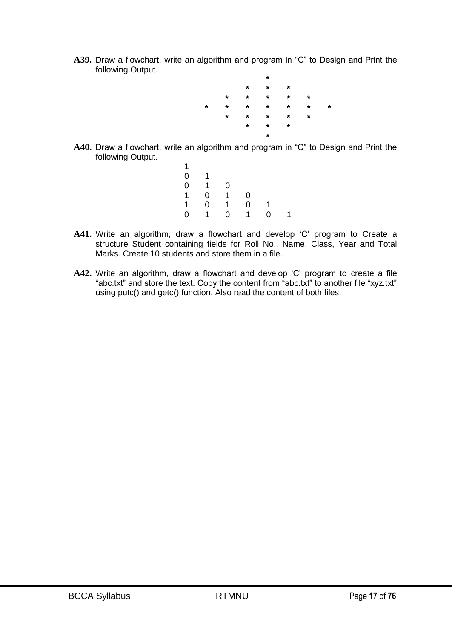A39. Draw a flowchart, write an algorithm and program in "C" to Design and Print the following Output.



- A40. Draw a flowchart, write an algorithm and program in "C" to Design and Print the following Output.
	- 1 0 1  $0 \quad 1 \quad 0$ 1 0 1 0 1 0 1 0 1  $0 \t1 \t0 \t1$
- A41. Write an algorithm, draw a flowchart and develop 'C' program to Create a structure Student containing fields for Roll No., Name, Class, Year and Total Marks. Create 10 students and store them in a file.
- A42. Write an algorithm, draw a flowchart and develop 'C' program to create a file "abc.txt" and store the text. Copy the content from "abc.txt" to another file "xyz.txt" using putc() and getc() function. Also read the content of both files.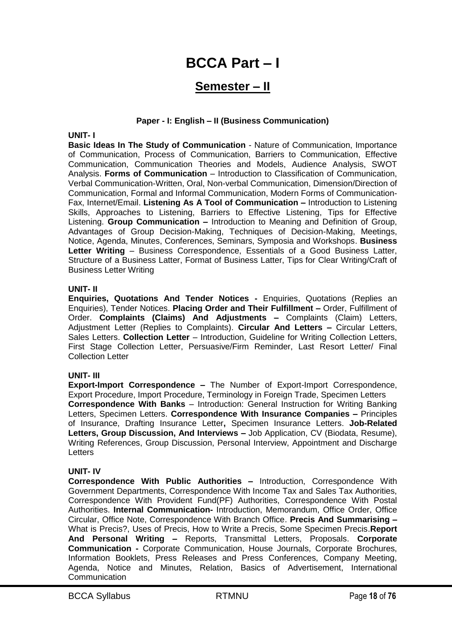# **BCCA Part – I**

# **Semester – II**

#### **Paper - I: English – II (Business Communication)**

#### **UNIT- I**

**Basic Ideas In The Study of Communication** - Nature of Communication, Importance of Communication, Process of Communication, Barriers to Communication, Effective Communication, Communication Theories and Models, Audience Analysis, SWOT Analysis. **Forms of Communication** – Introduction to Classification of Communication, Verbal Communication-Written, Oral, Non-verbal Communication, Dimension/Direction of Communication, Formal and Informal Communication, Modern Forms of Communication-Fax, Internet/Email. **Listening As A Tool of Communication –** Introduction to Listening Skills, Approaches to Listening, Barriers to Effective Listening, Tips for Effective Listening. **Group Communication –** Introduction to Meaning and Definition of Group, Advantages of Group Decision-Making, Techniques of Decision-Making, Meetings, Notice, Agenda, Minutes, Conferences, Seminars, Symposia and Workshops. **Business Letter Writing** – Business Correspondence, Essentials of a Good Business Latter, Structure of a Business Latter, Format of Business Latter, Tips for Clear Writing/Craft of Business Letter Writing

#### **UNIT- II**

**Enquiries, Quotations And Tender Notices -** Enquiries, Quotations (Replies an Enquiries), Tender Notices. **Placing Order and Their Fulfillment –** Order, Fulfillment of Order. **Complaints (Claims) And Adjustments –** Complaints (Claim) Letters, Adjustment Letter (Replies to Complaints). **Circular And Letters –** Circular Letters, Sales Letters. **Collection Letter** – Introduction, Guideline for Writing Collection Letters, First Stage Collection Letter, Persuasive/Firm Reminder, Last Resort Letter/ Final Collection Letter

#### **UNIT- III**

**Export-Import Correspondence –** The Number of Export-Import Correspondence, Export Procedure, Import Procedure, Terminology in Foreign Trade, Specimen Letters **Correspondence With Banks** – Introduction: General Instruction for Writing Banking Letters, Specimen Letters. **Correspondence With Insurance Companies –** Principles of Insurance, Drafting Insurance Letter**,** Specimen Insurance Letters. **Job-Related Letters, Group Discussion, And Interviews –** Job Application, CV (Biodata, Resume), Writing References, Group Discussion, Personal Interview, Appointment and Discharge Letters

#### **UNIT- IV**

**Correspondence With Public Authorities –** Introduction, Correspondence With Government Departments, Correspondence With Income Tax and Sales Tax Authorities, Correspondence With Provident Fund(PF) Authorities, Correspondence With Postal Authorities. **Internal Communication-** Introduction, Memorandum, Office Order, Office Circular, Office Note, Correspondence With Branch Office. **Precis And Summarising –** What is Precis?, Uses of Precis, How to Write a Precis, Some Specimen Precis.**Report And Personal Writing –** Reports, Transmittal Letters, Proposals. **Corporate Communication -** Corporate Communication, House Journals, Corporate Brochures, Information Booklets, Press Releases and Press Conferences, Company Meeting, Agenda, Notice and Minutes, Relation, Basics of Advertisement, International **Communication**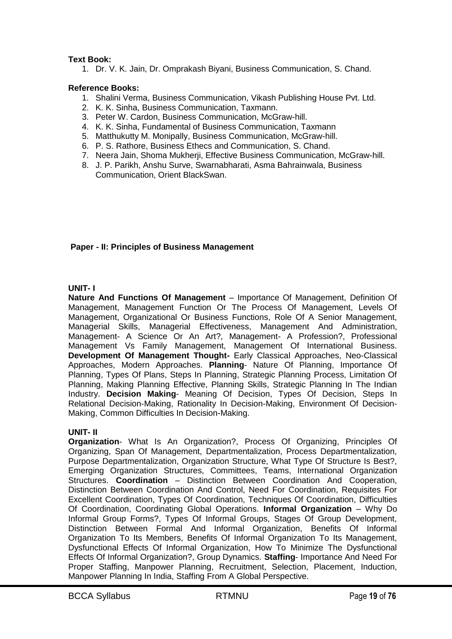# **Text Book:**

1. Dr. V. K. Jain, Dr. Omprakash Biyani, Business Communication, S. Chand.

#### **Reference Books:**

- 1. Shalini Verma, Business Communication, Vikash Publishing House Pvt. Ltd.
- 2. K. K. Sinha, Business Communication, Taxmann.
- 3. Peter W. Cardon, Business Communication, McGraw-hill.
- 4. K. K. Sinha, Fundamental of Business Communication, Taxmann
- 5. Matthukutty M. Monipally, Business Communication, McGraw-hill.
- 6. P. S. Rathore, Business Ethecs and Communication, S. Chand.
- 7. Neera Jain, Shoma Mukherji, Effective Business Communication, McGraw-hill.
- 8. J. P. Parikh, Anshu Surve, Swarnabharati, Asma Bahrainwala, Business Communication, Orient BlackSwan.

#### **Paper - II: Principles of Business Management**

#### **UNIT- I**

**Nature And Functions Of Management** – Importance Of Management, Definition Of Management, Management Function Or The Process Of Management, Levels Of Management, Organizational Or Business Functions, Role Of A Senior Management, Managerial Skills, Managerial Effectiveness, Management And Administration, Management- A Science Or An Art?, Management- A Profession?, Professional Management Vs Family Management, Management Of International Business. **Development Of Management Thought-** Early Classical Approaches, Neo-Classical Approaches, Modern Approaches. **Planning**- Nature Of Planning, Importance Of Planning, Types Of Plans, Steps In Planning, Strategic Planning Process, Limitation Of Planning, Making Planning Effective, Planning Skills, Strategic Planning In The Indian Industry. **Decision Making**- Meaning Of Decision, Types Of Decision, Steps In Relational Decision-Making, Rationality In Decision-Making, Environment Of Decision-Making, Common Difficulties In Decision-Making.

#### **UNIT- II**

**Organization**- What Is An Organization?, Process Of Organizing, Principles Of Organizing, Span Of Management, Departmentalization, Process Departmentalization, Purpose Departmentalization, Organization Structure, What Type Of Structure Is Best?, Emerging Organization Structures, Committees, Teams, International Organization Structures. **Coordination** – Distinction Between Coordination And Cooperation, Distinction Between Coordination And Control, Need For Coordination, Requisites For Excellent Coordination, Types Of Coordination, Techniques Of Coordination, Difficulties Of Coordination, Coordinating Global Operations. **Informal Organization** – Why Do Informal Group Forms?, Types Of Informal Groups, Stages Of Group Development, Distinction Between Formal And Informal Organization, Benefits Of Informal Organization To Its Members, Benefits Of Informal Organization To Its Management, Dysfunctional Effects Of Informal Organization, How To Minimize The Dysfunctional Effects Of Informal Organization?, Group Dynamics. **Staffing**- Importance And Need For Proper Staffing, Manpower Planning, Recruitment, Selection, Placement, Induction, Manpower Planning In India, Staffing From A Global Perspective.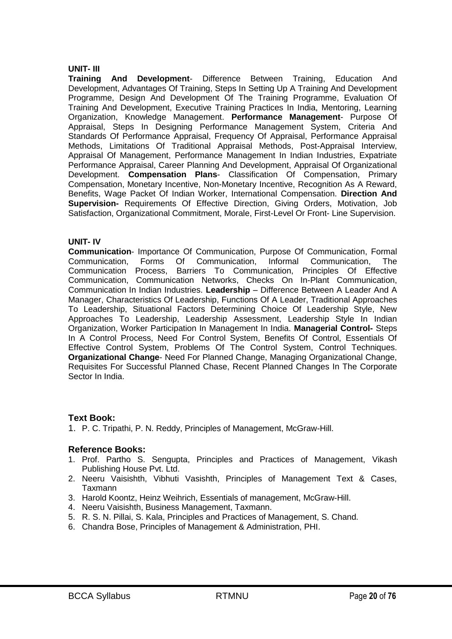#### **UNIT- III**

**Training And Development**- Difference Between Training, Education And Development, Advantages Of Training, Steps In Setting Up A Training And Development Programme, Design And Development Of The Training Programme, Evaluation Of Training And Development, Executive Training Practices In India, Mentoring, Learning Organization, Knowledge Management. **Performance Management**- Purpose Of Appraisal, Steps In Designing Performance Management System, Criteria And Standards Of Performance Appraisal, Frequency Of Appraisal, Performance Appraisal Methods, Limitations Of Traditional Appraisal Methods, Post-Appraisal Interview, Appraisal Of Management, Performance Management In Indian Industries, Expatriate Performance Appraisal, Career Planning And Development, Appraisal Of Organizational Development. **Compensation Plans**- Classification Of Compensation, Primary Compensation, Monetary Incentive, Non-Monetary Incentive, Recognition As A Reward, Benefits, Wage Packet Of Indian Worker, International Compensation. **Direction And Supervision-** Requirements Of Effective Direction, Giving Orders, Motivation, Job Satisfaction, Organizational Commitment, Morale, First-Level Or Front- Line Supervision.

# **UNIT- IV**

**Communication**- Importance Of Communication, Purpose Of Communication, Formal Communication, Forms Of Communication, Informal Communication, The Communication Process, Barriers To Communication, Principles Of Effective Communication, Communication Networks, Checks On In-Plant Communication, Communication In Indian Industries. **Leadership** – Difference Between A Leader And A Manager, Characteristics Of Leadership, Functions Of A Leader, Traditional Approaches To Leadership, Situational Factors Determining Choice Of Leadership Style, New Approaches To Leadership, Leadership Assessment, Leadership Style In Indian Organization, Worker Participation In Management In India. **Managerial Control-** Steps In A Control Process, Need For Control System, Benefits Of Control, Essentials Of Effective Control System, Problems Of The Control System, Control Techniques. **Organizational Change**- Need For Planned Change, Managing Organizational Change, Requisites For Successful Planned Chase, Recent Planned Changes In The Corporate Sector In India.

# **Text Book:**

1. P. C. Tripathi, P. N. Reddy, Principles of Management, McGraw-Hill.

# **Reference Books:**

- 1. Prof. Partho S. Sengupta, Principles and Practices of Management, Vikash Publishing House Pvt. Ltd.
- 2. Neeru Vaisishth, Vibhuti Vasishth, Principles of Management Text & Cases, Taxmann
- 3. Harold Koontz, Heinz Weihrich, Essentials of management, McGraw-Hill.
- 4. Neeru Vaisishth, Business Management, Taxmann.
- 5. R. S. N. Pillai, S. Kala, Principles and Practices of Management, S. Chand.
- 6. Chandra Bose, Principles of Management & Administration, PHI.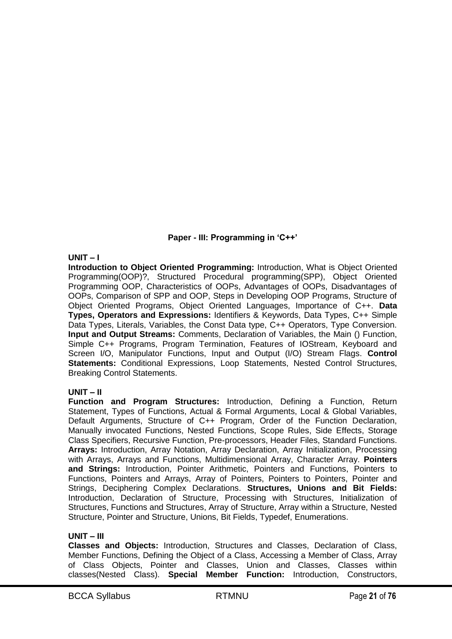# **Paper - III: Programming in 'C++'**

# **UNIT – I**

**Introduction to Object Oriented Programming:** Introduction, What is Object Oriented Programming(OOP)?, Structured Procedural programming(SPP), Object Oriented Programming OOP, Characteristics of OOPs, Advantages of OOPs, Disadvantages of OOPs, Comparison of SPP and OOP, Steps in Developing OOP Programs, Structure of Object Oriented Programs, Object Oriented Languages, Importance of C++. **Data Types, Operators and Expressions:** Identifiers & Keywords, Data Types, C++ Simple Data Types, Literals, Variables, the Const Data type, C++ Operators, Type Conversion. **Input and Output Streams:** Comments, Declaration of Variables, the Main () Function, Simple C++ Programs, Program Termination, Features of IOStream, Keyboard and Screen I/O, Manipulator Functions, Input and Output (I/O) Stream Flags. **Control Statements:** Conditional Expressions, Loop Statements, Nested Control Structures, Breaking Control Statements.

# **UNIT – II**

**Function and Program Structures:** Introduction, Defining a Function, Return Statement, Types of Functions, Actual & Formal Arguments, Local & Global Variables, Default Arguments, Structure of C++ Program, Order of the Function Declaration, Manually invocated Functions, Nested Functions, Scope Rules, Side Effects, Storage Class Specifiers, Recursive Function, Pre-processors, Header Files, Standard Functions. **Arrays:** Introduction, Array Notation, Array Declaration, Array Initialization, Processing with Arrays, Arrays and Functions, Multidimensional Array, Character Array. **Pointers and Strings:** Introduction, Pointer Arithmetic, Pointers and Functions, Pointers to Functions, Pointers and Arrays, Array of Pointers, Pointers to Pointers, Pointer and Strings, Deciphering Complex Declarations. **Structures, Unions and Bit Fields:**  Introduction, Declaration of Structure, Processing with Structures, Initialization of Structures, Functions and Structures, Array of Structure, Array within a Structure, Nested Structure, Pointer and Structure, Unions, Bit Fields, Typedef, Enumerations.

# **UNIT – III**

**Classes and Objects:** Introduction, Structures and Classes, Declaration of Class, Member Functions, Defining the Object of a Class, Accessing a Member of Class, Array of Class Objects, Pointer and Classes, Union and Classes, Classes within classes(Nested Class). **Special Member Function:** Introduction, Constructors,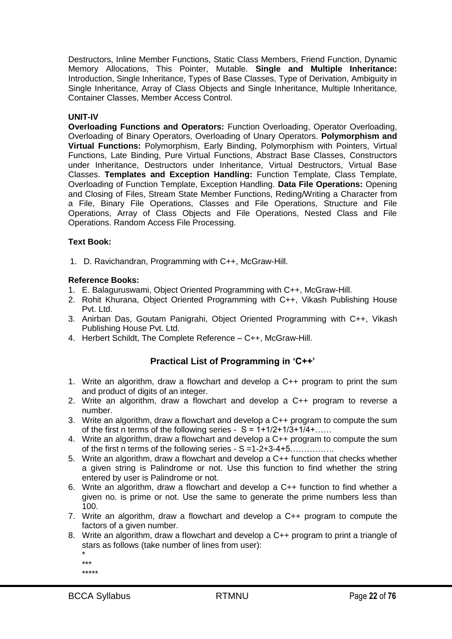Destructors, Inline Member Functions, Static Class Members, Friend Function, Dynamic Memory Allocations, This Pointer, Mutable. **Single and Multiple Inheritance:**  Introduction, Single Inheritance, Types of Base Classes, Type of Derivation, Ambiguity in Single Inheritance, Array of Class Objects and Single Inheritance, Multiple Inheritance, Container Classes, Member Access Control.

# **UNIT-IV**

**Overloading Functions and Operators:** Function Overloading, Operator Overloading, Overloading of Binary Operators, Overloading of Unary Operators. **Polymorphism and Virtual Functions:** Polymorphism, Early Binding, Polymorphism with Pointers, Virtual Functions, Late Binding, Pure Virtual Functions, Abstract Base Classes, Constructors under Inheritance, Destructors under Inheritance, Virtual Destructors, Virtual Base Classes. **Templates and Exception Handling:** Function Template, Class Template, Overloading of Function Template, Exception Handling. **Data File Operations:** Opening and Closing of Files, Stream State Member Functions, Reding/Writing a Character from a File, Binary File Operations, Classes and File Operations, Structure and File Operations, Array of Class Objects and File Operations, Nested Class and File Operations. Random Access File Processing.

# **Text Book:**

1. D. Ravichandran, Programming with C++, McGraw-Hill.

# **Reference Books:**

- 1. E. Balaguruswami, Object Oriented Programming with C++, McGraw-Hill.
- 2. Rohit Khurana, Object Oriented Programming with C++, Vikash Publishing House Pvt. Ltd.
- 3. Anirban Das, Goutam Panigrahi, Object Oriented Programming with C++, Vikash Publishing House Pvt. Ltd.
- 4. Herbert Schildt, The Complete Reference C++, McGraw-Hill.

# **Practical List of Programming in 'C++'**

- 1. Write an algorithm, draw a flowchart and develop a C++ program to print the sum and product of digits of an integer.
- 2. Write an algorithm, draw a flowchart and develop a C++ program to reverse a number.
- 3. Write an algorithm, draw a flowchart and develop a C++ program to compute the sum of the first n terms of the following series -  $S = 1 + 1/2 + 1/3 + 1/4 + \dots$
- 4. Write an algorithm, draw a flowchart and develop a C++ program to compute the sum of the first n terms of the following series  $- S = 1-2+3-4+5$ ...............
- 5. Write an algorithm, draw a flowchart and develop a C++ function that checks whether a given string is Palindrome or not. Use this function to find whether the string entered by user is Palindrome or not.
- 6. Write an algorithm, draw a flowchart and develop a C++ function to find whether a given no. is prime or not. Use the same to generate the prime numbers less than 100.
- 7. Write an algorithm, draw a flowchart and develop a C++ program to compute the factors of a given number.
- 8. Write an algorithm, draw a flowchart and develop a C++ program to print a triangle of stars as follows (take number of lines from user):
	- \*

```
***
*****
```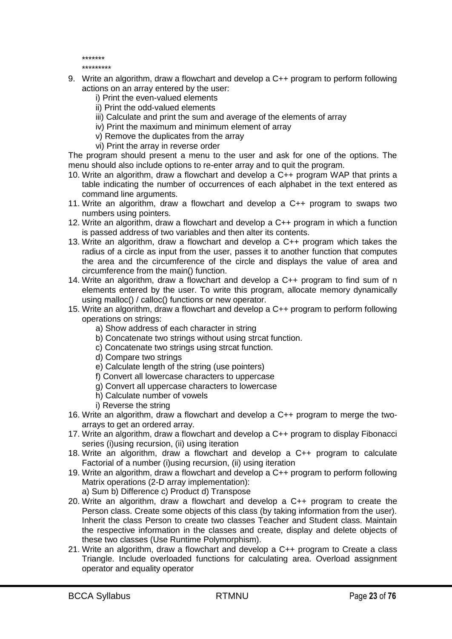\*\*\*\*\*\*\*

\*\*\*\*\*\*\*\*\*

- 9. Write an algorithm, draw a flowchart and develop a C++ program to perform following actions on an array entered by the user:
	- i) Print the even-valued elements
	- ii) Print the odd-valued elements
	- iii) Calculate and print the sum and average of the elements of array
	- iv) Print the maximum and minimum element of array
	- v) Remove the duplicates from the array
	- vi) Print the array in reverse order

The program should present a menu to the user and ask for one of the options. The menu should also include options to re-enter array and to quit the program.

- 10. Write an algorithm, draw a flowchart and develop a C++ program WAP that prints a table indicating the number of occurrences of each alphabet in the text entered as command line arguments.
- 11. Write an algorithm, draw a flowchart and develop a C++ program to swaps two numbers using pointers.
- 12. Write an algorithm, draw a flowchart and develop a C++ program in which a function is passed address of two variables and then alter its contents.
- 13. Write an algorithm, draw a flowchart and develop a C++ program which takes the radius of a circle as input from the user, passes it to another function that computes the area and the circumference of the circle and displays the value of area and circumference from the main() function.
- 14. Write an algorithm, draw a flowchart and develop a C++ program to find sum of n elements entered by the user. To write this program, allocate memory dynamically using malloc() / calloc() functions or new operator.
- 15. Write an algorithm, draw a flowchart and develop a C++ program to perform following operations on strings:
	- a) Show address of each character in string
	- b) Concatenate two strings without using strcat function.
	- c) Concatenate two strings using strcat function.
	- d) Compare two strings
	- e) Calculate length of the string (use pointers)
	- f) Convert all lowercase characters to uppercase
	- g) Convert all uppercase characters to lowercase
	- h) Calculate number of vowels
	- i) Reverse the string
- 16. Write an algorithm, draw a flowchart and develop a C++ program to merge the twoarrays to get an ordered array.
- 17. Write an algorithm, draw a flowchart and develop a C++ program to display Fibonacci series (i)using recursion, (ii) using iteration
- 18. Write an algorithm, draw a flowchart and develop a C++ program to calculate Factorial of a number (i)using recursion, (ii) using iteration
- 19. Write an algorithm, draw a flowchart and develop a C++ program to perform following Matrix operations (2-D array implementation):
	- a) Sum b) Difference c) Product d) Transpose
- 20. Write an algorithm, draw a flowchart and develop a C++ program to create the Person class. Create some objects of this class (by taking information from the user). Inherit the class Person to create two classes Teacher and Student class. Maintain the respective information in the classes and create, display and delete objects of these two classes (Use Runtime Polymorphism).
- 21. Write an algorithm, draw a flowchart and develop a C++ program to Create a class Triangle. Include overloaded functions for calculating area. Overload assignment operator and equality operator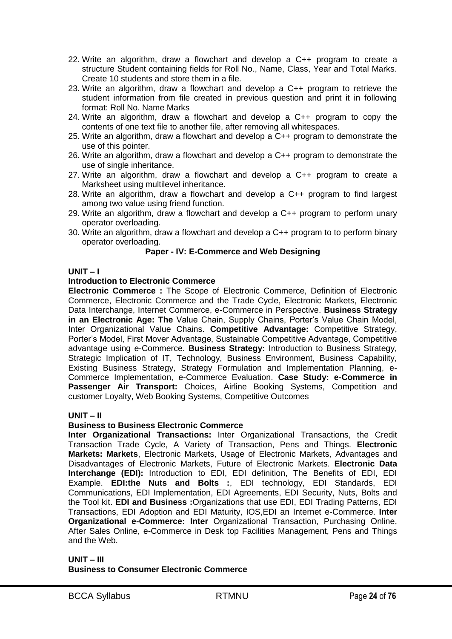- 22. Write an algorithm, draw a flowchart and develop a C++ program to create a structure Student containing fields for Roll No., Name, Class, Year and Total Marks. Create 10 students and store them in a file.
- 23. Write an algorithm, draw a flowchart and develop a C++ program to retrieve the student information from file created in previous question and print it in following format: Roll No. Name Marks
- 24. Write an algorithm, draw a flowchart and develop a C++ program to copy the contents of one text file to another file, after removing all whitespaces.
- 25. Write an algorithm, draw a flowchart and develop a C++ program to demonstrate the use of this pointer.
- 26. Write an algorithm, draw a flowchart and develop a C++ program to demonstrate the use of single inheritance.
- 27. Write an algorithm, draw a flowchart and develop a C++ program to create a Marksheet using multilevel inheritance.
- 28. Write an algorithm, draw a flowchart and develop a C++ program to find largest among two value using friend function.
- 29. Write an algorithm, draw a flowchart and develop a C++ program to perform unary operator overloading.
- 30. Write an algorithm, draw a flowchart and develop a C++ program to to perform binary operator overloading.

# **Paper - IV: E-Commerce and Web Designing**

# **UNIT – I**

# **Introduction to Electronic Commerce**

**Electronic Commerce :** The Scope of Electronic Commerce, Definition of Electronic Commerce, Electronic Commerce and the Trade Cycle, Electronic Markets, Electronic Data Interchange, Internet Commerce, e-Commerce in Perspective. **Business Strategy in an Electronic Age: The** Value Chain, Supply Chains, Porter's Value Chain Model, Inter Organizational Value Chains. **Competitive Advantage:** Competitive Strategy, Porter's Model, First Mover Advantage, Sustainable Competitive Advantage, Competitive advantage using e-Commerce. **Business Strategy:** Introduction to Business Strategy, Strategic Implication of IT, Technology, Business Environment, Business Capability, Existing Business Strategy, Strategy Formulation and Implementation Planning, e-Commerce Implementation, e-Commerce Evaluation. **Case Study: e-Commerce in Passenger Air Transport:** Choices, Airline Booking Systems, Competition and customer Loyalty, Web Booking Systems, Competitive Outcomes

# **UNIT – II**

# **Business to Business Electronic Commerce**

**Inter Organizational Transactions:** Inter Organizational Transactions, the Credit Transaction Trade Cycle, A Variety of Transaction, Pens and Things. **Electronic Markets: Markets**, Electronic Markets, Usage of Electronic Markets, Advantages and Disadvantages of Electronic Markets, Future of Electronic Markets. **Electronic Data Interchange (EDI):** Introduction to EDI, EDI definition, The Benefits of EDI, EDI Example. **EDI:the Nuts and Bolts :**, EDI technology, EDI Standards, EDI Communications, EDI Implementation, EDI Agreements, EDI Security, Nuts, Bolts and the Tool kit. **EDI and Business :**Organizations that use EDI, EDI Trading Patterns, EDI Transactions, EDI Adoption and EDI Maturity, IOS,EDI an Internet e-Commerce. **Inter Organizational e-Commerce: Inter** Organizational Transaction, Purchasing Online, After Sales Online, e-Commerce in Desk top Facilities Management, Pens and Things and the Web.

# **UNIT – III Business to Consumer Electronic Commerce**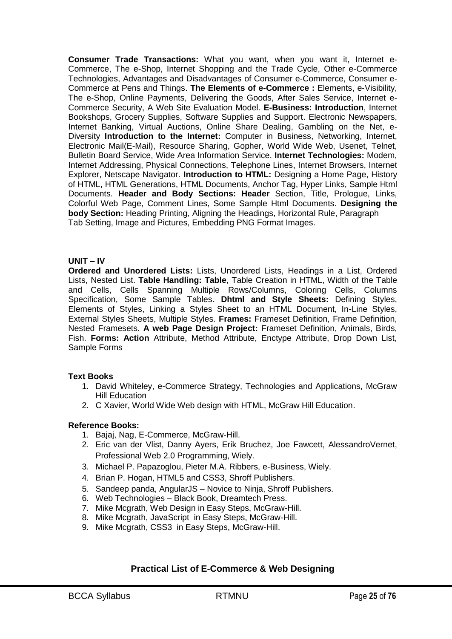**Consumer Trade Transactions:** What you want, when you want it, Internet e-Commerce, The e-Shop, Internet Shopping and the Trade Cycle, Other e-Commerce Technologies, Advantages and Disadvantages of Consumer e-Commerce, Consumer e-Commerce at Pens and Things. **The Elements of e-Commerce :** Elements, e-Visibility, The e-Shop, Online Payments, Delivering the Goods, After Sales Service, Internet e-Commerce Security, A Web Site Evaluation Model. **E-Business: Introduction**, Internet Bookshops, Grocery Supplies, Software Supplies and Support. Electronic Newspapers, Internet Banking, Virtual Auctions, Online Share Dealing, Gambling on the Net, e-Diversity **Introduction to the Internet:** Computer in Business, Networking, Internet, Electronic Mail(E-Mail), Resource Sharing, Gopher, World Wide Web, Usenet, Telnet, Bulletin Board Service, Wide Area Information Service. **Internet Technologies:** Modem, Internet Addressing, Physical Connections, Telephone Lines, Internet Browsers, Internet Explorer, Netscape Navigator. **Introduction to HTML:** Designing a Home Page, History of HTML, HTML Generations, HTML Documents, Anchor Tag, Hyper Links, Sample Html Documents. **Header and Body Sections: Header** Section, Title, Prologue, Links, Colorful Web Page, Comment Lines, Some Sample Html Documents. **Designing the body Section:** Heading Printing, Aligning the Headings, Horizontal Rule, Paragraph Tab Setting, Image and Pictures, Embedding PNG Format Images.

#### **UNIT – IV**

**Ordered and Unordered Lists:** Lists, Unordered Lists, Headings in a List, Ordered Lists, Nested List. **Table Handling: Table**, Table Creation in HTML, Width of the Table and Cells, Cells Spanning Multiple Rows/Columns, Coloring Cells, Columns Specification, Some Sample Tables. **Dhtml and Style Sheets:** Defining Styles, Elements of Styles, Linking a Styles Sheet to an HTML Document, In-Line Styles, External Styles Sheets, Multiple Styles. **Frames:** Frameset Definition, Frame Definition, Nested Framesets. **A web Page Design Project:** Frameset Definition, Animals, Birds, Fish. **Forms: Action** Attribute, Method Attribute, Enctype Attribute, Drop Down List, Sample Forms

#### **Text Books**

- 1. David Whiteley, e-Commerce Strategy, Technologies and Applications, McGraw Hill Education
- 2. C Xavier, World Wide Web design with HTML, McGraw Hill Education.

# **Reference Books:**

- 1. Bajaj, Nag, E-Commerce, McGraw-Hill.
- 2. Eric van der Vlist, Danny Ayers, Erik Bruchez, Joe Fawcett, AlessandroVernet, Professional Web 2.0 Programming, Wiely.
- 3. Michael P. Papazoglou, Pieter M.A. Ribbers, e-Business, Wiely.
- 4. Brian P. Hogan, HTML5 and CSS3, Shroff Publishers.
- 5. Sandeep panda, AngularJS Novice to Ninja, Shroff Publishers.
- 6. Web Technologies Black Book, Dreamtech Press.
- 7. Mike Mcgrath, Web Design in Easy Steps, McGraw-Hill.
- 8. Mike Mcgrath, JavaScript in Easy Steps, McGraw-Hill.
- 9. Mike Mcgrath, CSS3 in Easy Steps, McGraw-Hill.

# **Practical List of E-Commerce & Web Designing**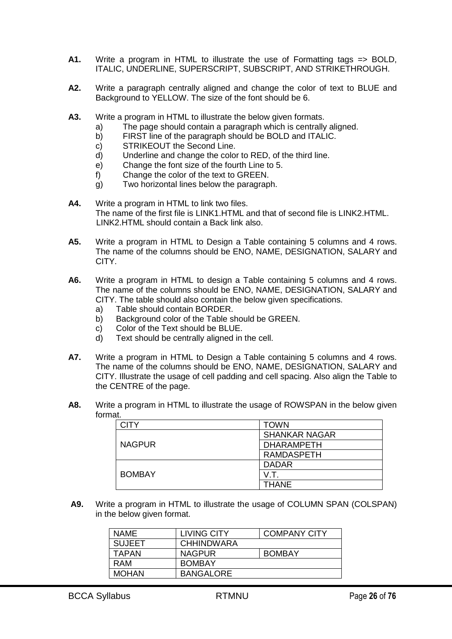- **A1.** Write a program in HTML to illustrate the use of Formatting tags => BOLD, ITALIC, UNDERLINE, SUPERSCRIPT, SUBSCRIPT, AND STRIKETHROUGH.
- **A2.** Write a paragraph centrally aligned and change the color of text to BLUE and Background to YELLOW. The size of the font should be 6.
- **A3.** Write a program in HTML to illustrate the below given formats.
	- a) The page should contain a paragraph which is centrally aligned.
	- b) FIRST line of the paragraph should be BOLD and ITALIC.
	- c) STRIKEOUT the Second Line.
	- d) Underline and change the color to RED, of the third line.
	- e) Change the font size of the fourth Line to 5.
	- f) Change the color of the text to GREEN.
	- g) Two horizontal lines below the paragraph.
- **A4.** Write a program in HTML to link two files. The name of the first file is LINK1.HTML and that of second file is LINK2.HTML. LINK2.HTML should contain a Back link also.
- **A5.** Write a program in HTML to Design a Table containing 5 columns and 4 rows. The name of the columns should be ENO, NAME, DESIGNATION, SALARY and CITY.
- **A6.** Write a program in HTML to design a Table containing 5 columns and 4 rows. The name of the columns should be ENO, NAME, DESIGNATION, SALARY and CITY. The table should also contain the below given specifications.
	- a) Table should contain BORDER.
	- b) Background color of the Table should be GREEN.
	- c) Color of the Text should be BLUE.
	- d) Text should be centrally aligned in the cell.
- **A7.** Write a program in HTML to Design a Table containing 5 columns and 4 rows. The name of the columns should be ENO, NAME, DESIGNATION, SALARY and CITY. Illustrate the usage of cell padding and cell spacing. Also align the Table to the CENTRE of the page.
- **A8.** Write a program in HTML to illustrate the usage of ROWSPAN in the below given format.

| CITY          | <b>TOWN</b>          |
|---------------|----------------------|
|               | <b>SHANKAR NAGAR</b> |
| <b>NAGPUR</b> | <b>DHARAMPETH</b>    |
|               | <b>RAMDASPETH</b>    |
|               | <b>DADAR</b>         |
| <b>BOMBAY</b> | V.T                  |
|               | <b>THANE</b>         |

**A9.** Write a program in HTML to illustrate the usage of COLUMN SPAN (COLSPAN) in the below given format.

| NAMF          | LIVING CITY       | <b>COMPANY CITY</b> |
|---------------|-------------------|---------------------|
| <b>SUJEET</b> | <b>CHHINDWARA</b> |                     |
| <b>TAPAN</b>  | <b>NAGPUR</b>     | <b>BOMBAY</b>       |
| RAM           | <b>BOMBAY</b>     |                     |
| <b>MOHAN</b>  | <b>BANGALORE</b>  |                     |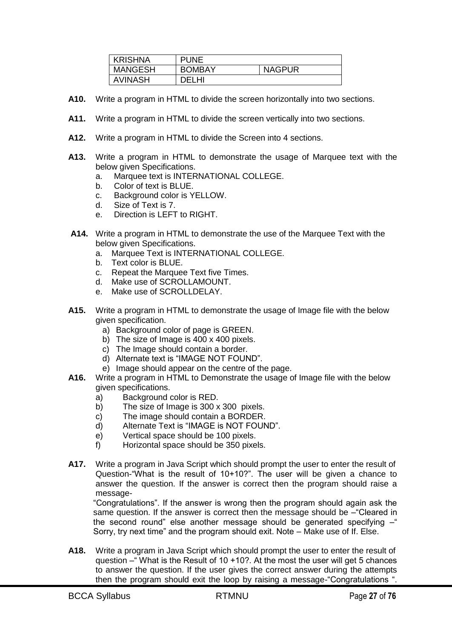| <b>KRISHNA</b> | PUNE          |               |
|----------------|---------------|---------------|
| <b>MANGESH</b> | <b>BOMBAY</b> | <b>NAGPUR</b> |
| <b>AVINASH</b> | DEI HI        |               |

- **A10.** Write a program in HTML to divide the screen horizontally into two sections.
- **A11.** Write a program in HTML to divide the screen vertically into two sections.
- **A12.** Write a program in HTML to divide the Screen into 4 sections.
- **A13.** Write a program in HTML to demonstrate the usage of Marquee text with the below given Specifications.
	- a. Marquee text is INTERNATIONAL COLLEGE.
	- b. Color of text is BLUE.
	- c. Background color is YELLOW.
	- d. Size of Text is 7.
	- e. Direction is LEFT to RIGHT.
- **A14.** Write a program in HTML to demonstrate the use of the Marquee Text with the below given Specifications.
	- a. Marquee Text is INTERNATIONAL COLLEGE.
	- b. Text color is BLUE.
	- c. Repeat the Marquee Text five Times.
	- d. Make use of SCROLLAMOUNT.
	- e. Make use of SCROLLDELAY.
- **A15.** Write a program in HTML to demonstrate the usage of Image file with the below given specification.
	- a) Background color of page is GREEN.
	- b) The size of Image is 400 x 400 pixels.
	- c) The Image should contain a border.
	- d) Alternate text is "IMAGE NOT FOUND".
	- e) Image should appear on the centre of the page.
- **A16.** Write a program in HTML to Demonstrate the usage of Image file with the below given specifications.
	- a) Background color is RED.
	- b) The size of Image is 300 x 300 pixels.
	- c) The image should contain a BORDER.
	- d) Alternate Text is "IMAGE is NOT FOUND".
	- e) Vertical space should be 100 pixels.
	- f) Horizontal space should be 350 pixels.
- **A17.** Write a program in Java Script which should prompt the user to enter the result of Question-"What is the result of 10+10?". The user will be given a chance to answer the question. If the answer is correct then the program should raise a message-

―Congratulations‖. If the answer is wrong then the program should again ask the same question. If the answer is correct then the message should be – "Cleared in the second round" else another message should be generated specifying – Sorry, try next time" and the program should exit. Note – Make use of If. Else.

**A18.** Write a program in Java Script which should prompt the user to enter the result of question  $-$  What is the Result of 10 +10?. At the most the user will get 5 chances to answer the question. If the user gives the correct answer during the attempts then the program should exit the loop by raising a message-"Congratulations ".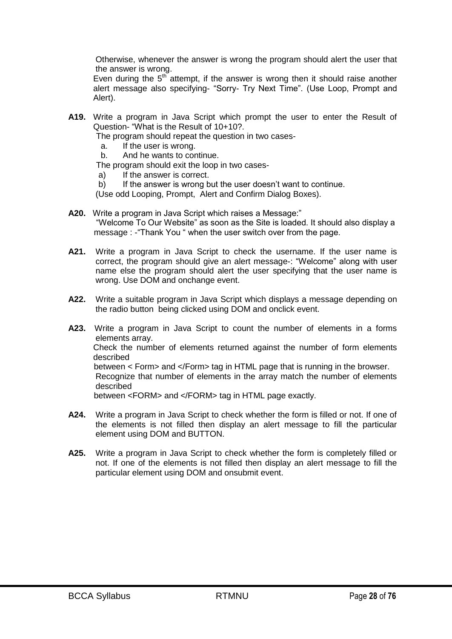Otherwise, whenever the answer is wrong the program should alert the user that the answer is wrong.

Even during the  $5<sup>th</sup>$  attempt, if the answer is wrong then it should raise another alert message also specifying- "Sorry- Try Next Time". (Use Loop, Prompt and Alert).

**A19.** Write a program in Java Script which prompt the user to enter the Result of Question- "What is the Result of 10+10?.

The program should repeat the question in two cases-

- a. If the user is wrong.
- b. And he wants to continue.

The program should exit the loop in two cases-

- a) If the answer is correct.
- b) If the answer is wrong but the user doesn't want to continue.

(Use odd Looping, Prompt, Alert and Confirm Dialog Boxes).

- **A20.** Write a program in Java Script which raises a Message:" "Welcome To Our Website" as soon as the Site is loaded. It should also display a message : - "Thank You " when the user switch over from the page.
- **A21.** Write a program in Java Script to check the username. If the user name is correct, the program should give an alert message-: "Welcome" along with user name else the program should alert the user specifying that the user name is wrong. Use DOM and onchange event.
- **A22.** Write a suitable program in Java Script which displays a message depending on the radio button being clicked using DOM and onclick event.
- **A23.** Write a program in Java Script to count the number of elements in a forms elements array. Check the number of elements returned against the number of form elements described between < Form> and </Form> tag in HTML page that is running in the browser. Recognize that number of elements in the array match the number of elements described between <FORM> and </FORM> tag in HTML page exactly.
- **A24.** Write a program in Java Script to check whether the form is filled or not. If one of the elements is not filled then display an alert message to fill the particular element using DOM and BUTTON.
- **A25.** Write a program in Java Script to check whether the form is completely filled or not. If one of the elements is not filled then display an alert message to fill the particular element using DOM and onsubmit event.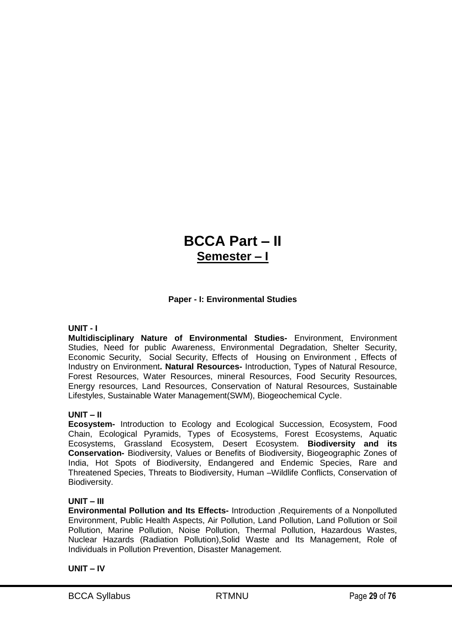# **BCCA Part – II Semester – I**

# **Paper - I: Environmental Studies**

# **UNIT - I**

**Multidisciplinary Nature of Environmental Studies-** Environment, Environment Studies, Need for public Awareness, Environmental Degradation, Shelter Security, Economic Security, Social Security, Effects of Housing on Environment , Effects of Industry on Environment**. Natural Resources-** Introduction, Types of Natural Resource, Forest Resources, Water Resources, mineral Resources, Food Security Resources, Energy resources, Land Resources, Conservation of Natural Resources, Sustainable Lifestyles, Sustainable Water Management(SWM), Biogeochemical Cycle.

# **UNIT – II**

**Ecosystem-** Introduction to Ecology and Ecological Succession, Ecosystem, Food Chain, Ecological Pyramids, Types of Ecosystems, Forest Ecosystems, Aquatic Ecosystems, Grassland Ecosystem, Desert Ecosystem. **Biodiversity and its Conservation-** Biodiversity, Values or Benefits of Biodiversity, Biogeographic Zones of India, Hot Spots of Biodiversity, Endangered and Endemic Species, Rare and Threatened Species, Threats to Biodiversity, Human –Wildlife Conflicts, Conservation of Biodiversity.

#### **UNIT – III**

**Environmental Pollution and Its Effects-** Introduction ,Requirements of a Nonpolluted Environment, Public Health Aspects, Air Pollution, Land Pollution, Land Pollution or Soil Pollution, Marine Pollution, Noise Pollution, Thermal Pollution, Hazardous Wastes, Nuclear Hazards (Radiation Pollution),Solid Waste and Its Management, Role of Individuals in Pollution Prevention, Disaster Management.

#### **UNIT – IV**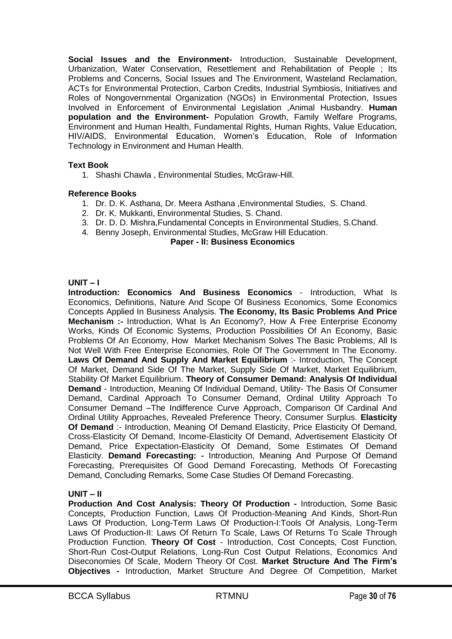**Social Issues and the Environment-** Introduction, Sustainable Development, Urbanization, Water Conservation, Resettlement and Rehabilitation of People ; Its Problems and Concerns, Social Issues and The Environment, Wasteland Reclamation, ACTs for Environmental Protection, Carbon Credits, Industrial Symbiosis, Initiatives and Roles of Nongovernmental Organization (NGOs) in Environmental Protection, Issues Involved in Enforcement of Environmental Legislation ,Animal Husbandry. **Human population and the Environment-** Population Growth, Family Welfare Programs, Environment and Human Health, Fundamental Rights, Human Rights, Value Education, HIV/AIDS, Environmental Education, Women's Education, Role of Information Technology in Environment and Human Health.

# **Text Book**

1. Shashi Chawla , Environmental Studies, McGraw-Hill.

# **Reference Books**

- 1. Dr. D. K. Asthana, Dr. Meera Asthana ,Environmental Studies, S. Chand.
- 2. Dr. K. Mukkanti, Environmental Studies, S. Chand.
- 3. Dr. D. D. Mishra,Fundamental Concepts in Environmental Studies, S.Chand.
- 4. Benny Joseph, Environmental Studies, McGraw Hill Education.

#### **Paper - II: Business Economics**

#### **UNIT – I**

**Introduction: Economics And Business Economics** - Introduction, What Is Economics, Definitions, Nature And Scope Of Business Economics, Some Economics Concepts Applied In Business Analysis. **The Economy, Its Basic Problems And Price Mechanism :-** Introduction, What Is An Economy?, How A Free Enterprise Economy Works, Kinds Of Economic Systems, Production Possibilities Of An Economy, Basic Problems Of An Economy, How Market Mechanism Solves The Basic Problems, All Is Not Well With Free Enterprise Economies, Role Of The Government In The Economy. **Laws Of Demand And Supply And Market Equilibrium** :- Introduction, The Concept Of Market, Demand Side Of The Market, Supply Side Of Market, Market Equilibrium, Stability Of Market Equilibrium. **Theory of Consumer Demand: Analysis Of Individual Demand** - Introduction, Meaning Of Individual Demand, Utility- The Basis Of Consumer Demand, Cardinal Approach To Consumer Demand, Ordinal Utility Approach To Consumer Demand –The Indifference Curve Approach, Comparison Of Cardinal And Ordinal Utility Approaches, Revealed Preference Theory, Consumer Surplus. **Elasticity Of Demand** :- Introduction, Meaning Of Demand Elasticity, Price Elasticity Of Demand, Cross-Elasticity Of Demand, Income-Elasticity Of Demand, Advertisement Elasticity Of Demand, Price Expectation-Elasticity Of Demand, Some Estimates Of Demand Elasticity. **Demand Forecasting: -** Introduction, Meaning And Purpose Of Demand Forecasting, Prerequisites Of Good Demand Forecasting, Methods Of Forecasting Demand, Concluding Remarks, Some Case Studies Of Demand Forecasting.

# **UNIT – II**

**Production And Cost Analysis: Theory Of Production -** Introduction, Some Basic Concepts, Production Function, Laws Of Production-Meaning And Kinds, Short-Run Laws Of Production, Long-Term Laws Of Production-I:Tools Of Analysis, Long-Term Laws Of Production-II: Laws Of Return To Scale, Laws Of Returns To Scale Through Production Function. **Theory Of Cost** - Introduction, Cost Concepts, Cost Function, Short-Run Cost-Output Relations, Long-Run Cost Output Relations, Economics And Diseconomies Of Scale, Modern Theory Of Cost. **Market Structure And The Firm's Objectives -** Introduction, Market Structure And Degree Of Competition, Market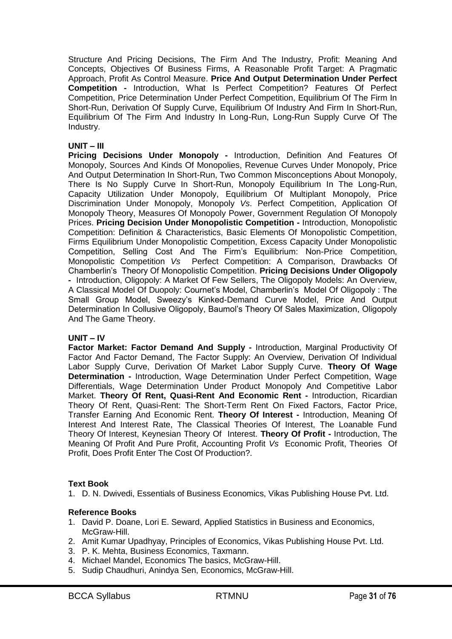Structure And Pricing Decisions, The Firm And The Industry, Profit: Meaning And Concepts, Objectives Of Business Firms, A Reasonable Profit Target: A Pragmatic Approach, Profit As Control Measure. **Price And Output Determination Under Perfect Competition -** Introduction, What Is Perfect Competition? Features Of Perfect Competition, Price Determination Under Perfect Competition, Equilibrium Of The Firm In Short-Run, Derivation Of Supply Curve, Equilibrium Of Industry And Firm In Short-Run, Equilibrium Of The Firm And Industry In Long-Run, Long-Run Supply Curve Of The Industry.

# **UNIT – III**

**Pricing Decisions Under Monopoly -** Introduction, Definition And Features Of Monopoly, Sources And Kinds Of Monopolies, Revenue Curves Under Monopoly, Price And Output Determination In Short-Run, Two Common Misconceptions About Monopoly, There Is No Supply Curve In Short-Run, Monopoly Equilibrium In The Long-Run, Capacity Utilization Under Monopoly, Equilibrium Of Multiplant Monopoly, Price Discrimination Under Monopoly, Monopoly *Vs*. Perfect Competition, Application Of Monopoly Theory, Measures Of Monopoly Power, Government Regulation Of Monopoly Prices. **Pricing Decision Under Monopolistic Competition -** Introduction, Monopolistic Competition: Definition & Characteristics, Basic Elements Of Monopolistic Competition, Firms Equilibrium Under Monopolistic Competition, Excess Capacity Under Monopolistic Competition, Selling Cost And The Firm's Equilibrium: Non-Price Competition, Monopolistic Competition *Vs* Perfect Competition: A Comparison, Drawbacks Of Chamberlin's Theory Of Monopolistic Competition. **Pricing Decisions Under Oligopoly -** Introduction, Oligopoly: A Market Of Few Sellers, The Oligopoly Models: An Overview, A Classical Model Of Duopoly: Cournet's Model, Chamberlin's Model Of Oligopoly : The Small Group Model, Sweezy's Kinked-Demand Curve Model, Price And Output Determination In Collusive Oligopoly, Baumol's Theory Of Sales Maximization, Oligopoly And The Game Theory.

#### **UNIT – IV**

**Factor Market: Factor Demand And Supply -** Introduction, Marginal Productivity Of Factor And Factor Demand, The Factor Supply: An Overview, Derivation Of Individual Labor Supply Curve, Derivation Of Market Labor Supply Curve. **Theory Of Wage Determination -** Introduction, Wage Determination Under Perfect Competition, Wage Differentials, Wage Determination Under Product Monopoly And Competitive Labor Market. **Theory Of Rent, Quasi-Rent And Economic Rent -** Introduction, Ricardian Theory Of Rent, Quasi-Rent: The Short-Term Rent On Fixed Factors, Factor Price, Transfer Earning And Economic Rent. **Theory Of Interest -** Introduction, Meaning Of Interest And Interest Rate, The Classical Theories Of Interest, The Loanable Fund Theory Of Interest, Keynesian Theory Of Interest. **Theory Of Profit -** Introduction, The Meaning Of Profit And Pure Profit, Accounting Profit *Vs* Economic Profit, Theories Of Profit, Does Profit Enter The Cost Of Production?.

#### **Text Book**

1. D. N. Dwivedi, Essentials of Business Economics, Vikas Publishing House Pvt. Ltd.

#### **Reference Books**

- 1. David P. Doane, Lori E. Seward, Applied Statistics in Business and Economics, McGraw-Hill.
- 2. Amit Kumar Upadhyay, Principles of Economics, Vikas Publishing House Pvt. Ltd.
- 3. P. K. Mehta, Business Economics, Taxmann.
- 4. Michael Mandel, Economics The basics, McGraw-Hill.
- 5. Sudip Chaudhuri, Anindya Sen, Economics, McGraw-Hill.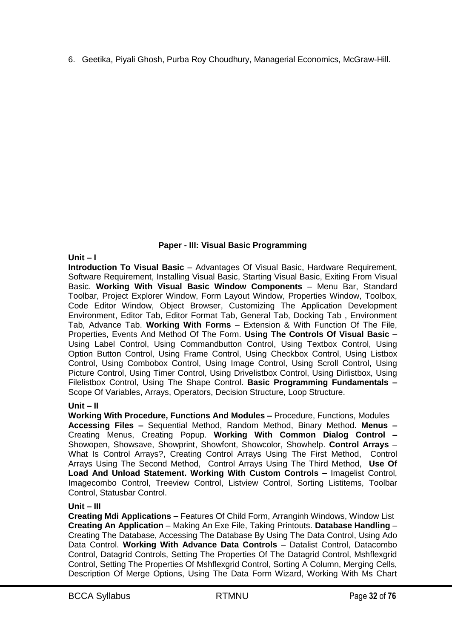6. Geetika, Piyali Ghosh, Purba Roy Choudhury, Managerial Economics, McGraw-Hill.

# **Paper - III: Visual Basic Programming**

# **Unit – I**

**Introduction To Visual Basic** – Advantages Of Visual Basic, Hardware Requirement, Software Requirement, Installing Visual Basic, Starting Visual Basic, Exiting From Visual Basic. **Working With Visual Basic Window Components** – Menu Bar, Standard Toolbar, Project Explorer Window, Form Layout Window, Properties Window, Toolbox, Code Editor Window, Object Browser, Customizing The Application Development Environment, Editor Tab, Editor Format Tab, General Tab, Docking Tab , Environment Tab, Advance Tab. **Working With Forms** – Extension & With Function Of The File, Properties, Events And Method Of The Form. **Using The Controls Of Visual Basic –** Using Label Control, Using Commandbutton Control, Using Textbox Control, Using Option Button Control, Using Frame Control, Using Checkbox Control, Using Listbox Control, Using Combobox Control, Using Image Control, Using Scroll Control, Using Picture Control, Using Timer Control, Using Drivelistbox Control, Using Dirlistbox, Using Filelistbox Control, Using The Shape Control. **Basic Programming Fundamentals –** Scope Of Variables, Arrays, Operators, Decision Structure, Loop Structure.

# **Unit – II**

**Working With Procedure, Functions And Modules –** Procedure, Functions, Modules **Accessing Files –** Sequential Method, Random Method, Binary Method. **Menus –** Creating Menus, Creating Popup. **Working With Common Dialog Control –** Showopen, Showsave, Showprint, Showfont, Showcolor, Showhelp. **Control Arrays** – What Is Control Arrays?, Creating Control Arrays Using The First Method, Control Arrays Using The Second Method, Control Arrays Using The Third Method, **Use Of Load And Unload Statement. Working With Custom Controls –** Imagelist Control, Imagecombo Control, Treeview Control, Listview Control, Sorting Listitems, Toolbar Control, Statusbar Control.

# **Unit – III**

**Creating Mdi Applications –** Features Of Child Form, Arranginh Windows, Window List **Creating An Application** – Making An Exe File, Taking Printouts. **Database Handling** – Creating The Database, Accessing The Database By Using The Data Control, Using Ado Data Control. **Working With Advance Data Controls** – Datalist Control, Datacombo Control, Datagrid Controls, Setting The Properties Of The Datagrid Control, Mshflexgrid Control, Setting The Properties Of Mshflexgrid Control, Sorting A Column, Merging Cells, Description Of Merge Options, Using The Data Form Wizard, Working With Ms Chart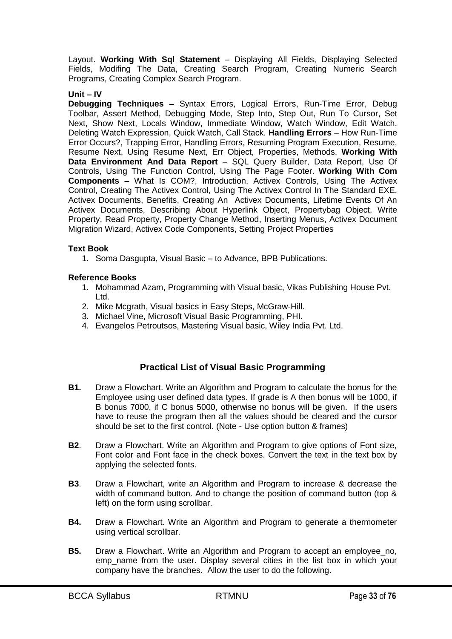Layout. **Working With Sql Statement** – Displaying All Fields, Displaying Selected Fields, Modifing The Data, Creating Search Program, Creating Numeric Search Programs, Creating Complex Search Program.

# **Unit – IV**

**Debugging Techniques –** Syntax Errors, Logical Errors, Run-Time Error, Debug Toolbar, Assert Method, Debugging Mode, Step Into, Step Out, Run To Cursor, Set Next, Show Next, Locals Window, Immediate Window, Watch Window, Edit Watch, Deleting Watch Expression, Quick Watch, Call Stack. **Handling Errors** – How Run-Time Error Occurs?, Trapping Error, Handling Errors, Resuming Program Execution, Resume, Resume Next, Using Resume Next, Err Object, Properties, Methods. **Working With Data Environment And Data Report** – SQL Query Builder, Data Report, Use Of Controls, Using The Function Control, Using The Page Footer. **Working With Com Components –** What Is COM?, Introduction, Activex Controls, Using The Activex Control, Creating The Activex Control, Using The Activex Control In The Standard EXE, Activex Documents, Benefits, Creating An Activex Documents, Lifetime Events Of An Activex Documents, Describing About Hyperlink Object, Propertybag Object, Write Property, Read Property, Property Change Method, Inserting Menus, Activex Document Migration Wizard, Activex Code Components, Setting Project Properties

#### **Text Book**

1. Soma Dasgupta, Visual Basic – to Advance, BPB Publications.

# **Reference Books**

- 1. Mohammad Azam, Programming with Visual basic, Vikas Publishing House Pvt. Ltd.
- 2. Mike Mcgrath, Visual basics in Easy Steps, McGraw-Hill.
- 3. Michael Vine, Microsoft Visual Basic Programming, PHI.
- 4. Evangelos Petroutsos, Mastering Visual basic, Wiley India Pvt. Ltd.

# **Practical List of Visual Basic Programming**

- **B1.** Draw a Flowchart. Write an Algorithm and Program to calculate the bonus for the Employee using user defined data types. If grade is A then bonus will be 1000, if B bonus 7000, if C bonus 5000, otherwise no bonus will be given. If the users have to reuse the program then all the values should be cleared and the cursor should be set to the first control. (Note - Use option button & frames)
- **B2**. Draw a Flowchart. Write an Algorithm and Program to give options of Font size, Font color and Font face in the check boxes. Convert the text in the text box by applying the selected fonts.
- **B3**. Draw a Flowchart, write an Algorithm and Program to increase & decrease the width of command button. And to change the position of command button (top & left) on the form using scrollbar.
- **B4.** Draw a Flowchart. Write an Algorithm and Program to generate a thermometer using vertical scrollbar.
- **B5.** Draw a Flowchart. Write an Algorithm and Program to accept an employee\_no, emp name from the user. Display several cities in the list box in which your company have the branches. Allow the user to do the following.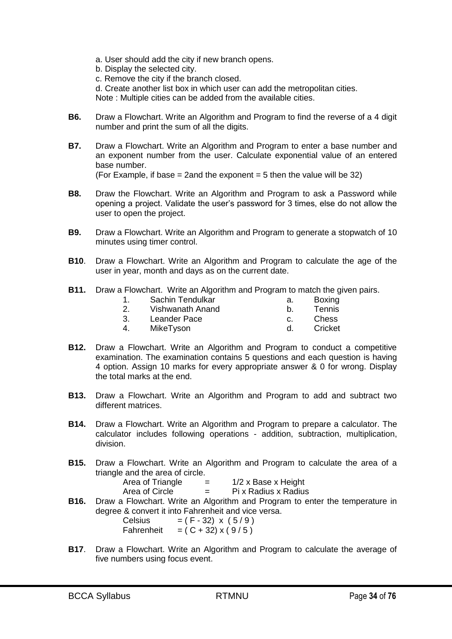- a. User should add the city if new branch opens.
- b. Display the selected city.
- c. Remove the city if the branch closed.
- d. Create another list box in which user can add the metropolitan cities.

Note : Multiple cities can be added from the available cities.

- **B6.** Draw a Flowchart. Write an Algorithm and Program to find the reverse of a 4 digit number and print the sum of all the digits.
- **B7.** Draw a Flowchart. Write an Algorithm and Program to enter a base number and an exponent number from the user. Calculate exponential value of an entered base number. (For Example, if base  $= 2$  and the exponent  $= 5$  then the value will be 32)
- **B8.** Draw the Flowchart. Write an Algorithm and Program to ask a Password while opening a project. Validate the user's password for 3 times, else do not allow the user to open the project.
- **B9.** Draw a Flowchart. Write an Algorithm and Program to generate a stopwatch of 10 minutes using timer control.
- **B10**. Draw a Flowchart. Write an Algorithm and Program to calculate the age of the user in year, month and days as on the current date.
- **B11.** Draw a Flowchart. Write an Algorithm and Program to match the given pairs.

|    | Sachin Tendulkar | а. | Boxing  |
|----|------------------|----|---------|
|    | Vishwanath Anand |    | Tennis  |
| 3. | Leander Pace     |    | Chess   |
|    | MikeTyson        |    | Cricket |

- **B12.** Draw a Flowchart. Write an Algorithm and Program to conduct a competitive examination. The examination contains 5 questions and each question is having 4 option. Assign 10 marks for every appropriate answer & 0 for wrong. Display the total marks at the end.
- **B13.** Draw a Flowchart. Write an Algorithm and Program to add and subtract two different matrices.
- **B14.** Draw a Flowchart. Write an Algorithm and Program to prepare a calculator. The calculator includes following operations - addition, subtraction, multiplication, division.
- **B15.** Draw a Flowchart. Write an Algorithm and Program to calculate the area of a triangle and the area of circle.

| Area of Triangle | -<br>- | $1/2$ x Base x Height |
|------------------|--------|-----------------------|
| Area of Circle   | $=$    | Pi x Radius x Radius  |

**B16.** Draw a Flowchart. Write an Algorithm and Program to enter the temperature in degree & convert it into Fahrenheit and vice versa.

| Celsius    | $= (F - 32) \times (5/9)$ |
|------------|---------------------------|
| Fahrenheit | $= (C + 32) \times (9/5)$ |

**B17**. Draw a Flowchart. Write an Algorithm and Program to calculate the average of five numbers using focus event.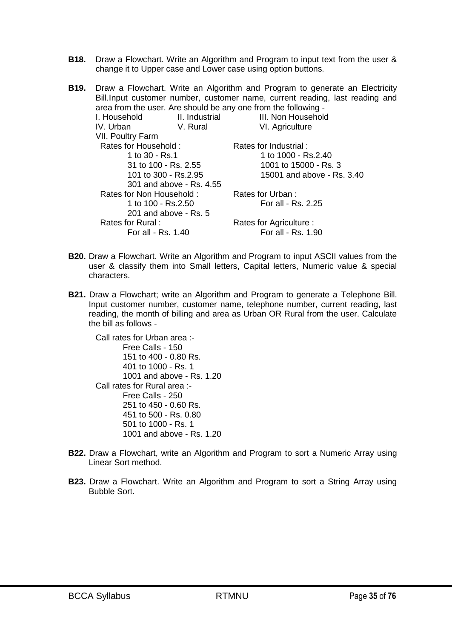- **B18.** Draw a Flowchart. Write an Algorithm and Program to input text from the user & change it to Upper case and Lower case using option buttons.
- **B19.** Draw a Flowchart. Write an Algorithm and Program to generate an Electricity Bill.Input customer number, customer name, current reading, last reading and area from the user. Are should be any one from the following - I. Household II. Industrial III. Non Household IV. Urban V. Rural VI. Agriculture VII. Poultry Farm Rates for Household : 1 to 30 - Rs.1 31 to 100 - Rs. 2.55 101 to 300 - Rs.2.95 301 and above - Rs. 4.55 Rates for Industrial : 1 to 1000 - Rs.2.40 1001 to 15000 - Rs. 3 15001 and above - Rs. 3.40 Rates for Non Household : 1 to 100 - Rs.2.50 201 and above - Rs. 5 Rates for Urban : For all - Rs. 2.25 Rates for Rural : For all - Rs. 1.40 Rates for Agriculture : For all - Rs. 1.90
- **B20.** Draw a Flowchart. Write an Algorithm and Program to input ASCII values from the user & classify them into Small letters, Capital letters, Numeric value & special characters.
- **B21.** Draw a Flowchart; write an Algorithm and Program to generate a Telephone Bill. Input customer number, customer name, telephone number, current reading, last reading, the month of billing and area as Urban OR Rural from the user. Calculate the bill as follows -

Call rates for Urban area :- Free Calls - 150 151 to 400 - 0.80 Rs. 401 to 1000 - Rs. 1 1001 and above - Rs. 1.20 Call rates for Rural area :- Free Calls - 250 251 to 450 - 0.60 Rs. 451 to 500 - Rs. 0.80 501 to 1000 - Rs. 1 1001 and above - Rs. 1.20

- **B22.** Draw a Flowchart, write an Algorithm and Program to sort a Numeric Array using Linear Sort method.
- **B23.** Draw a Flowchart. Write an Algorithm and Program to sort a String Array using Bubble Sort.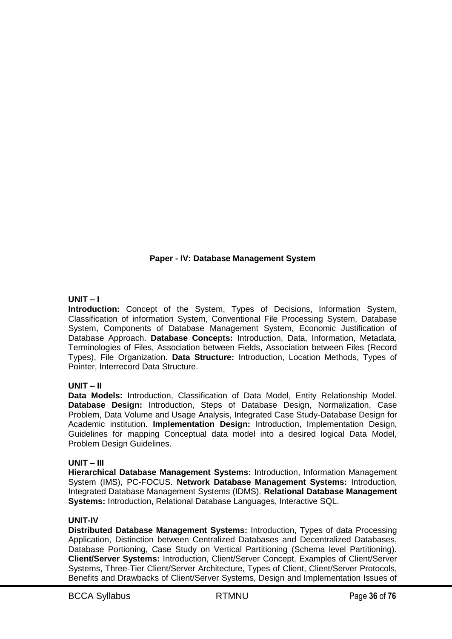# **Paper - IV: Database Management System**

# **UNIT – I**

**Introduction:** Concept of the System, Types of Decisions, Information System, Classification of information System, Conventional File Processing System, Database System, Components of Database Management System, Economic Justification of Database Approach. **Database Concepts:** Introduction, Data, Information, Metadata, Terminologies of Files, Association between Fields, Association between Files (Record Types), File Organization. **Data Structure:** Introduction, Location Methods, Types of Pointer, Interrecord Data Structure.

# **UNIT – II**

**Data Models:** Introduction, Classification of Data Model, Entity Relationship Model. **Database Design:** Introduction, Steps of Database Design, Normalization, Case Problem, Data Volume and Usage Analysis, Integrated Case Study-Database Design for Academic institution. **Implementation Design:** Introduction, Implementation Design, Guidelines for mapping Conceptual data model into a desired logical Data Model, Problem Design Guidelines.

#### **UNIT – III**

**Hierarchical Database Management Systems:** Introduction, Information Management System (IMS), PC-FOCUS. **Network Database Management Systems:** Introduction, Integrated Database Management Systems (IDMS). **Relational Database Management Systems:** Introduction, Relational Database Languages, Interactive SQL.

#### **UNIT-IV**

**Distributed Database Management Systems:** Introduction, Types of data Processing Application, Distinction between Centralized Databases and Decentralized Databases, Database Portioning, Case Study on Vertical Partitioning (Schema level Partitioning). **Client/Server Systems:** Introduction, Client/Server Concept, Examples of Client/Server Systems, Three-Tier Client/Server Architecture, Types of Client, Client/Server Protocols, Benefits and Drawbacks of Client/Server Systems, Design and Implementation Issues of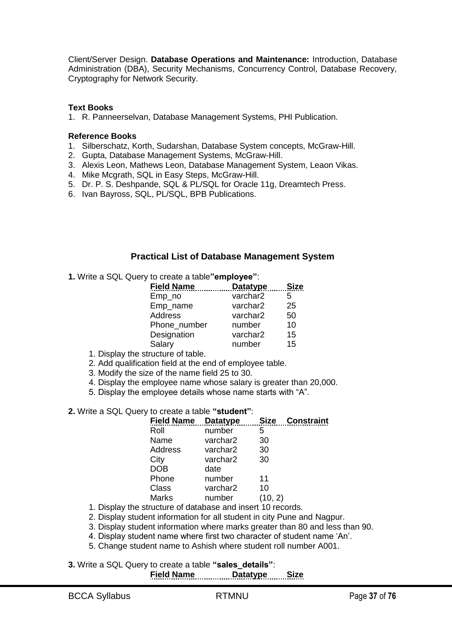Client/Server Design. **Database Operations and Maintenance:** Introduction, Database Administration (DBA), Security Mechanisms, Concurrency Control, Database Recovery, Cryptography for Network Security.

#### **Text Books**

1. R. Panneerselvan, Database Management Systems, PHI Publication.

#### **Reference Books**

- 1. Silberschatz, Korth, Sudarshan, Database System concepts, McGraw-Hill.
- 2. Gupta, Database Management Systems, McGraw-Hill.
- 3. Alexis Leon, Mathews Leon, Database Management System, Leaon Vikas.
- 4. Mike Mcgrath, SQL in Easy Steps, McGraw-Hill.
- 5. Dr. P. S. Deshpande, SQL & PL/SQL for Oracle 11g, Dreamtech Press.
- 6. Ivan Bayross, SQL, PL/SQL, BPB Publications.

# **Practical List of Database Management System**

**1.** Write a SQL Query to create a table"employee":

| <b>Field Name</b> | <b>Datatype</b> | <b>Size</b> |
|-------------------|-----------------|-------------|
| Emp_no            | varchar2        | 5           |
| Emp_name          | varchar2        | 25          |
| Address           | varchar2        | 50          |
| Phone number      | number          | 10          |
| Designation       | varchar2        | 15          |
| Salary            | number          | 15          |

- 1. Display the structure of table.
- 2. Add qualification field at the end of employee table.
- 3. Modify the size of the name field 25 to 30.
- 4. Display the employee name whose salary is greater than 20,000.
- 5. Display the employee details whose name starts with "A".
- **2.** Write a SQL Query to create a table "student":

| <b>Field Name</b> | <b>Datatype</b> | <b>Size</b> | <b>Constraint</b> |
|-------------------|-----------------|-------------|-------------------|
| Roll              | number          | 5           |                   |
| Name              | varchar2        | 30          |                   |
| <b>Address</b>    | varchar2        | 30          |                   |
| City              | varchar2        | 30          |                   |
| <b>DOB</b>        | date            |             |                   |
| Phone             | number          | 11          |                   |
| Class             | varchar2        | 10          |                   |
| <b>Marks</b>      | number          | (10, 2)     |                   |
|                   |                 |             |                   |

1. Display the structure of database and insert 10 records.

2. Display student information for all student in city Pune and Nagpur.

- 3. Display student information where marks greater than 80 and less than 90.
- 4. Display student name where first two character of student name 'An'.
- 5. Change student name to Ashish where student roll number A001.
- **3.** Write a SQL Query to create a table "sales\_details": **Field Name Datatype Size**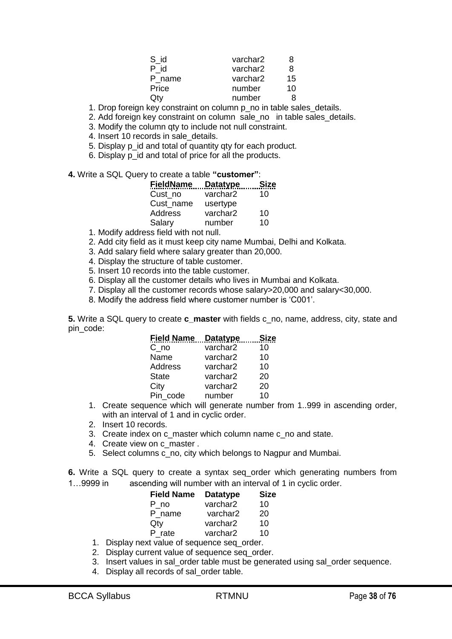| S id   | varchar2 | 8  |
|--------|----------|----|
| P id   | varchar2 | 8  |
| P name | varchar2 | 15 |
| Price  | number   | 10 |
| Qty    | number   | я  |

1. Drop foreign key constraint on column p\_no in table sales details.

2. Add foreign key constraint on column sale no in table sales details.

3. Modify the column qty to include not null constraint.

4. Insert 10 records in sale details.

5. Display p\_id and total of quantity qty for each product.

6. Display p\_id and total of price for all the products.

4. Write a SQL Query to create a table "customer":

| <u>FieldName_</u>                    | Datatype | <b>Size</b> |
|--------------------------------------|----------|-------------|
| Cust no                              | varchar2 | 10          |
| Cust name                            | usertype |             |
| Address                              | varchar2 | 10          |
| Salary                               | number   | 10          |
| والمنتصب والمشاري والملحاة والمتكاري |          |             |

1. Modify address field with not null.

2. Add city field as it must keep city name Mumbai, Delhi and Kolkata.

3. Add salary field where salary greater than 20,000.

4. Display the structure of table customer.

5. Insert 10 records into the table customer.

6. Display all the customer details who lives in Mumbai and Kolkata.

7. Display all the customer records whose salary>20,000 and salary<30,000.

8. Modify the address field where customer number is 'C001'.

**5.** Write a SQL query to create **c\_master** with fields c\_no, name, address, city, state and pin\_code:

| <b>Field Name</b> | <b>Datatype</b> | Siz |
|-------------------|-----------------|-----|
| $C_{n}$ no        | varchar2        | 10  |
| Name              | varchar2        | 10  |
| Address           | varchar2        | 10  |
| <b>State</b>      | varchar2        | 20  |
| City              | varchar2        | 20  |
| Pin_code          | number          | 10  |

1. Create sequence which will generate number from 1..999 in ascending order, with an interval of 1 and in cyclic order.

2. Insert 10 records.

3. Create index on c\_master which column name c\_no and state.

- 4. Create view on c\_master .
- 5. Select columns c\_no, city which belongs to Nagpur and Mumbai.

**6.** Write a SQL query to create a syntax seq\_order which generating numbers from

1…9999 in ascending will number with an interval of 1 in cyclic order.

| <b>Field Name</b>              | <b>Datatype</b> | <b>Size</b> |
|--------------------------------|-----------------|-------------|
| P no                           | varchar2        | 10          |
| P_name                         | varchar2        | 20          |
| Qty                            | varchar2        | 10          |
| P rate                         | varchar2        | 10          |
| yt value of ceguence ceg order |                 |             |

1. Display next value of sequence seq\_order. 2. Display current value of sequence seq\_order.

- 3. Insert values in sal\_order table must be generated using sal\_order sequence.
- 4. Display all records of sal order table.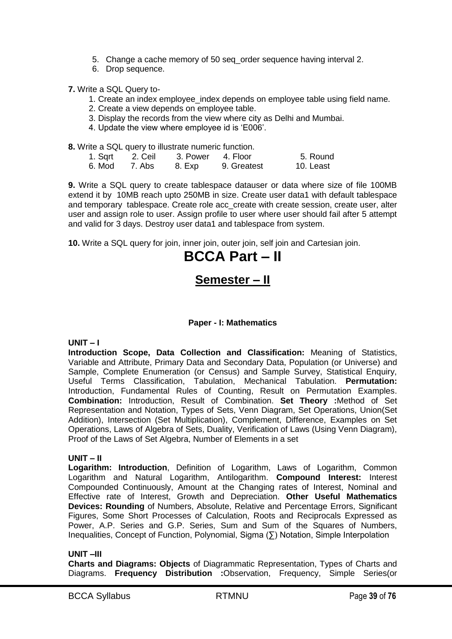- 5. Change a cache memory of 50 seq\_order sequence having interval 2.
- 6. Drop sequence.

**7.** Write a SQL Query to-

- 1. Create an index employee index depends on employee table using field name.
- 2. Create a view depends on employee table.
- 3. Display the records from the view where city as Delhi and Mumbai.
- 4. Update the view where employee id is 'E006'.

**8.** Write a SQL query to illustrate numeric function.

| 1. Sqrt | 2. Ceil | 3. Power | 4. Floor    | 5. Round  |
|---------|---------|----------|-------------|-----------|
| 6. Mod  | 7. Abs  | 8. Exp   | 9. Greatest | 10. Least |

**9.** Write a SQL query to create tablespace datauser or data where size of file 100MB extend it by 10MB reach upto 250MB in size. Create user data1 with default tablespace and temporary tablespace. Create role acc\_create with create session, create user, alter user and assign role to user. Assign profile to user where user should fail after 5 attempt and valid for 3 days. Destroy user data1 and tablespace from system.

**10.** Write a SQL query for join, inner join, outer join, self join and Cartesian join.

# **BCCA Part – II**

# **Semester – II**

#### **Paper - I: Mathematics**

# **UNIT – I**

**Introduction Scope, Data Collection and Classification:** Meaning of Statistics, Variable and Attribute, Primary Data and Secondary Data, Population (or Universe) and Sample, Complete Enumeration (or Census) and Sample Survey, Statistical Enquiry, Useful Terms Classification, Tabulation, Mechanical Tabulation. **Permutation:** Introduction, Fundamental Rules of Counting, Result on Permutation Examples. **Combination:** Introduction, Result of Combination. **Set Theory :**Method of Set Representation and Notation, Types of Sets, Venn Diagram, Set Operations, Union(Set Addition), Intersection (Set Multiplication), Complement, Difference, Examples on Set Operations, Laws of Algebra of Sets, Duality, Verification of Laws (Using Venn Diagram), Proof of the Laws of Set Algebra, Number of Elements in a set

#### **UNIT – II**

**Logarithm: Introduction**, Definition of Logarithm, Laws of Logarithm, Common Logarithm and Natural Logarithm, Antilogarithm. **Compound Interest:** Interest Compounded Continuously, Amount at the Changing rates of Interest, Nominal and Effective rate of Interest, Growth and Depreciation. **Other Useful Mathematics Devices: Rounding** of Numbers, Absolute, Relative and Percentage Errors, Significant Figures, Some Short Processes of Calculation, Roots and Reciprocals Expressed as Power, A.P. Series and G.P. Series, Sum and Sum of the Squares of Numbers, Inequalities, Concept of Function, Polynomial, Sigma (∑) Notation, Simple Interpolation

#### **UNIT –III**

**Charts and Diagrams: Objects** of Diagrammatic Representation, Types of Charts and Diagrams. **Frequency Distribution :**Observation, Frequency, Simple Series(or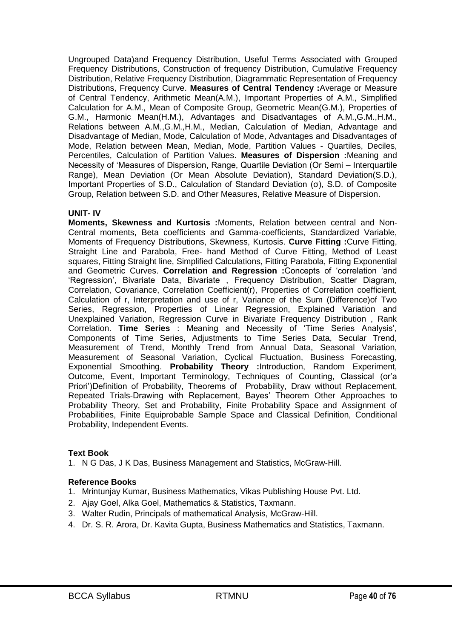Ungrouped Data)and Frequency Distribution, Useful Terms Associated with Grouped Frequency Distributions, Construction of frequency Distribution, Cumulative Frequency Distribution, Relative Frequency Distribution, Diagrammatic Representation of Frequency Distributions, Frequency Curve. **Measures of Central Tendency :**Average or Measure of Central Tendency, Arithmetic Mean(A.M.), Important Properties of A.M., Simplified Calculation for A.M., Mean of Composite Group, Geometric Mean(G.M.), Properties of G.M., Harmonic Mean(H.M.), Advantages and Disadvantages of A.M.,G.M.,H.M., Relations between A.M.,G.M.,H.M., Median, Calculation of Median, Advantage and Disadvantage of Median, Mode, Calculation of Mode, Advantages and Disadvantages of Mode, Relation between Mean, Median, Mode, Partition Values - Quartiles, Deciles, Percentiles, Calculation of Partition Values. **Measures of Dispersion :**Meaning and Necessity of 'Measures of Dispersion, Range, Quartile Deviation (Or Semi – Interguartile Range), Mean Deviation (Or Mean Absolute Deviation), Standard Deviation(S.D.), Important Properties of S.D., Calculation of Standard Deviation (σ), S.D. of Composite Group, Relation between S.D. and Other Measures, Relative Measure of Dispersion.

#### **UNIT- IV**

**Moments, Skewness and Kurtosis :**Moments, Relation between central and Non-Central moments, Beta coefficients and Gamma-coefficients, Standardized Variable, Moments of Frequency Distributions, Skewness, Kurtosis. **Curve Fitting :**Curve Fitting, Straight Line and Parabola, Free- hand Method of Curve Fitting, Method of Least squares, Fitting Straight line, Simplified Calculations, Fitting Parabola, Fitting Exponential and Geometric Curves. **Correlation and Regression :**Concepts of ‗correlation ‗and ‗Regression', Bivariate Data, Bivariate , Frequency Distribution, Scatter Diagram, Correlation, Covariance, Correlation Coefficient(r), Properties of Correlation coefficient, Calculation of r, Interpretation and use of r, Variance of the Sum (Difference)of Two Series, Regression, Properties of Linear Regression, Explained Variation and Unexplained Variation, Regression Curve in Bivariate Frequency Distribution , Rank Correlation. **Time Series** : Meaning and Necessity of ‗Time Series Analysis', Components of Time Series, Adjustments to Time Series Data, Secular Trend, Measurement of Trend, Monthly Trend from Annual Data, Seasonal Variation, Measurement of Seasonal Variation, Cyclical Fluctuation, Business Forecasting, Exponential Smoothing. **Probability Theory :**Introduction, Random Experiment, Outcome, Event, Important Terminology, Techniques of Counting, Classical (or'a Priori')Definition of Probability, Theorems of Probability, Draw without Replacement, Repeated Trials-Drawing with Replacement, Bayes' Theorem Other Approaches to Probability Theory, Set and Probability, Finite Probability Space and Assignment of Probabilities, Finite Equiprobable Sample Space and Classical Definition, Conditional Probability, Independent Events.

# **Text Book**

1. N G Das, J K Das, Business Management and Statistics, McGraw-Hill.

# **Reference Books**

- 1. Mrintunjay Kumar, Business Mathematics, Vikas Publishing House Pvt. Ltd.
- 2. Ajay Goel, Alka Goel, Mathematics & Statistics, Taxmann.
- 3. Walter Rudin, Principals of mathematical Analysis, McGraw-Hill.
- 4. Dr. S. R. Arora, Dr. Kavita Gupta, Business Mathematics and Statistics, Taxmann.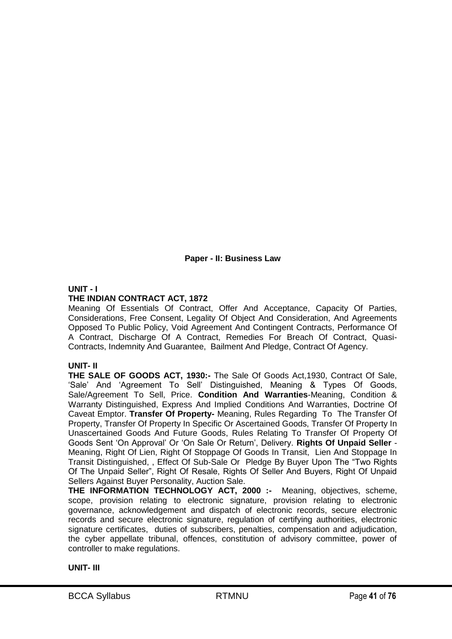# **Paper - II: Business Law**

# **UNIT - I**

#### **THE INDIAN CONTRACT ACT, 1872**

Meaning Of Essentials Of Contract, Offer And Acceptance, Capacity Of Parties, Considerations, Free Consent, Legality Of Object And Consideration, And Agreements Opposed To Public Policy, Void Agreement And Contingent Contracts, Performance Of A Contract, Discharge Of A Contract, Remedies For Breach Of Contract, Quasi-Contracts, Indemnity And Guarantee, Bailment And Pledge, Contract Of Agency.

#### **UNIT- II**

**THE SALE OF GOODS ACT, 1930:-** The Sale Of Goods Act,1930, Contract Of Sale, ‗Sale' And ‗Agreement To Sell' Distinguished, Meaning & Types Of Goods, Sale/Agreement To Sell, Price. **Condition And Warranties**-Meaning, Condition & Warranty Distinguished, Express And Implied Conditions And Warranties, Doctrine Of Caveat Emptor. **Transfer Of Property-** Meaning, Rules Regarding To The Transfer Of Property, Transfer Of Property In Specific Or Ascertained Goods, Transfer Of Property In Unascertained Goods And Future Goods, Rules Relating To Transfer Of Property Of Goods Sent ‗On Approval' Or ‗On Sale Or Return', Delivery. **Rights Of Unpaid Seller** - Meaning, Right Of Lien, Right Of Stoppage Of Goods In Transit, Lien And Stoppage In Transit Distinguished, , Effect Of Sub-Sale Or Pledge By Buyer Upon The "Two Rights" Of The Unpaid Seller", Right Of Resale, Rights Of Seller And Buyers, Right Of Unpaid Sellers Against Buyer Personality, Auction Sale.

**THE INFORMATION TECHNOLOGY ACT, 2000 :-** Meaning, objectives, scheme, scope, provision relating to electronic signature, provision relating to electronic governance, acknowledgement and dispatch of electronic records, secure electronic records and secure electronic signature, regulation of certifying authorities, electronic signature certificates, duties of subscribers, penalties, compensation and adjudication, the cyber appellate tribunal, offences, constitution of advisory committee, power of controller to make regulations.

#### **UNIT- III**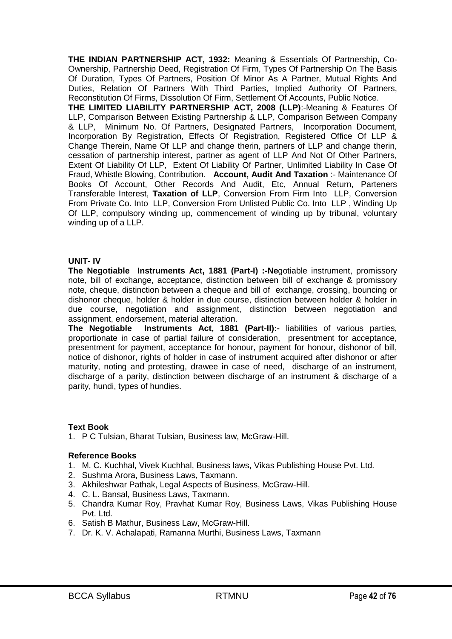**THE INDIAN PARTNERSHIP ACT, 1932:** Meaning & Essentials Of Partnership, Co-Ownership, Partnership Deed, Registration Of Firm, Types Of Partnership On The Basis Of Duration, Types Of Partners, Position Of Minor As A Partner, Mutual Rights And Duties, Relation Of Partners With Third Parties, Implied Authority Of Partners, Reconstitution Of Firms, Dissolution Of Firm, Settlement Of Accounts, Public Notice.

**THE LIMITED LIABILITY PARTNERSHIP ACT, 2008 (LLP)**:-Meaning & Features Of LLP, Comparison Between Existing Partnership & LLP, Comparison Between Company & LLP, Minimum No. Of Partners, Designated Partners, Incorporation Document, Incorporation By Registration, Effects Of Registration, Registered Office Of LLP & Change Therein, Name Of LLP and change therin, partners of LLP and change therin, cessation of partnership interest, partner as agent of LLP And Not Of Other Partners, Extent Of Liability Of LLP, Extent Of Liability Of Partner, Unlimited Liability In Case Of Fraud, Whistle Blowing, Contribution. **Account, Audit And Taxation** :- Maintenance Of Books Of Account, Other Records And Audit, Etc, Annual Return, Parteners Transferable Interest, **Taxation of LLP**, Conversion From Firm Into LLP, Conversion From Private Co. Into LLP, Conversion From Unlisted Public Co. Into LLP , Winding Up Of LLP, compulsory winding up, commencement of winding up by tribunal, voluntary winding up of a LLP.

#### **UNIT- IV**

**The Negotiable Instruments Act, 1881 (Part-I) :-Ne**gotiable instrument, promissory note, bill of exchange, acceptance, distinction between bill of exchange & promissory note, cheque, distinction between a cheque and bill of exchange, crossing, bouncing or dishonor cheque, holder & holder in due course, distinction between holder & holder in due course, negotiation and assignment, distinction between negotiation and assignment, endorsement, material alteration.

**The Negotiable Instruments Act, 1881 (Part-II):-** liabilities of various parties, proportionate in case of partial failure of consideration, presentment for acceptance, presentment for payment, acceptance for honour, payment for honour, dishonor of bill, notice of dishonor, rights of holder in case of instrument acquired after dishonor or after maturity, noting and protesting, drawee in case of need, discharge of an instrument, discharge of a parity, distinction between discharge of an instrument & discharge of a parity, hundi, types of hundies.

#### **Text Book**

1. P C Tulsian, Bharat Tulsian, Business law, McGraw-Hill.

#### **Reference Books**

- 1. M. C. Kuchhal, Vivek Kuchhal, Business laws, Vikas Publishing House Pvt. Ltd.
- 2. Sushma Arora, Business Laws, Taxmann.
- 3. Akhileshwar Pathak, Legal Aspects of Business, McGraw-Hill.
- 4. C. L. Bansal, Business Laws, Taxmann.
- 5. Chandra Kumar Roy, Pravhat Kumar Roy, Business Laws, Vikas Publishing House Pvt. Ltd.
- 6. Satish B Mathur, Business Law, McGraw-Hill.
- 7. Dr. K. V. Achalapati, Ramanna Murthi, Business Laws, Taxmann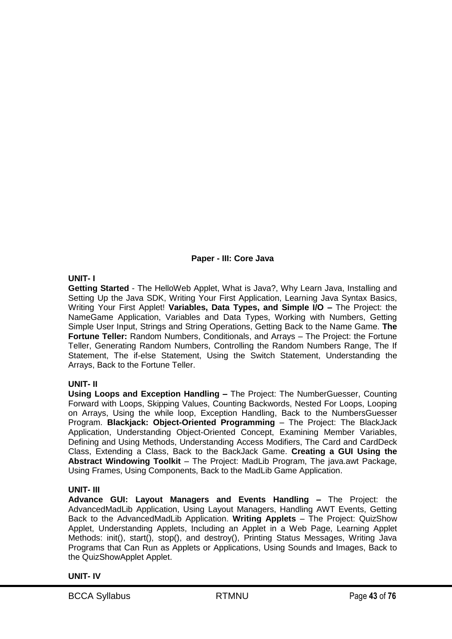# **Paper - III: Core Java**

# **UNIT- I**

**Getting Started** - The HelloWeb Applet, What is Java?, Why Learn Java, Installing and Setting Up the Java SDK, Writing Your First Application, Learning Java Syntax Basics, Writing Your First Applet! **Variables, Data Types, and Simple I/O –** The Project: the NameGame Application, Variables and Data Types, Working with Numbers, Getting Simple User Input, Strings and String Operations, Getting Back to the Name Game. **The Fortune Teller:** Random Numbers, Conditionals, and Arrays – The Project: the Fortune Teller, Generating Random Numbers, Controlling the Random Numbers Range, The If Statement, The if-else Statement, Using the Switch Statement, Understanding the Arrays, Back to the Fortune Teller.

# **UNIT- II**

**Using Loops and Exception Handling –** The Project: The NumberGuesser, Counting Forward with Loops, Skipping Values, Counting Backwords, Nested For Loops, Looping on Arrays, Using the while loop, Exception Handling, Back to the NumbersGuesser Program. **Blackjack: Object-Oriented Programming** – The Project: The BlackJack Application, Understanding Object-Oriented Concept, Examining Member Variables, Defining and Using Methods, Understanding Access Modifiers, The Card and CardDeck Class, Extending a Class, Back to the BackJack Game. **Creating a GUI Using the Abstract Windowing Toolkit** – The Project: MadLib Program, The java.awt Package, Using Frames, Using Components, Back to the MadLib Game Application.

# **UNIT- III**

**Advance GUI: Layout Managers and Events Handling –** The Project: the AdvancedMadLib Application, Using Layout Managers, Handling AWT Events, Getting Back to the AdvancedMadLib Application. **Writing Applets** – The Project: QuizShow Applet, Understanding Applets, Including an Applet in a Web Page, Learning Applet Methods: init(), start(), stop(), and destroy(), Printing Status Messages, Writing Java Programs that Can Run as Applets or Applications, Using Sounds and Images, Back to the QuizShowApplet Applet.

#### **UNIT- IV**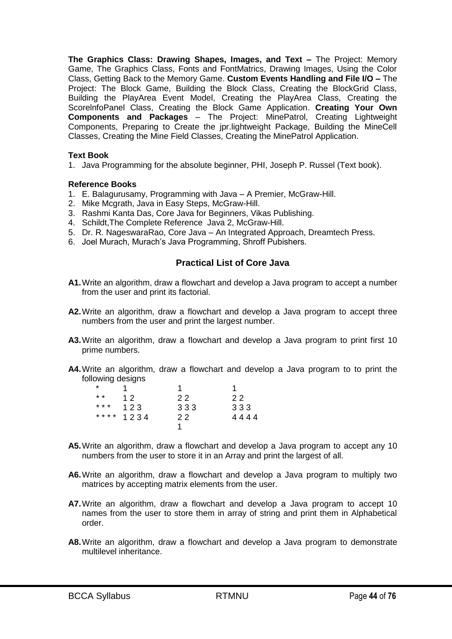**The Graphics Class: Drawing Shapes, Images, and Text –** The Project: Memory Game, The Graphics Class, Fonts and FontMatrics, Drawing Images, Using the Color Class, Getting Back to the Memory Game. **Custom Events Handling and File I/O –** The Project: The Block Game, Building the Block Class, Creating the BlockGrid Class, Building the PlayArea Event Model, Creating the PlayArea Class, Creating the ScorelnfoPanel Class, Creating the Block Game Application. **Creating Your Own Components and Packages** – The Project: MinePatrol, Creating Lightweight Components, Preparing to Create the jpr.lightweight Package, Building the MineCell Classes, Creating the Mine Field Classes, Creating the MinePatrol Application.

#### **Text Book**

1. Java Programming for the absolute beginner, PHI, Joseph P. Russel (Text book).

#### **Reference Books**

- 1. E. Balagurusamy, Programming with Java A Premier, McGraw-Hill.
- 2. Mike Mcgrath, Java in Easy Steps, McGraw-Hill.
- 3. Rashmi Kanta Das, Core Java for Beginners, Vikas Publishing.
- 4. Schildt, The Complete Reference Java 2, McGraw-Hill.
- 5. Dr. R. NageswaraRao, Core Java An Integrated Approach, Dreamtech Press.
- 6. Joel Murach, Murach's Java Programming, Shroff Pubishers.

# **Practical List of Core Java**

- **A1.**Write an algorithm, draw a flowchart and develop a Java program to accept a number from the user and print its factorial.
- **A2.**Write an algorithm, draw a flowchart and develop a Java program to accept three numbers from the user and print the largest number.
- **A3.**Write an algorithm, draw a flowchart and develop a Java program to print first 10 prime numbers.
- **A4.**Write an algorithm, draw a flowchart and develop a Java program to to print the following designs

| *       |           |     |      |
|---------|-----------|-----|------|
| * *     | 12        | 22  | 22   |
| $***$ * | 123       | 333 | 333  |
|         | **** 1234 | 22  | 4444 |
|         |           |     |      |

- **A5.**Write an algorithm, draw a flowchart and develop a Java program to accept any 10 numbers from the user to store it in an Array and print the largest of all.
- **A6.**Write an algorithm, draw a flowchart and develop a Java program to multiply two matrices by accepting matrix elements from the user.
- **A7.**Write an algorithm, draw a flowchart and develop a Java program to accept 10 names from the user to store them in array of string and print them in Alphabetical order.
- **A8.**Write an algorithm, draw a flowchart and develop a Java program to demonstrate multilevel inheritance.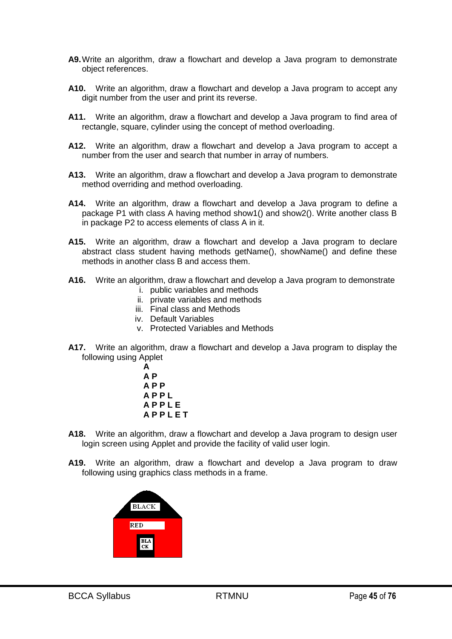- **A9.**Write an algorithm, draw a flowchart and develop a Java program to demonstrate object references.
- **A10.** Write an algorithm, draw a flowchart and develop a Java program to accept any digit number from the user and print its reverse.
- **A11.** Write an algorithm, draw a flowchart and develop a Java program to find area of rectangle, square, cylinder using the concept of method overloading.
- **A12.** Write an algorithm, draw a flowchart and develop a Java program to accept a number from the user and search that number in array of numbers.
- **A13.** Write an algorithm, draw a flowchart and develop a Java program to demonstrate method overriding and method overloading.
- **A14.** Write an algorithm, draw a flowchart and develop a Java program to define a package P1 with class A having method show1() and show2(). Write another class B in package P2 to access elements of class A in it.
- **A15.** Write an algorithm, draw a flowchart and develop a Java program to declare abstract class student having methods getName(), showName() and define these methods in another class B and access them.
- **A16.** Write an algorithm, draw a flowchart and develop a Java program to demonstrate i. public variables and methods
	- ii. private variables and methods
	- iii. Final class and Methods
	- iv. Default Variables
	- v. Protected Variables and Methods
- **A17.** Write an algorithm, draw a flowchart and develop a Java program to display the following using Applet



- **A18.** Write an algorithm, draw a flowchart and develop a Java program to design user login screen using Applet and provide the facility of valid user login.
- **A19.** Write an algorithm, draw a flowchart and develop a Java program to draw following using graphics class methods in a frame.

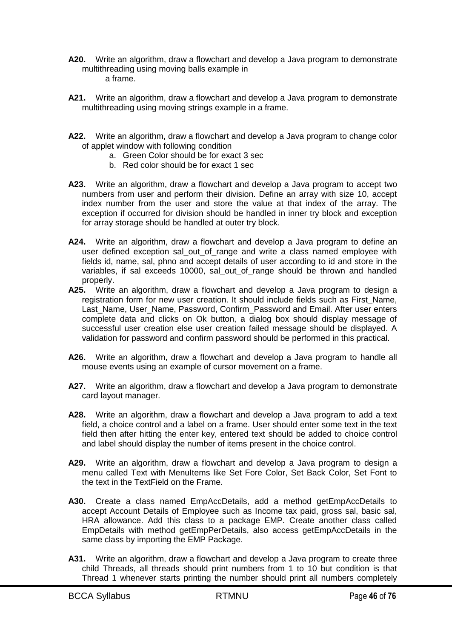- **A20.** Write an algorithm, draw a flowchart and develop a Java program to demonstrate multithreading using moving balls example in a frame.
- **A21.** Write an algorithm, draw a flowchart and develop a Java program to demonstrate multithreading using moving strings example in a frame.
- **A22.** Write an algorithm, draw a flowchart and develop a Java program to change color of applet window with following condition
	- a. Green Color should be for exact 3 sec
	- b. Red color should be for exact 1 sec
- **A23.** Write an algorithm, draw a flowchart and develop a Java program to accept two numbers from user and perform their division. Define an array with size 10, accept index number from the user and store the value at that index of the array. The exception if occurred for division should be handled in inner try block and exception for array storage should be handled at outer try block.
- **A24.** Write an algorithm, draw a flowchart and develop a Java program to define an user defined exception sal out of range and write a class named employee with fields id, name, sal, phno and accept details of user according to id and store in the variables, if sal exceeds 10000, sal out of range should be thrown and handled properly.
- **A25.** Write an algorithm, draw a flowchart and develop a Java program to design a registration form for new user creation. It should include fields such as First\_Name, Last Name, User Name, Password, Confirm Password and Email. After user enters complete data and clicks on Ok button, a dialog box should display message of successful user creation else user creation failed message should be displayed. A validation for password and confirm password should be performed in this practical.
- **A26.** Write an algorithm, draw a flowchart and develop a Java program to handle all mouse events using an example of cursor movement on a frame.
- **A27.** Write an algorithm, draw a flowchart and develop a Java program to demonstrate card layout manager.
- **A28.** Write an algorithm, draw a flowchart and develop a Java program to add a text field, a choice control and a label on a frame. User should enter some text in the text field then after hitting the enter key, entered text should be added to choice control and label should display the number of items present in the choice control.
- **A29.** Write an algorithm, draw a flowchart and develop a Java program to design a menu called Text with MenuItems like Set Fore Color, Set Back Color, Set Font to the text in the TextField on the Frame.
- **A30.** Create a class named EmpAccDetails, add a method getEmpAccDetails to accept Account Details of Employee such as Income tax paid, gross sal, basic sal, HRA allowance. Add this class to a package EMP. Create another class called EmpDetails with method getEmpPerDetails, also access getEmpAccDetails in the same class by importing the EMP Package.
- **A31.** Write an algorithm, draw a flowchart and develop a Java program to create three child Threads, all threads should print numbers from 1 to 10 but condition is that Thread 1 whenever starts printing the number should print all numbers completely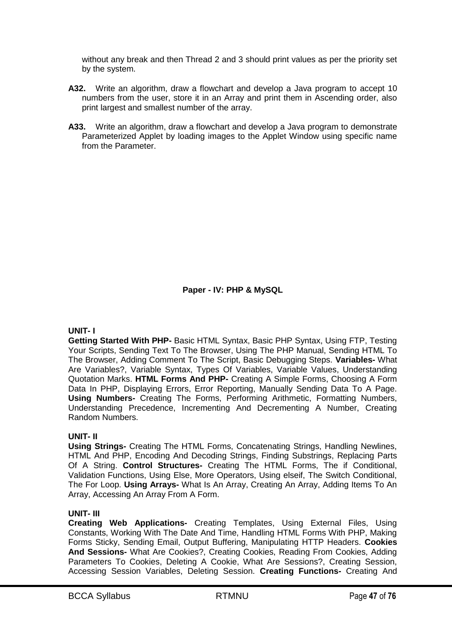without any break and then Thread 2 and 3 should print values as per the priority set by the system.

- **A32.** Write an algorithm, draw a flowchart and develop a Java program to accept 10 numbers from the user, store it in an Array and print them in Ascending order, also print largest and smallest number of the array.
- **A33.** Write an algorithm, draw a flowchart and develop a Java program to demonstrate Parameterized Applet by loading images to the Applet Window using specific name from the Parameter.

**Paper - IV: PHP & MySQL**

#### **UNIT- I**

**Getting Started With PHP-** Basic HTML Syntax, Basic PHP Syntax, Using FTP, Testing Your Scripts, Sending Text To The Browser, Using The PHP Manual, Sending HTML To The Browser, Adding Comment To The Script, Basic Debugging Steps. **Variables-** What Are Variables?, Variable Syntax, Types Of Variables, Variable Values, Understanding Quotation Marks. **HTML Forms And PHP-** Creating A Simple Forms, Choosing A Form Data In PHP, Displaying Errors, Error Reporting, Manually Sending Data To A Page. **Using Numbers-** Creating The Forms, Performing Arithmetic, Formatting Numbers, Understanding Precedence, Incrementing And Decrementing A Number, Creating Random Numbers.

# **UNIT- II**

**Using Strings-** Creating The HTML Forms, Concatenating Strings, Handling Newlines, HTML And PHP, Encoding And Decoding Strings, Finding Substrings, Replacing Parts Of A String. **Control Structures-** Creating The HTML Forms, The if Conditional, Validation Functions, Using Else, More Operators, Using elseif, The Switch Conditional, The For Loop. **Using Arrays-** What Is An Array, Creating An Array, Adding Items To An Array, Accessing An Array From A Form.

# **UNIT- III**

**Creating Web Applications-** Creating Templates, Using External Files, Using Constants, Working With The Date And Time, Handling HTML Forms With PHP, Making Forms Sticky, Sending Email, Output Buffering, Manipulating HTTP Headers. **Cookies And Sessions-** What Are Cookies?, Creating Cookies, Reading From Cookies, Adding Parameters To Cookies, Deleting A Cookie, What Are Sessions?, Creating Session, Accessing Session Variables, Deleting Session. **Creating Functions-** Creating And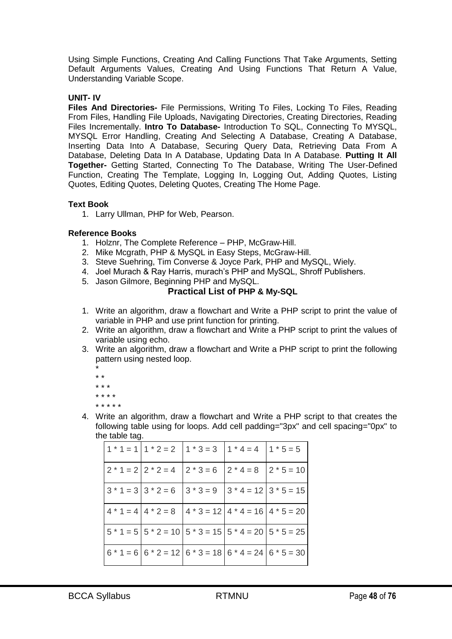Using Simple Functions, Creating And Calling Functions That Take Arguments, Setting Default Arguments Values, Creating And Using Functions That Return A Value, Understanding Variable Scope.

# **UNIT- IV**

**Files And Directories-** File Permissions, Writing To Files, Locking To Files, Reading From Files, Handling File Uploads, Navigating Directories, Creating Directories, Reading Files Incrementally. **Intro To Database-** Introduction To SQL, Connecting To MYSQL, MYSQL Error Handling, Creating And Selecting A Database, Creating A Database, Inserting Data Into A Database, Securing Query Data, Retrieving Data From A Database, Deleting Data In A Database, Updating Data In A Database. **Putting It All Together-** Getting Started, Connecting To The Database, Writing The User-Defined Function, Creating The Template, Logging In, Logging Out, Adding Quotes, Listing Quotes, Editing Quotes, Deleting Quotes, Creating The Home Page.

#### **Text Book**

1. Larry Ullman, PHP for Web, Pearson.

#### **Reference Books**

- 1. Holznr, The Complete Reference PHP, McGraw-Hill.
- 2. Mike Mcgrath, PHP & MySQL in Easy Steps, McGraw-Hill.
- 3. Steve Suehring, Tim Converse & Joyce Park, PHP and MySQL, Wiely.
- 4. Joel Murach & Ray Harris, murach's PHP and MySQL, Shroff Publishers.
- 5. Jason Gilmore, Beginning PHP and MySQL.

# **Practical List of PHP & My-SQL**

- 1. Write an algorithm, draw a flowchart and Write a PHP script to print the value of variable in PHP and use print function for printing.
- 2. Write an algorithm, draw a flowchart and Write a PHP script to print the values of variable using echo.
- 3. Write an algorithm, draw a flowchart and Write a PHP script to print the following pattern using nested loop.
	- \* \* \* \* \* \* \* \* \* \* \* \* \* \* \*
- 4. Write an algorithm, draw a flowchart and Write a PHP script to that creates the following table using for loops. Add cell padding="3px" and cell spacing="0px" to the table tag.

|  | $1 * 1 = 1 1 * 2 = 2 1 * 3 = 3 1 * 4 = 4 1 * 5 = 5$                                        |  |
|--|--------------------------------------------------------------------------------------------|--|
|  | $2 * 1 = 2   2 * 2 = 4   2 * 3 = 6   2 * 4 = 8   2 * 5 = 10$                               |  |
|  | $3 * 1 = 3 \times 2 = 6 \times 3 = 9 \times 4 = 12 \times 5 = 15$                          |  |
|  | $4 * 1 = 4 4 * 2 = 8 4 * 3 = 12 4 * 4 = 16 4 * 5 = 20$                                     |  |
|  | $\left 5 * 1 = 5\right 5 * 2 = 10\left 5 * 3 = 15\right 5 * 4 = 20\left 5 * 5 = 25\right $ |  |
|  | $6 * 1 = 6   6 * 2 = 12   6 * 3 = 18   6 * 4 = 24   6 * 5 = 30$                            |  |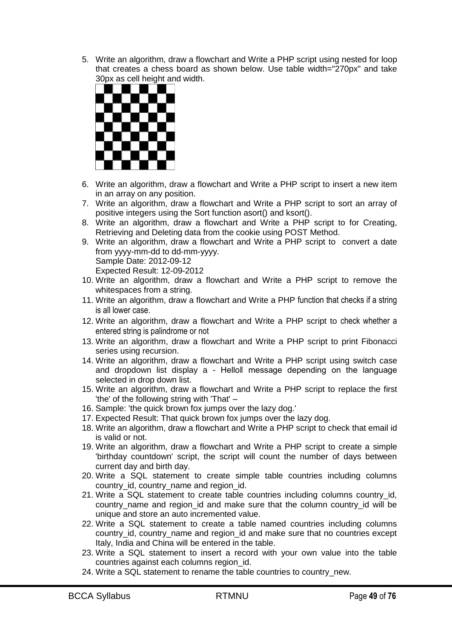5. Write an algorithm, draw a flowchart and Write a PHP script using nested for loop that creates a chess board as shown below. Use table width="270px" and take 30px as cell height and width.



- 6. Write an algorithm, draw a flowchart and Write a PHP script to insert a new item in an array on any position.
- 7. Write an algorithm, draw a flowchart and Write a PHP script to sort an array of positive integers using the Sort function asort() and ksort().
- 8. Write an algorithm, draw a flowchart and Write a PHP script to for Creating, Retrieving and Deleting data from the cookie using POST Method.
- 9. Write an algorithm, draw a flowchart and Write a PHP script to convert a date from yyyy-mm-dd to dd-mm-yyyy. Sample Date: 2012-09-12 Expected Result: 12-09-2012
- 10. Write an algorithm, draw a flowchart and Write a PHP script to remove the whitespaces from a string.
- 11. Write an algorithm, draw a flowchart and Write a PHP function that checks if a string is all lower case.
- 12. Write an algorithm, draw a flowchart and Write a PHP script to check whether a entered string is palindrome or not
- 13. Write an algorithm, draw a flowchart and Write a PHP script to print Fibonacci series using recursion.
- 14. Write an algorithm, draw a flowchart and Write a PHP script using switch case and dropdown list display a - Hello‖ message depending on the language selected in drop down list.
- 15. Write an algorithm, draw a flowchart and Write a PHP script to replace the first 'the' of the following string with 'That' –
- 16. Sample: 'the quick brown fox jumps over the lazy dog.'
- 17. Expected Result: That quick brown fox jumps over the lazy dog.
- 18. Write an algorithm, draw a flowchart and Write a PHP script to check that email id is valid or not.
- 19. Write an algorithm, draw a flowchart and Write a PHP script to create a simple 'birthday countdown' script, the script will count the number of days between current day and birth day.
- 20. Write a SQL statement to create simple table countries including columns country\_id, country\_name and region\_id.
- 21. Write a SQL statement to create table countries including columns country\_id, country name and region id and make sure that the column country id will be unique and store an auto incremented value.
- 22. Write a SQL statement to create a table named countries including columns country\_id, country\_name and region\_id and make sure that no countries except Italy, India and China will be entered in the table.
- 23. Write a SQL statement to insert a record with your own value into the table countries against each columns region\_id.
- 24. Write a SQL statement to rename the table countries to country new.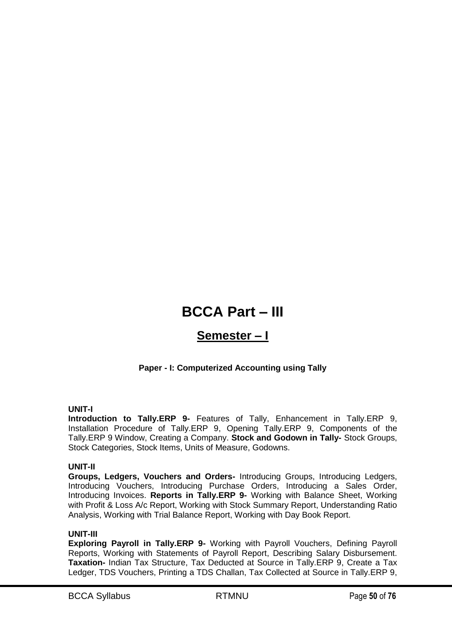# **BCCA Part – III**

# **Semester – I**

# **Paper - I: Computerized Accounting using Tally**

# **UNIT-I**

**Introduction to Tally.ERP 9-** Features of Tally, Enhancement in Tally.ERP 9, Installation Procedure of Tally.ERP 9, Opening Tally.ERP 9, Components of the Tally.ERP 9 Window, Creating a Company. **Stock and Godown in Tally-** Stock Groups, Stock Categories, Stock Items, Units of Measure, Godowns.

# **UNIT-II**

**Groups, Ledgers, Vouchers and Orders-** Introducing Groups, Introducing Ledgers, Introducing Vouchers, Introducing Purchase Orders, Introducing a Sales Order, Introducing Invoices. **Reports in Tally.ERP 9-** Working with Balance Sheet, Working with Profit & Loss A/c Report, Working with Stock Summary Report, Understanding Ratio Analysis, Working with Trial Balance Report, Working with Day Book Report.

#### **UNIT-III**

**Exploring Payroll in Tally.ERP 9-** Working with Payroll Vouchers, Defining Payroll Reports, Working with Statements of Payroll Report, Describing Salary Disbursement. **Taxation-** Indian Tax Structure, Tax Deducted at Source in Tally.ERP 9, Create a Tax Ledger, TDS Vouchers, Printing a TDS Challan, Tax Collected at Source in Tally.ERP 9,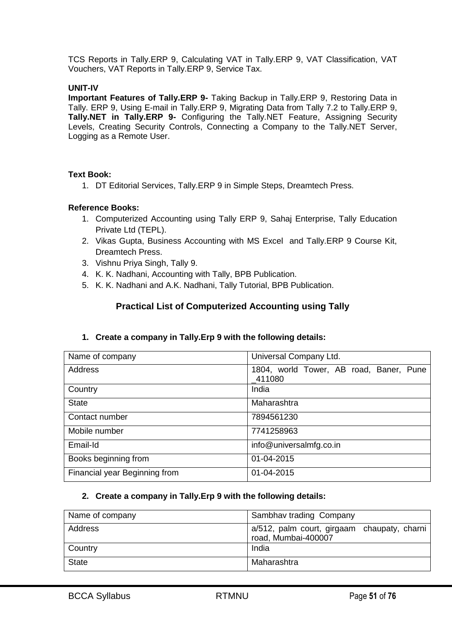TCS Reports in Tally.ERP 9, Calculating VAT in Tally.ERP 9, VAT Classification, VAT Vouchers, VAT Reports in Tally.ERP 9, Service Tax.

#### **UNIT-IV**

**Important Features of Tally.ERP 9-** Taking Backup in Tally.ERP 9, Restoring Data in Tally. ERP 9, Using E-mail in Tally.ERP 9, Migrating Data from Tally 7.2 to Tally.ERP 9, **Tally.NET in Tally.ERP 9-** Configuring the Tally.NET Feature, Assigning Security Levels, Creating Security Controls, Connecting a Company to the Tally.NET Server, Logging as a Remote User.

#### **Text Book:**

1. DT Editorial Services, Tally.ERP 9 in Simple Steps, Dreamtech Press.

#### **Reference Books:**

- 1. Computerized Accounting using Tally ERP 9, Sahaj Enterprise, Tally Education Private Ltd (TEPL).
- 2. Vikas Gupta, Business Accounting with MS Excel and Tally.ERP 9 Course Kit, Dreamtech Press.
- 3. Vishnu Priya Singh, Tally 9.
- 4. K. K. Nadhani, Accounting with Tally, BPB Publication.
- 5. K. K. Nadhani and A.K. Nadhani, Tally Tutorial, BPB Publication.

# **Practical List of Computerized Accounting using Tally**

#### **1. Create a company in Tally.Erp 9 with the following details:**

| Name of company               | Universal Company Ltd.                            |
|-------------------------------|---------------------------------------------------|
| Address                       | 1804, world Tower, AB road, Baner, Pune<br>411080 |
| Country                       | India                                             |
| <b>State</b>                  | Maharashtra                                       |
| Contact number                | 7894561230                                        |
| Mobile number                 | 7741258963                                        |
| Email-Id                      | info@universalmfg.co.in                           |
| Books beginning from          | 01-04-2015                                        |
| Financial year Beginning from | 01-04-2015                                        |

#### **2. Create a company in Tally.Erp 9 with the following details:**

| Name of company | Sambhav trading Company                                            |
|-----------------|--------------------------------------------------------------------|
| Address         | a/512, palm court, girgaam chaupaty, charni<br>road, Mumbai-400007 |
| Country         | India                                                              |
| <b>State</b>    | Maharashtra                                                        |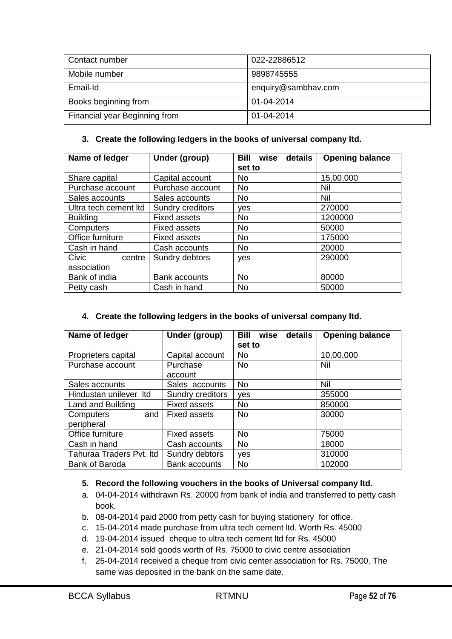| Contact number                | 022-22886512        |
|-------------------------------|---------------------|
| Mobile number                 | 9898745555          |
|                               |                     |
| Email-Id                      | enquiry@sambhav.com |
|                               |                     |
| Books beginning from          | 01-04-2014          |
| Financial year Beginning from | 01-04-2014          |
|                               |                     |

#### **3. Create the following ledgers in the books of universal company ltd.**

| Name of ledger        | Under (group)        | Bill<br>wise<br>details | <b>Opening balance</b> |
|-----------------------|----------------------|-------------------------|------------------------|
|                       |                      | set to                  |                        |
| Share capital         | Capital account      | No.                     | 15,00,000              |
| Purchase account      | Purchase account     | <b>No</b>               | Nil                    |
| Sales accounts        | Sales accounts       | No.                     | Nil                    |
| Ultra tech cement Itd | Sundry creditors     | ves                     | 270000                 |
| <b>Building</b>       | <b>Fixed assets</b>  | <b>No</b>               | 1200000                |
| Computers             | <b>Fixed assets</b>  | No.                     | 50000                  |
| Office furniture      | <b>Fixed assets</b>  | <b>No</b>               | 175000                 |
| Cash in hand          | Cash accounts        | <b>No</b>               | 20000                  |
| Civic<br>centre       | Sundry debtors       | yes                     | 290000                 |
| association           |                      |                         |                        |
| Bank of india         | <b>Bank accounts</b> | <b>No</b>               | 80000                  |
| Petty cash            | Cash in hand         | <b>No</b>               | 50000                  |

# **4. Create the following ledgers in the books of universal company ltd.**

| Name of ledger           | Under (group)        | Bill<br>wise<br>details | <b>Opening balance</b> |
|--------------------------|----------------------|-------------------------|------------------------|
|                          |                      | set to                  |                        |
| Proprieters capital      | Capital account      | No                      | 10,00,000              |
| Purchase account         | Purchase             | <b>No</b>               | Nil                    |
|                          | account              |                         |                        |
| Sales accounts           | Sales accounts       | <b>No</b>               | Nil                    |
| Hindustan unilever Itd   | Sundry creditors     | yes                     | 355000                 |
| Land and Building        | <b>Fixed assets</b>  | <b>No</b>               | 850000                 |
| Computers<br>and I       | <b>Fixed assets</b>  | <b>No</b>               | 30000                  |
| peripheral               |                      |                         |                        |
| Office furniture         | <b>Fixed assets</b>  | <b>No</b>               | 75000                  |
| Cash in hand             | Cash accounts        | <b>No</b>               | 18000                  |
| Tahuraa Traders Pvt. Itd | Sundry debtors       | ves                     | 310000                 |
| <b>Bank of Baroda</b>    | <b>Bank accounts</b> | No                      | 102000                 |

# **5. Record the following vouchers in the books of Universal company ltd.**

- a. 04-04-2014 withdrawn Rs. 20000 from bank of india and transferred to petty cash book.
- b. 08-04-2014 paid 2000 from petty cash for buying stationery for office.
- c. 15-04-2014 made purchase from ultra tech cement ltd. Worth Rs. 45000
- d. 19-04-2014 issued cheque to ultra tech cement ltd for Rs. 45000
- e. 21-04-2014 sold goods worth of Rs. 75000 to civic centre association
- f. 25-04-2014 received a cheque from civic center association for Rs. 75000. The same was deposited in the bank on the same date.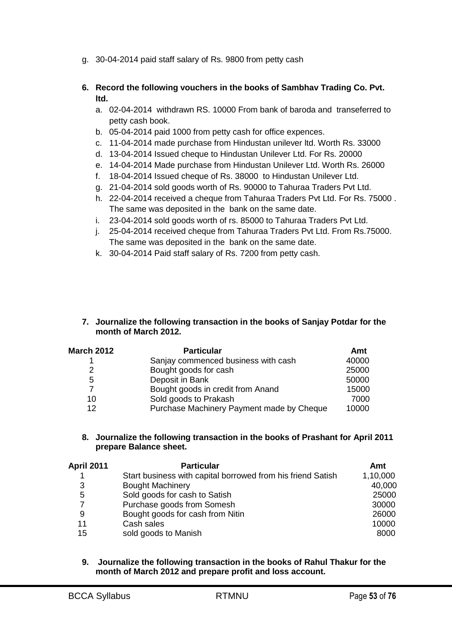g. 30-04-2014 paid staff salary of Rs. 9800 from petty cash

# **6. Record the following vouchers in the books of Sambhav Trading Co. Pvt. ltd.**

- a. 02-04-2014 withdrawn RS. 10000 From bank of baroda and transeferred to petty cash book.
- b. 05-04-2014 paid 1000 from petty cash for office expences.
- c. 11-04-2014 made purchase from Hindustan unilever ltd. Worth Rs. 33000
- d. 13-04-2014 Issued cheque to Hindustan Unilever Ltd. For Rs. 20000
- e. 14-04-2014 Made purchase from Hindustan Unilever Ltd. Worth Rs. 26000
- f. 18-04-2014 Issued cheque of Rs. 38000 to Hindustan Unilever Ltd.
- g. 21-04-2014 sold goods worth of Rs. 90000 to Tahuraa Traders Pvt Ltd.
- h. 22-04-2014 received a cheque from Tahuraa Traders Pvt Ltd. For Rs. 75000 . The same was deposited in the bank on the same date.
- i. 23-04-2014 sold goods worth of rs. 85000 to Tahuraa Traders Pvt Ltd.
- j. 25-04-2014 received cheque from Tahuraa Traders Pvt Ltd. From Rs.75000. The same was deposited in the bank on the same date.
- k. 30-04-2014 Paid staff salary of Rs. 7200 from petty cash.

#### **7. Journalize the following transaction in the books of Sanjay Potdar for the month of March 2012.**

| <b>March 2012</b> | <b>Particular</b>                         | Amt   |
|-------------------|-------------------------------------------|-------|
|                   | Sanjay commenced business with cash       | 40000 |
| 2                 | Bought goods for cash                     | 25000 |
| 5                 | Deposit in Bank                           | 50000 |
|                   | Bought goods in credit from Anand         | 15000 |
| 10                | Sold goods to Prakash                     | 7000  |
| 12 <sup>2</sup>   | Purchase Machinery Payment made by Cheque | 10000 |

#### **8. Journalize the following transaction in the books of Prashant for April 2011 prepare Balance sheet.**

| April 2011 | <b>Particular</b>                                           | Amt      |
|------------|-------------------------------------------------------------|----------|
| 1          | Start business with capital borrowed from his friend Satish | 1,10,000 |
| 3          | <b>Bought Machinery</b>                                     | 40,000   |
| 5          | Sold goods for cash to Satish                               | 25000    |
|            | Purchase goods from Somesh                                  | 30000    |
| 9          | Bought goods for cash from Nitin                            | 26000    |
| 11         | Cash sales                                                  | 10000    |
| 15         | sold goods to Manish                                        | 8000     |

**9. Journalize the following transaction in the books of Rahul Thakur for the month of March 2012 and prepare profit and loss account.**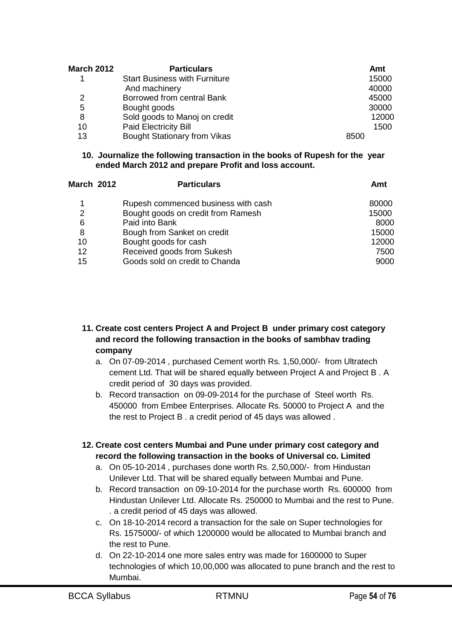| <b>March 2012</b> | <b>Particulars</b>                   | Amt   |
|-------------------|--------------------------------------|-------|
|                   | <b>Start Business with Furniture</b> | 15000 |
|                   | And machinery                        | 40000 |
| 2                 | Borrowed from central Bank           | 45000 |
| 5                 | Bought goods                         | 30000 |
| 8                 | Sold goods to Manoj on credit        | 12000 |
| 10                | <b>Paid Electricity Bill</b>         | 1500  |
| 13                | <b>Bought Stationary from Vikas</b>  | 8500  |

#### **10. Journalize the following transaction in the books of Rupesh for the year ended March 2012 and prepare Profit and loss account.**

| <b>March 2012</b> | <b>Particulars</b>                  | Amt   |
|-------------------|-------------------------------------|-------|
| 1                 | Rupesh commenced business with cash | 80000 |
| 2                 | Bought goods on credit from Ramesh  | 15000 |
| 6                 | Paid into Bank                      | 8000  |
| 8                 | Bough from Sanket on credit         | 15000 |
| 10                | Bought goods for cash               | 12000 |
| 12                | Received goods from Sukesh          | 7500  |
| 15                | Goods sold on credit to Chanda      | 9000  |

# **11. Create cost centers Project A and Project B under primary cost category and record the following transaction in the books of sambhav trading company**

- a. On 07-09-2014 , purchased Cement worth Rs. 1,50,000/- from Ultratech cement Ltd. That will be shared equally between Project A and Project B . A credit period of 30 days was provided.
- b. Record transaction on 09-09-2014 for the purchase of Steel worth Rs. 450000 from Embee Enterprises. Allocate Rs. 50000 to Project A and the the rest to Project B . a credit period of 45 days was allowed .

# **12. Create cost centers Mumbai and Pune under primary cost category and record the following transaction in the books of Universal co. Limited**

- a. On 05-10-2014 , purchases done worth Rs. 2,50,000/- from Hindustan Unilever Ltd. That will be shared equally between Mumbai and Pune.
- b. Record transaction on 09-10-2014 for the purchase worth Rs. 600000 from Hindustan Unilever Ltd. Allocate Rs. 250000 to Mumbai and the rest to Pune. . a credit period of 45 days was allowed.
- c. On 18-10-2014 record a transaction for the sale on Super technologies for Rs. 1575000/- of which 1200000 would be allocated to Mumbai branch and the rest to Pune.
- d. On 22-10-2014 one more sales entry was made for 1600000 to Super technologies of which 10,00,000 was allocated to pune branch and the rest to Mumbai.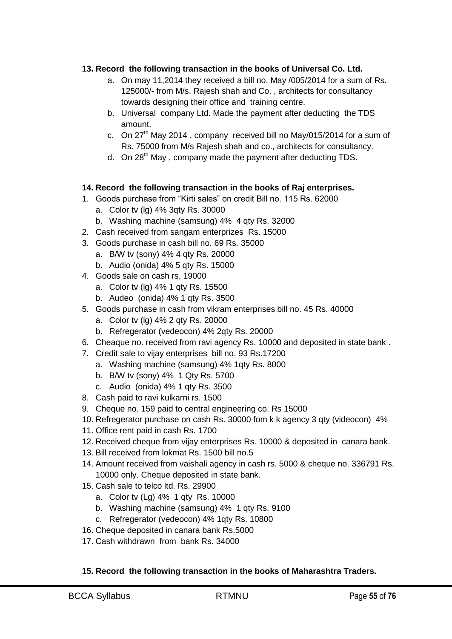# **13. Record the following transaction in the books of Universal Co. Ltd.**

- a. On may 11,2014 they received a bill no. May /005/2014 for a sum of Rs. 125000/- from M/s. Rajesh shah and Co. , architects for consultancy towards designing their office and training centre.
- b. Universal company Ltd. Made the payment after deducting the TDS amount.
- c. On  $27<sup>th</sup>$  May 2014, company received bill no May/015/2014 for a sum of Rs. 75000 from M/s Rajesh shah and co., architects for consultancy.
- d. On 28<sup>th</sup> May, company made the payment after deducting TDS.

# **14. Record the following transaction in the books of Raj enterprises.**

- 1. Goods purchase from "Kirti sales" on credit Bill no. 115 Rs. 62000
	- a. Color tv (lg) 4% 3qty Rs. 30000
	- b. Washing machine (samsung) 4% 4 qty Rs. 32000
- 2. Cash received from sangam enterprizes Rs. 15000
- 3. Goods purchase in cash bill no. 69 Rs. 35000
	- a. B/W tv (sony) 4% 4 qty Rs. 20000
	- b. Audio (onida) 4% 5 qty Rs. 15000
- 4. Goods sale on cash rs, 19000
	- a. Color tv (lg) 4% 1 qty Rs. 15500
	- b. Audeo (onida) 4% 1 qty Rs. 3500
- 5. Goods purchase in cash from vikram enterprises bill no. 45 Rs. 40000
	- a. Color tv (lg) 4% 2 qty Rs. 20000
	- b. Refregerator (vedeocon) 4% 2qty Rs. 20000
- 6. Cheaque no. received from ravi agency Rs. 10000 and deposited in state bank .
- 7. Credit sale to vijay enterprises bill no. 93 Rs.17200
	- a. Washing machine (samsung) 4% 1qty Rs. 8000
	- b. B/W tv (sony) 4% 1 Qty Rs. 5700
	- c. Audio (onida) 4% 1 qty Rs. 3500
- 8. Cash paid to ravi kulkarni rs. 1500
- 9. Cheque no. 159 paid to central engineering co. Rs 15000
- 10. Refregerator purchase on cash Rs. 30000 fom k k agency 3 qty (videocon) 4%
- 11. Office rent paid in cash Rs. 1700
- 12. Received cheque from vijay enterprises Rs. 10000 & deposited in canara bank.
- 13. Bill received from lokmat Rs. 1500 bill no.5
- 14. Amount received from vaishali agency in cash rs. 5000 & cheque no. 336791 Rs. 10000 only. Cheque deposited in state bank.
- 15. Cash sale to telco ltd. Rs. 29900
	- a. Color tv (Lg) 4% 1 qty Rs. 10000
	- b. Washing machine (samsung) 4% 1 qty Rs. 9100
	- c. Refregerator (vedeocon) 4% 1qty Rs. 10800
- 16. Cheque deposited in canara bank Rs.5000
- 17. Cash withdrawn from bank Rs. 34000

# **15. Record the following transaction in the books of Maharashtra Traders.**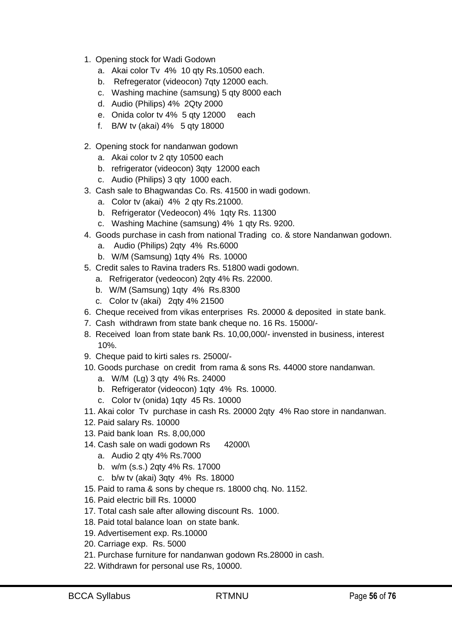- 1. Opening stock for Wadi Godown
	- a. Akai color Tv 4% 10 qty Rs.10500 each.
	- b. Refregerator (videocon) 7qty 12000 each.
	- c. Washing machine (samsung) 5 qty 8000 each
	- d. Audio (Philips) 4% 2Qty 2000
	- e. Onida color tv 4% 5 qty 12000 each
	- f. B/W tv (akai) 4% 5 qty 18000
- 2. Opening stock for nandanwan godown
	- a. Akai color tv 2 qty 10500 each
	- b. refrigerator (videocon) 3qty 12000 each
	- c. Audio (Philips) 3 qty 1000 each.
- 3. Cash sale to Bhagwandas Co. Rs. 41500 in wadi godown.
	- a. Color tv (akai) 4% 2 qty Rs.21000.
	- b. Refrigerator (Vedeocon) 4% 1qty Rs. 11300
	- c. Washing Machine (samsung) 4% 1 qty Rs. 9200.
- 4. Goods purchase in cash from national Trading co. & store Nandanwan godown.
	- a. Audio (Philips) 2qty 4% Rs.6000
	- b. W/M (Samsung) 1qty 4% Rs. 10000
- 5. Credit sales to Ravina traders Rs. 51800 wadi godown.
	- a. Refrigerator (vedeocon) 2qty 4% Rs. 22000.
	- b. W/M (Samsung) 1qty 4% Rs.8300
	- c. Color tv (akai) 2qty 4% 21500
- 6. Cheque received from vikas enterprises Rs. 20000 & deposited in state bank.
- 7. Cash withdrawn from state bank cheque no. 16 Rs. 15000/-
- 8. Received loan from state bank Rs. 10,00,000/- invensted in business, interest 10%.
- 9. Cheque paid to kirti sales rs. 25000/-
- 10. Goods purchase on credit from rama & sons Rs. 44000 store nandanwan.
	- a. W/M (Lg) 3 qty 4% Rs. 24000
	- b. Refrigerator (videocon) 1qty 4% Rs. 10000.
	- c. Color tv (onida) 1qty 45 Rs. 10000
- 11. Akai color Tv purchase in cash Rs. 20000 2qty 4% Rao store in nandanwan.
- 12. Paid salary Rs. 10000
- 13. Paid bank loan Rs. 8,00,000
- 14. Cash sale on wadi godown Rs 42000\
	- a. Audio 2 qty 4% Rs.7000
	- b. w/m (s.s.) 2qty 4% Rs. 17000
	- c. b/w tv (akai) 3qty 4% Rs. 18000
- 15. Paid to rama & sons by cheque rs. 18000 chq. No. 1152.
- 16. Paid electric bill Rs. 10000
- 17. Total cash sale after allowing discount Rs. 1000.
- 18. Paid total balance loan on state bank.
- 19. Advertisement exp. Rs.10000
- 20. Carriage exp. Rs. 5000
- 21. Purchase furniture for nandanwan godown Rs.28000 in cash.
- 22. Withdrawn for personal use Rs, 10000.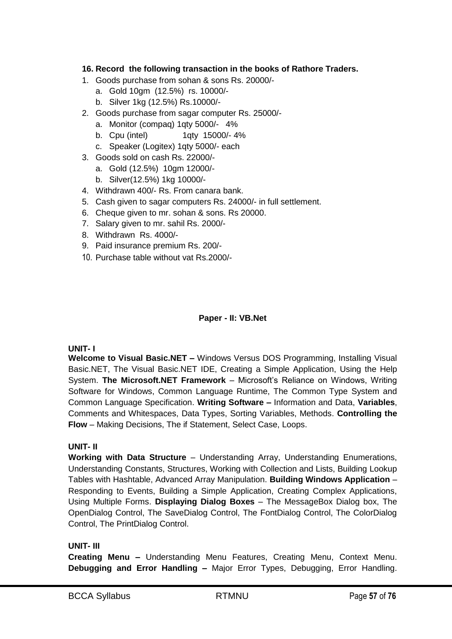# **16. Record the following transaction in the books of Rathore Traders.**

- 1. Goods purchase from sohan & sons Rs. 20000/
	- a. Gold 10gm (12.5%) rs. 10000/-
	- b. Silver 1kg (12.5%) Rs.10000/-
- 2. Goods purchase from sagar computer Rs. 25000/
	- a. Monitor (compaq) 1qty 5000/- 4%
	- b. Cpu (intel) 1qty 15000/- 4%
	- c. Speaker (Logitex) 1qty 5000/- each
- 3. Goods sold on cash Rs. 22000/
	- a. Gold (12.5%) 10gm 12000/-
	- b. Silver(12.5%) 1kg 10000/-
- 4. Withdrawn 400/- Rs. From canara bank.
- 5. Cash given to sagar computers Rs. 24000/- in full settlement.
- 6. Cheque given to mr. sohan & sons. Rs 20000.
- 7. Salary given to mr. sahil Rs. 2000/-
- 8. Withdrawn Rs. 4000/-
- 9. Paid insurance premium Rs. 200/-
- 10. Purchase table without vat Rs.2000/-

# **Paper - II: VB.Net**

# **UNIT- I**

**Welcome to Visual Basic.NET –** Windows Versus DOS Programming, Installing Visual Basic.NET, The Visual Basic.NET IDE, Creating a Simple Application, Using the Help System. **The Microsoft.NET Framework** – Microsoft's Reliance on Windows, Writing Software for Windows, Common Language Runtime, The Common Type System and Common Language Specification. **Writing Software –** Information and Data, **Variables**, Comments and Whitespaces, Data Types, Sorting Variables, Methods. **Controlling the Flow** – Making Decisions, The if Statement, Select Case, Loops.

# **UNIT- II**

**Working with Data Structure** – Understanding Array, Understanding Enumerations, Understanding Constants, Structures, Working with Collection and Lists, Building Lookup Tables with Hashtable, Advanced Array Manipulation. **Building Windows Application** – Responding to Events, Building a Simple Application, Creating Complex Applications, Using Multiple Forms. **Displaying Dialog Boxes** – The MessageBox Dialog box, The OpenDialog Control, The SaveDialog Control, The FontDialog Control, The ColorDialog Control, The PrintDialog Control.

# **UNIT- III**

**Creating Menu –** Understanding Menu Features, Creating Menu, Context Menu. **Debugging and Error Handling –** Major Error Types, Debugging, Error Handling.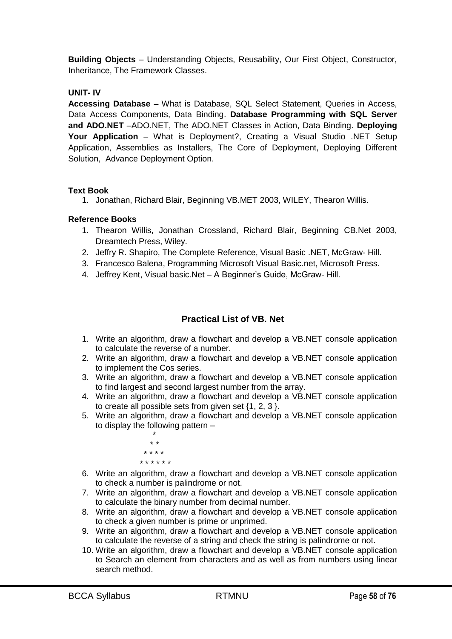**Building Objects** – Understanding Objects, Reusability, Our First Object, Constructor, Inheritance, The Framework Classes.

# **UNIT- IV**

**Accessing Database –** What is Database, SQL Select Statement, Queries in Access, Data Access Components, Data Binding. **Database Programming with SQL Server and ADO.NET** –ADO.NET, The ADO.NET Classes in Action, Data Binding. **Deploying Your Application** – What is Deployment?, Creating a Visual Studio .NET Setup Application, Assemblies as Installers, The Core of Deployment, Deploying Different Solution, Advance Deployment Option.

# **Text Book**

1. Jonathan, Richard Blair, Beginning VB.MET 2003, WILEY, Thearon Willis.

# **Reference Books**

- 1. Thearon Willis, Jonathan Crossland, Richard Blair, Beginning CB.Net 2003, Dreamtech Press, Wiley.
- 2. Jeffry R. Shapiro, The Complete Reference, Visual Basic .NET, McGraw- Hill.
- 3. Francesco Balena, Programming Microsoft Visual Basic.net, Microsoft Press.
- 4. Jeffrey Kent, Visual basic.Net A Beginner's Guide, McGraw- Hill.

# **Practical List of VB. Net**

- 1. Write an algorithm, draw a flowchart and develop a VB.NET console application to calculate the reverse of a number.
- 2. Write an algorithm, draw a flowchart and develop a VB.NET console application to implement the Cos series.
- 3. Write an algorithm, draw a flowchart and develop a VB.NET console application to find largest and second largest number from the array.
- 4. Write an algorithm, draw a flowchart and develop a VB.NET console application to create all possible sets from given set {1, 2, 3 }.
- 5. Write an algorithm, draw a flowchart and develop a VB.NET console application to display the following pattern –



- 6. Write an algorithm, draw a flowchart and develop a VB.NET console application to check a number is palindrome or not.
- 7. Write an algorithm, draw a flowchart and develop a VB.NET console application to calculate the binary number from decimal number.
- 8. Write an algorithm, draw a flowchart and develop a VB.NET console application to check a given number is prime or unprimed.
- 9. Write an algorithm, draw a flowchart and develop a VB.NET console application to calculate the reverse of a string and check the string is palindrome or not.
- 10. Write an algorithm, draw a flowchart and develop a VB.NET console application to Search an element from characters and as well as from numbers using linear search method.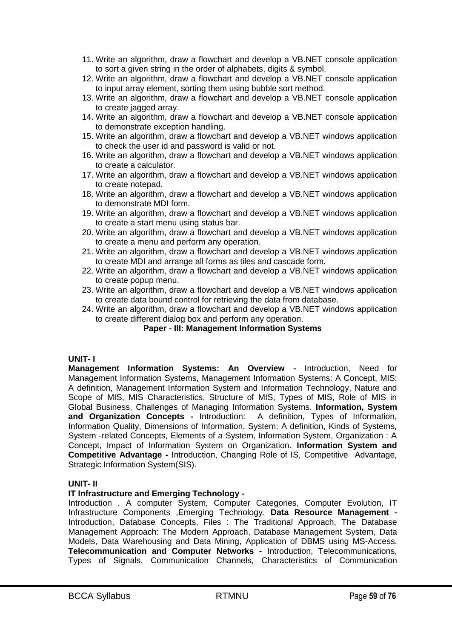- 11. Write an algorithm, draw a flowchart and develop a VB.NET console application to sort a given string in the order of alphabets, digits & symbol.
- 12. Write an algorithm, draw a flowchart and develop a VB.NET console application to input array element, sorting them using bubble sort method.
- 13. Write an algorithm, draw a flowchart and develop a VB.NET console application to create jagged array.
- 14. Write an algorithm, draw a flowchart and develop a VB.NET console application to demonstrate exception handling.
- 15. Write an algorithm, draw a flowchart and develop a VB.NET windows application to check the user id and password is valid or not.
- 16. Write an algorithm, draw a flowchart and develop a VB.NET windows application to create a calculator.
- 17. Write an algorithm, draw a flowchart and develop a VB.NET windows application to create notepad.
- 18. Write an algorithm, draw a flowchart and develop a VB.NET windows application to demonstrate MDI form.
- 19. Write an algorithm, draw a flowchart and develop a VB.NET windows application to create a start menu using status bar.
- 20. Write an algorithm, draw a flowchart and develop a VB.NET windows application to create a menu and perform any operation.
- 21. Write an algorithm, draw a flowchart and develop a VB.NET windows application to create MDI and arrange all forms as tiles and cascade form.
- 22. Write an algorithm, draw a flowchart and develop a VB.NET windows application to create popup menu.
- 23. Write an algorithm, draw a flowchart and develop a VB.NET windows application to create data bound control for retrieving the data from database.
- 24. Write an algorithm, draw a flowchart and develop a VB.NET windows application to create different dialog box and perform any operation.

# **Paper - III: Management Information Systems**

#### **UNIT- I**

**Management Information Systems: An Overview -** Introduction, Need for Management Information Systems, Management Information Systems: A Concept, MIS: A definition, Management Information System and Information Technology, Nature and Scope of MIS, MIS Characteristics, Structure of MIS, Types of MIS, Role of MIS in Global Business, Challenges of Managing Information Systems. **Information, System and Organization Concepts -** Introduction: A definition, Types of Information, Information Quality, Dimensions of Information, System: A definition, Kinds of Systems, System -related Concepts, Elements of a System, Information System, Organization : A Concept, Impact of Information System on Organization. **Information System and Competitive Advantage -** Introduction, Changing Role of IS, Competitive Advantage, Strategic Information System(SIS).

#### **UNIT- II**

# **IT Infrastructure and Emerging Technology -**

Introduction , A computer System, Computer Categories, Computer Evolution, IT Infrastructure Components ,Emerging Technology. **Data Resource Management -** Introduction, Database Concepts, Files : The Traditional Approach, The Database Management Approach: The Modern Approach, Database Management System, Data Models, Data Warehousing and Data Mining, Application of DBMS using MS-Access. **Telecommunication and Computer Networks -** Introduction, Telecommunications, Types of Signals, Communication Channels, Characteristics of Communication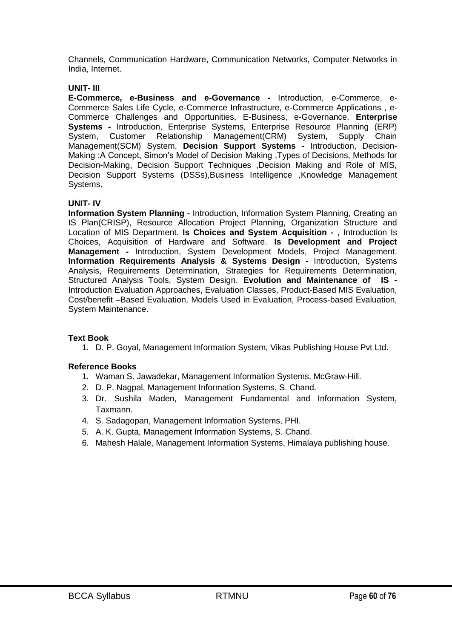Channels, Communication Hardware, Communication Networks, Computer Networks in India, Internet.

#### **UNIT- III**

**E-Commerce, e-Business and e-Governance -** Introduction, e-Commerce, e-Commerce Sales Life Cycle, e-Commerce Infrastructure, e-Commerce Applications , e-Commerce Challenges and Opportunities, E-Business, e-Governance. **Enterprise Systems -** Introduction, Enterprise Systems, Enterprise Resource Planning (ERP) System, Customer Relationship Management(CRM) System, Supply Chain Management(SCM) System. **Decision Support Systems -** Introduction, Decision-Making :A Concept, Simon's Model of Decision Making ,Types of Decisions, Methods for Decision-Making, Decision Support Techniques ,Decision Making and Role of MIS, Decision Support Systems (DSSs),Business Intelligence ,Knowledge Management Systems.

#### **UNIT- IV**

**Information System Planning -** Introduction, Information System Planning, Creating an IS Plan(CRISP), Resource Allocation Project Planning, Organization Structure and Location of MIS Department. **Is Choices and System Acquisition -** , Introduction Is Choices, Acquisition of Hardware and Software. **Is Development and Project Management -** Introduction, System Development Models, Project Management. **Information Requirements Analysis & Systems Design -** Introduction, Systems Analysis, Requirements Determination, Strategies for Requirements Determination, Structured Analysis Tools, System Design. **Evolution and Maintenance of IS -** Introduction Evaluation Approaches, Evaluation Classes, Product-Based MIS Evaluation, Cost/benefit –Based Evaluation, Models Used in Evaluation, Process-based Evaluation, System Maintenance.

#### **Text Book**

1. D. P. Goyal, Management Information System, Vikas Publishing House Pvt Ltd.

#### **Reference Books**

- 1. Waman S. Jawadekar, Management Information Systems, McGraw-Hill.
- 2. D. P. Nagpal, Management Information Systems, S. Chand.
- 3. Dr. Sushila Maden, Management Fundamental and Information System, Taxmann.
- 4. S. Sadagopan, Management Information Systems, PHI.
- 5. A. K. Gupta, Management Information Systems, S. Chand.
- 6. Mahesh Halale, Management Information Systems, Himalaya publishing house.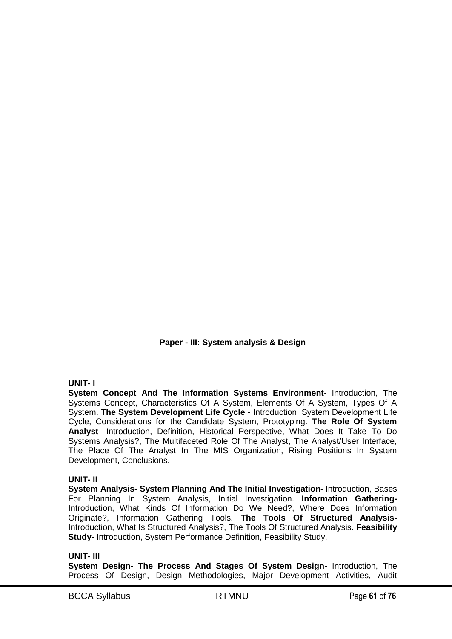**Paper - III: System analysis & Design**

# **UNIT- I**

**System Concept And The Information Systems Environment**- Introduction, The Systems Concept, Characteristics Of A System, Elements Of A System, Types Of A System. **The System Development Life Cycle** - Introduction, System Development Life Cycle, Considerations for the Candidate System, Prototyping. **The Role Of System Analyst**- Introduction, Definition, Historical Perspective, What Does It Take To Do Systems Analysis?, The Multifaceted Role Of The Analyst, The Analyst/User Interface, The Place Of The Analyst In The MIS Organization, Rising Positions In System Development, Conclusions.

# **UNIT- II**

**System Analysis- System Planning And The Initial Investigation-** Introduction, Bases For Planning In System Analysis, Initial Investigation. **Information Gathering-**Introduction, What Kinds Of Information Do We Need?, Where Does Information Originate?, Information Gathering Tools. **The Tools Of Structured Analysis-**Introduction, What Is Structured Analysis?, The Tools Of Structured Analysis. **Feasibility Study-** Introduction, System Performance Definition, Feasibility Study.

# **UNIT- III**

**System Design- The Process And Stages Of System Design-** Introduction, The Process Of Design, Design Methodologies, Major Development Activities, Audit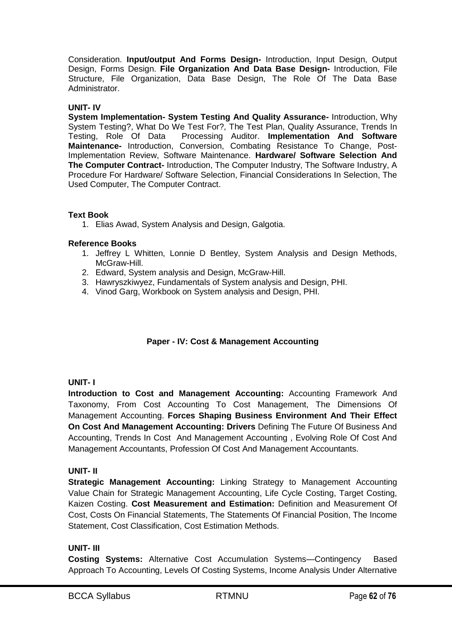Consideration. **Input/output And Forms Design-** Introduction, Input Design, Output Design, Forms Design. **File Organization And Data Base Design-** Introduction, File Structure, File Organization, Data Base Design, The Role Of The Data Base Administrator.

# **UNIT- IV**

**System Implementation- System Testing And Quality Assurance-** Introduction, Why System Testing?, What Do We Test For?, The Test Plan, Quality Assurance, Trends In Testing, Role Of Data Processing Auditor. **Implementation And Software Maintenance-** Introduction, Conversion, Combating Resistance To Change, Post-Implementation Review, Software Maintenance. **Hardware/ Software Selection And The Computer Contract-** Introduction, The Computer Industry, The Software Industry, A Procedure For Hardware/ Software Selection, Financial Considerations In Selection, The Used Computer, The Computer Contract.

# **Text Book**

1. Elias Awad, System Analysis and Design, Galgotia.

# **Reference Books**

- 1. Jeffrey L Whitten, Lonnie D Bentley, System Analysis and Design Methods, McGraw-Hill.
- 2. Edward, System analysis and Design, McGraw-Hill.
- 3. Hawryszkiwyez, Fundamentals of System analysis and Design, PHI.
- 4. Vinod Garg, Workbook on System analysis and Design, PHI.

# **Paper - IV: Cost & Management Accounting**

# **UNIT- I**

**Introduction to Cost and Management Accounting:** Accounting Framework And Taxonomy, From Cost Accounting To Cost Management, The Dimensions Of Management Accounting. **Forces Shaping Business Environment And Their Effect On Cost And Management Accounting: Drivers** Defining The Future Of Business And Accounting, Trends In Cost And Management Accounting , Evolving Role Of Cost And Management Accountants, Profession Of Cost And Management Accountants.

# **UNIT- II**

**Strategic Management Accounting:** Linking Strategy to Management Accounting Value Chain for Strategic Management Accounting, Life Cycle Costing, Target Costing, Kaizen Costing. **Cost Measurement and Estimation:** Definition and Measurement Of Cost, Costs On Financial Statements, The Statements Of Financial Position, The Income Statement, Cost Classification, Cost Estimation Methods.

# **UNIT- III**

**Costing Systems:** Alternative Cost Accumulation Systems—Contingency Based Approach To Accounting, Levels Of Costing Systems, Income Analysis Under Alternative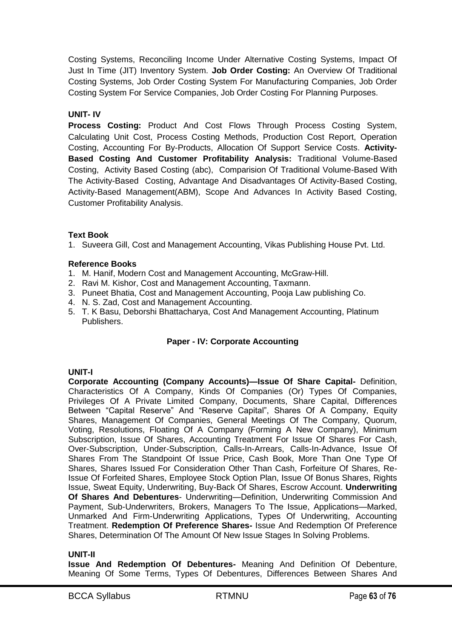Costing Systems, Reconciling Income Under Alternative Costing Systems, Impact Of Just In Time (JIT) Inventory System. **Job Order Costing:** An Overview Of Traditional Costing Systems, Job Order Costing System For Manufacturing Companies, Job Order Costing System For Service Companies, Job Order Costing For Planning Purposes.

# **UNIT- IV**

**Process Costing:** Product And Cost Flows Through Process Costing System, Calculating Unit Cost, Process Costing Methods, Production Cost Report, Operation Costing, Accounting For By-Products, Allocation Of Support Service Costs. **Activity-Based Costing And Customer Profitability Analysis:** Traditional Volume-Based Costing, Activity Based Costing (abc), Comparision Of Traditional Volume-Based With The Activity-Based Costing, Advantage And Disadvantages Of Activity-Based Costing, Activity-Based Management(ABM), Scope And Advances In Activity Based Costing, Customer Profitability Analysis.

# **Text Book**

1. Suveera Gill, Cost and Management Accounting, Vikas Publishing House Pvt. Ltd.

# **Reference Books**

- 1. M. Hanif, Modern Cost and Management Accounting, McGraw-Hill.
- 2. Ravi M. Kishor, Cost and Management Accounting, Taxmann.
- 3. Puneet Bhatia, Cost and Management Accounting, Pooja Law publishing Co.
- 4. N. S. Zad, Cost and Management Accounting.
- 5. T. K Basu, Deborshi Bhattacharya, Cost And Management Accounting, Platinum Publishers.

# **Paper - IV: Corporate Accounting**

# **UNIT-I**

**Corporate Accounting (Company Accounts)—Issue Of Share Capital-** Definition, Characteristics Of A Company, Kinds Of Companies (Or) Types Of Companies, Privileges Of A Private Limited Company, Documents, Share Capital, Differences Between "Capital Reserve" And "Reserve Capital", Shares Of A Company, Equity Shares, Management Of Companies, General Meetings Of The Company, Quorum, Voting, Resolutions, Floating Of A Company (Forming A New Company), Minimum Subscription, Issue Of Shares, Accounting Treatment For Issue Of Shares For Cash, Over-Subscription, Under-Subscription, Calls-In-Arrears, Calls-In-Advance, Issue Of Shares From The Standpoint Of Issue Price, Cash Book, More Than One Type Of Shares, Shares Issued For Consideration Other Than Cash, Forfeiture Of Shares, Re-Issue Of Forfeited Shares, Employee Stock Option Plan, Issue Of Bonus Shares, Rights Issue, Sweat Equity, Underwriting, Buy-Back Of Shares, Escrow Account. **Underwriting Of Shares And Debentures**- Underwriting—Definition, Underwriting Commission And Payment, Sub-Underwriters, Brokers, Managers To The Issue, Applications—Marked, Unmarked And Firm-Underwriting Applications, Types Of Underwriting, Accounting Treatment. **Redemption Of Preference Shares-** Issue And Redemption Of Preference Shares, Determination Of The Amount Of New Issue Stages In Solving Problems.

# **UNIT-II**

**Issue And Redemption Of Debentures-** Meaning And Definition Of Debenture, Meaning Of Some Terms, Types Of Debentures, Differences Between Shares And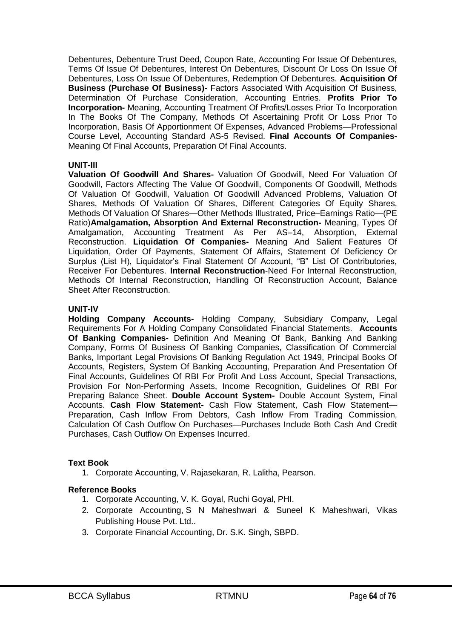Debentures, Debenture Trust Deed, Coupon Rate, Accounting For Issue Of Debentures, Terms Of Issue Of Debentures, Interest On Debentures, Discount Or Loss On Issue Of Debentures, Loss On Issue Of Debentures, Redemption Of Debentures. **Acquisition Of Business (Purchase Of Business)-** Factors Associated With Acquisition Of Business, Determination Of Purchase Consideration, Accounting Entries. **Profits Prior To Incorporation-** Meaning, Accounting Treatment Of Profits/Losses Prior To Incorporation In The Books Of The Company, Methods Of Ascertaining Profit Or Loss Prior To Incorporation, Basis Of Apportionment Of Expenses, Advanced Problems—Professional Course Level, Accounting Standard AS-5 Revised. **Final Accounts Of Companies-**Meaning Of Final Accounts, Preparation Of Final Accounts.

# **UNIT-III**

**Valuation Of Goodwill And Shares-** Valuation Of Goodwill, Need For Valuation Of Goodwill, Factors Affecting The Value Of Goodwill, Components Of Goodwill, Methods Of Valuation Of Goodwill, Valuation Of Goodwill Advanced Problems, Valuation Of Shares, Methods Of Valuation Of Shares, Different Categories Of Equity Shares, Methods Of Valuation Of Shares—Other Methods Illustrated, Price–Earnings Ratio—(PE Ratio)**Amalgamation, Absorption And External Reconstruction-** Meaning, Types Of Amalgamation, Accounting Treatment As Per AS–14, Absorption, External Reconstruction. **Liquidation Of Companies-** Meaning And Salient Features Of Liquidation, Order Of Payments, Statement Of Affairs, Statement Of Deficiency Or Surplus (List H), Liquidator's Final Statement Of Account, "B" List Of Contributories, Receiver For Debentures. **Internal Reconstruction**-Need For Internal Reconstruction, Methods Of Internal Reconstruction, Handling Of Reconstruction Account, Balance Sheet After Reconstruction.

#### **UNIT-IV**

**Holding Company Accounts-** Holding Company, Subsidiary Company, Legal Requirements For A Holding Company Consolidated Financial Statements. **Accounts Of Banking Companies-** Definition And Meaning Of Bank, Banking And Banking Company, Forms Of Business Of Banking Companies, Classification Of Commercial Banks, Important Legal Provisions Of Banking Regulation Act 1949, Principal Books Of Accounts, Registers, System Of Banking Accounting, Preparation And Presentation Of Final Accounts, Guidelines Of RBI For Profit And Loss Account, Special Transactions, Provision For Non-Performing Assets, Income Recognition, Guidelines Of RBI For Preparing Balance Sheet. **Double Account System-** Double Account System, Final Accounts. **Cash Flow Statement-** Cash Flow Statement, Cash Flow Statement— Preparation, Cash Inflow From Debtors, Cash Inflow From Trading Commission, Calculation Of Cash Outflow On Purchases—Purchases Include Both Cash And Credit Purchases, Cash Outflow On Expenses Incurred.

#### **Text Book**

1. Corporate Accounting, V. Rajasekaran, R. Lalitha, Pearson.

# **Reference Books**

- 1. Corporate Accounting, V. K. Goyal, Ruchi Goyal, PHI.
- 2. Corporate Accounting, S N Maheshwari & Suneel K Maheshwari, Vikas Publishing House Pvt. Ltd..
- 3. Corporate Financial Accounting, Dr. S.K. Singh, SBPD.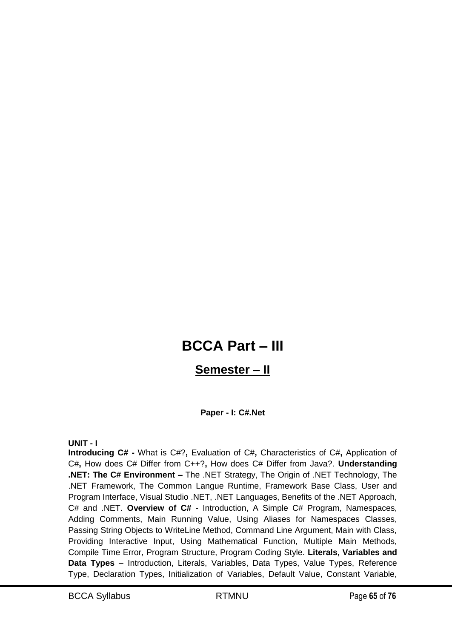# **BCCA Part – III**

# **Semester – II**

# **Paper - I: C#.Net**

**UNIT - I**

**Introducing C# -** What is C#?**,** Evaluation of C#**,** Characteristics of C#**,** Application of C#**,** How does C# Differ from C++?**,** How does C# Differ from Java?. **Understanding .NET: The C# Environment –** The .NET Strategy, The Origin of .NET Technology, The .NET Framework, The Common Langue Runtime, Framework Base Class, User and Program Interface, Visual Studio .NET, .NET Languages, Benefits of the .NET Approach, C# and .NET. **Overview of C#** - Introduction, A Simple C# Program, Namespaces, Adding Comments, Main Running Value, Using Aliases for Namespaces Classes, Passing String Objects to WriteLine Method, Command Line Argument, Main with Class, Providing Interactive Input, Using Mathematical Function, Multiple Main Methods, Compile Time Error, Program Structure, Program Coding Style. **Literals, Variables and Data Types** – Introduction, Literals, Variables, Data Types, Value Types, Reference Type, Declaration Types, Initialization of Variables, Default Value, Constant Variable,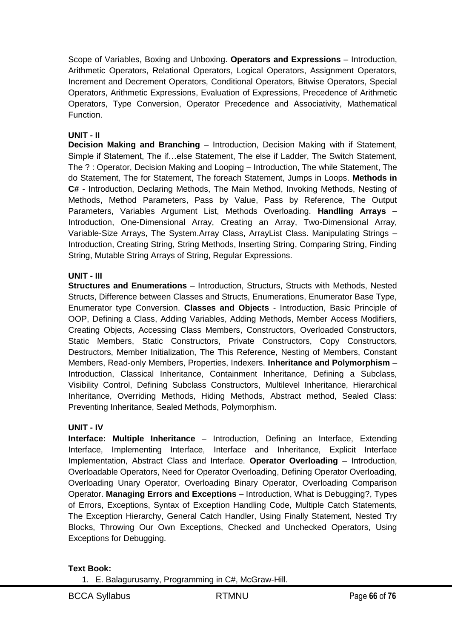Scope of Variables, Boxing and Unboxing. **Operators and Expressions** – Introduction, Arithmetic Operators, Relational Operators, Logical Operators, Assignment Operators, Increment and Decrement Operators, Conditional Operators, Bitwise Operators, Special Operators, Arithmetic Expressions, Evaluation of Expressions, Precedence of Arithmetic Operators, Type Conversion, Operator Precedence and Associativity, Mathematical Function.

# **UNIT - II**

**Decision Making and Branching** – Introduction, Decision Making with if Statement, Simple if Statement, The if…else Statement, The else if Ladder, The Switch Statement, The ? : Operator, Decision Making and Looping – Introduction, The while Statement, The do Statement, The for Statement, The foreach Statement, Jumps in Loops. **Methods in C#** - Introduction, Declaring Methods, The Main Method, Invoking Methods, Nesting of Methods, Method Parameters, Pass by Value, Pass by Reference, The Output Parameters, Variables Argument List, Methods Overloading. **Handling Arrays** – Introduction, One-Dimensional Array, Creating an Array, Two-Dimensional Array, Variable-Size Arrays, The System.Array Class, ArrayList Class. Manipulating Strings – Introduction, Creating String, String Methods, Inserting String, Comparing String, Finding String, Mutable String Arrays of String, Regular Expressions.

# **UNIT - III**

**Structures and Enumerations** – Introduction, Structurs, Structs with Methods, Nested Structs, Difference between Classes and Structs, Enumerations, Enumerator Base Type, Enumerator type Conversion. **Classes and Objects** - Introduction, Basic Principle of OOP, Defining a Class, Adding Variables, Adding Methods, Member Access Modifiers, Creating Objects, Accessing Class Members, Constructors, Overloaded Constructors, Static Members, Static Constructors, Private Constructors, Copy Constructors, Destructors, Member Initialization, The This Reference, Nesting of Members, Constant Members, Read-only Members, Properties, Indexers. **Inheritance and Polymorphism** – Introduction, Classical Inheritance, Containment Inheritance, Defining a Subclass, Visibility Control, Defining Subclass Constructors, Multilevel Inheritance, Hierarchical Inheritance, Overriding Methods, Hiding Methods, Abstract method, Sealed Class: Preventing Inheritance, Sealed Methods, Polymorphism.

# **UNIT - IV**

**Interface: Multiple Inheritance** – Introduction, Defining an Interface, Extending Interface, Implementing Interface, Interface and Inheritance, Explicit Interface Implementation, Abstract Class and Interface. **Operator Overloading** – Introduction, Overloadable Operators, Need for Operator Overloading, Defining Operator Overloading, Overloading Unary Operator, Overloading Binary Operator, Overloading Comparison Operator. **Managing Errors and Exceptions** – Introduction, What is Debugging?, Types of Errors, Exceptions, Syntax of Exception Handling Code, Multiple Catch Statements, The Exception Hierarchy, General Catch Handler, Using Finally Statement, Nested Try Blocks, Throwing Our Own Exceptions, Checked and Unchecked Operators, Using Exceptions for Debugging.

#### **Text Book:**

1. E. Balagurusamy, Programming in C#, McGraw-Hill.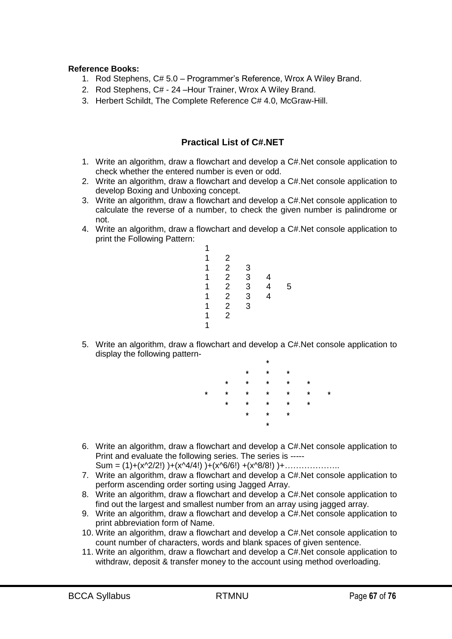#### **Reference Books:**

- 1. Rod Stephens, C# 5.0 Programmer's Reference, Wrox A Wiley Brand.
- 2. Rod Stephens, C# 24 –Hour Trainer, Wrox A Wiley Brand.
- 3. Herbert Schildt, The Complete Reference C# 4.0, McGraw-Hill.

# **Practical List of C#.NET**

- 1. Write an algorithm, draw a flowchart and develop a C#.Net console application to check whether the entered number is even or odd.
- 2. Write an algorithm, draw a flowchart and develop a C#.Net console application to develop Boxing and Unboxing concept.
- 3. Write an algorithm, draw a flowchart and develop a C#.Net console application to calculate the reverse of a number, to check the given number is palindrome or not.
- 4. Write an algorithm, draw a flowchart and develop a C#.Net console application to print the Following Pattern:

| 1            |                |               |        |   |
|--------------|----------------|---------------|--------|---|
| $\mathbf{1}$ |                | $\mathbf{3}$  |        |   |
| 1            |                | 3             | 4      |   |
| 1            | 2 2 2 2 2 2    |               | 4<br>4 | 5 |
| 1            |                | $\frac{3}{3}$ |        |   |
| 1            |                |               |        |   |
| 1            | $\overline{2}$ |               |        |   |
| 1            |                |               |        |   |

5. Write an algorithm, draw a flowchart and develop a C#.Net console application to display the following pattern-

|   |         |         | $\star$ |         |         |         |
|---|---------|---------|---------|---------|---------|---------|
|   |         | *       | $\star$ | $\star$ |         |         |
|   | $\star$ | $\star$ | $\star$ | $\star$ | $\star$ |         |
| * | $\star$ | *       | $\star$ | $\star$ | ¥       | $\star$ |
|   | $\star$ | $\star$ | $\star$ | $\star$ | $\star$ |         |
|   |         | *       | $\star$ | $\star$ |         |         |
|   |         |         | $\star$ |         |         |         |
|   |         |         |         |         |         |         |

- 6. Write an algorithm, draw a flowchart and develop a C#.Net console application to Print and evaluate the following series. The series is -----  $Sum = (1)+(x^{2}/2!))+(x^{4}/4!))+(x^{6}/6!)+(x^{8}/8!))+…$
- 7. Write an algorithm, draw a flowchart and develop a C#.Net console application to perform ascending order sorting using Jagged Array.
- 8. Write an algorithm, draw a flowchart and develop a C#.Net console application to find out the largest and smallest number from an array using jagged array.
- 9. Write an algorithm, draw a flowchart and develop a C#.Net console application to print abbreviation form of Name.
- 10. Write an algorithm, draw a flowchart and develop a C#.Net console application to count number of characters, words and blank spaces of given sentence.
- 11. Write an algorithm, draw a flowchart and develop a C#.Net console application to withdraw, deposit & transfer money to the account using method overloading.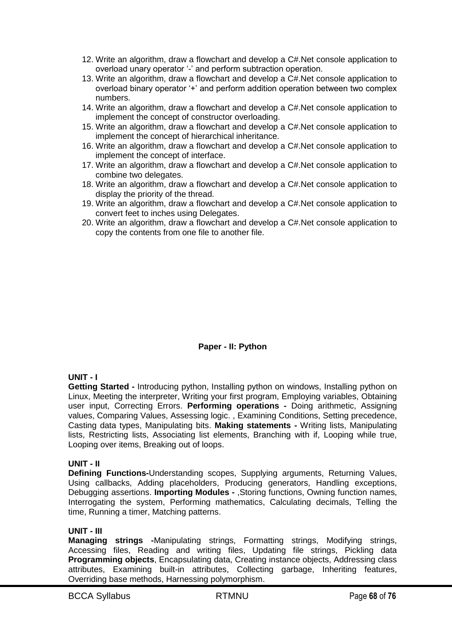- 12. Write an algorithm, draw a flowchart and develop a C#.Net console application to overload unary operator '-' and perform subtraction operation.
- 13. Write an algorithm, draw a flowchart and develop a C#.Net console application to overload binary operator ‗+' and perform addition operation between two complex numbers.
- 14. Write an algorithm, draw a flowchart and develop a C#.Net console application to implement the concept of constructor overloading.
- 15. Write an algorithm, draw a flowchart and develop a C#.Net console application to implement the concept of hierarchical inheritance.
- 16. Write an algorithm, draw a flowchart and develop a C#.Net console application to implement the concept of interface.
- 17. Write an algorithm, draw a flowchart and develop a C#.Net console application to combine two delegates.
- 18. Write an algorithm, draw a flowchart and develop a C#.Net console application to display the priority of the thread.
- 19. Write an algorithm, draw a flowchart and develop a C#.Net console application to convert feet to inches using Delegates.
- 20. Write an algorithm, draw a flowchart and develop a C#.Net console application to copy the contents from one file to another file.

# **Paper - II: Python**

#### **UNIT - I**

**Getting Started -** Introducing python, Installing python on windows, Installing python on Linux, Meeting the interpreter, Writing your first program, Employing variables, Obtaining user input, Correcting Errors. **Performing operations -** Doing arithmetic, Assigning values, Comparing Values, Assessing logic. , Examining Conditions, Setting precedence, Casting data types, Manipulating bits. **Making statements -** Writing lists, Manipulating lists, Restricting lists, Associating list elements, Branching with if, Looping while true, Looping over items, Breaking out of loops.

#### **UNIT - II**

**Defining Functions-**Understanding scopes, Supplying arguments, Returning Values, Using callbacks, Adding placeholders, Producing generators, Handling exceptions, Debugging assertions. **Importing Modules -** ,Storing functions, Owning function names, Interrogating the system, Performing mathematics, Calculating decimals, Telling the time, Running a timer, Matching patterns.

#### **UNIT - III**

**Managing strings -**Manipulating strings, Formatting strings, Modifying strings, Accessing files, Reading and writing files, Updating file strings, Pickling data **Programming objects**, Encapsulating data, Creating instance objects, Addressing class attributes, Examining built-in attributes, Collecting garbage, Inheriting features, Overriding base methods, Harnessing polymorphism.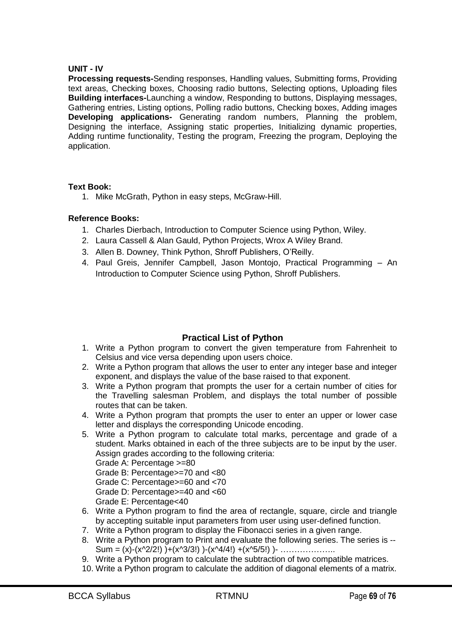# **UNIT - IV**

**Processing requests-**Sending responses, Handling values, Submitting forms, Providing text areas, Checking boxes, Choosing radio buttons, Selecting options, Uploading files **Building interfaces-**Launching a window, Responding to buttons, Displaying messages, Gathering entries, Listing options, Polling radio buttons, Checking boxes, Adding images **Developing applications-** Generating random numbers, Planning the problem, Designing the interface, Assigning static properties, Initializing dynamic properties, Adding runtime functionality, Testing the program, Freezing the program, Deploying the application.

#### **Text Book:**

1. Mike McGrath, Python in easy steps, McGraw-Hill.

#### **Reference Books:**

- 1. Charles Dierbach, Introduction to Computer Science using Python, Wiley.
- 2. Laura Cassell & Alan Gauld, Python Projects, Wrox A Wiley Brand.
- 3. Allen B. Downey, Think Python, Shroff Publishers, O'Reilly.
- 4. Paul Greis, Jennifer Campbell, Jason Montojo, Practical Programming An Introduction to Computer Science using Python, Shroff Publishers.

# **Practical List of Python**

- 1. Write a Python program to convert the given temperature from Fahrenheit to Celsius and vice versa depending upon users choice.
- 2. Write a Python program that allows the user to enter any integer base and integer exponent, and displays the value of the base raised to that exponent.
- 3. Write a Python program that prompts the user for a certain number of cities for the Travelling salesman Problem, and displays the total number of possible routes that can be taken.
- 4. Write a Python program that prompts the user to enter an upper or lower case letter and displays the corresponding Unicode encoding.
- 5. Write a Python program to calculate total marks, percentage and grade of a student. Marks obtained in each of the three subjects are to be input by the user. Assign grades according to the following criteria:

Grade A: Percentage >=80

- Grade B: Percentage>=70 and <80
- Grade C: Percentage>=60 and <70

Grade D: Percentage>=40 and <60

- Grade E: Percentage<40
- 6. Write a Python program to find the area of rectangle, square, circle and triangle by accepting suitable input parameters from user using user-defined function.
- 7. Write a Python program to display the Fibonacci series in a given range.
- 8. Write a Python program to Print and evaluate the following series. The series is -- Sum = (x)-(x^2/2!) )+(x^3/3!) )-(x^4/4!) +(x^5/5!) )- ………………….
- 9. Write a Python program to calculate the subtraction of two compatible matrices.
- 10. Write a Python program to calculate the addition of diagonal elements of a matrix.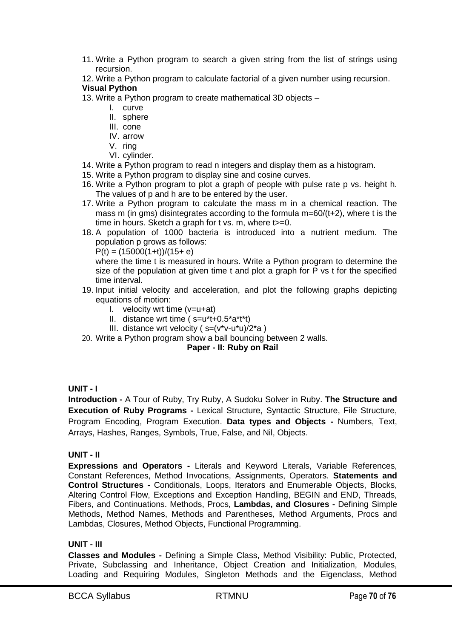- 11. Write a Python program to search a given string from the list of strings using recursion.
- 12. Write a Python program to calculate factorial of a given number using recursion.

# **Visual Python**

- 13. Write a Python program to create mathematical 3D objects
	- I. curve
	- II. sphere
	- III. cone
	- IV. arrow
	- V. ring
	- VI. cylinder.
- 14. Write a Python program to read n integers and display them as a histogram.
- 15. Write a Python program to display sine and cosine curves.
- 16. Write a Python program to plot a graph of people with pulse rate p vs. height h. The values of p and h are to be entered by the user.
- 17. Write a Python program to calculate the mass m in a chemical reaction. The mass m (in gms) disintegrates according to the formula m=60/(t+2), where t is the time in hours. Sketch a graph for t vs. m, where t>=0.
- 18. A population of 1000 bacteria is introduced into a nutrient medium. The population p grows as follows:

 $P(t) = (15000(1+t))/(15+ e)$ 

where the time t is measured in hours. Write a Python program to determine the size of the population at given time t and plot a graph for P vs t for the specified time interval.

- 19. Input initial velocity and acceleration, and plot the following graphs depicting equations of motion:
	- I. velocity wrt time  $(v=u+at)$
	- II. distance wrt time ( s=u\*t+0.5\*a\*t\*t)
	- III. distance wrt velocity ( $s=(v^*v-u^*u)/2^*a$ )
- 20. Write a Python program show a ball bouncing between 2 walls.

# **Paper - II: Ruby on Rail**

# **UNIT - I**

**Introduction -** A Tour of Ruby, Try Ruby, A Sudoku Solver in Ruby. **The Structure and Execution of Ruby Programs -** Lexical Structure, Syntactic Structure, File Structure, Program Encoding, Program Execution. **Data types and Objects -** Numbers, Text, Arrays, Hashes, Ranges, Symbols, True, False, and Nil, Objects.

# **UNIT - II**

**Expressions and Operators -** Literals and Keyword Literals, Variable References, Constant References, Method Invocations, Assignments, Operators. **Statements and Control Structures -** Conditionals, Loops, Iterators and Enumerable Objects, Blocks, Altering Control Flow, Exceptions and Exception Handling, BEGIN and END, Threads, Fibers, and Continuations. Methods, Procs, **Lambdas, and Closures -** Defining Simple Methods, Method Names, Methods and Parentheses, Method Arguments, Procs and Lambdas, Closures, Method Objects, Functional Programming.

# **UNIT - III**

**Classes and Modules -** Defining a Simple Class, Method Visibility: Public, Protected, Private, Subclassing and Inheritance, Object Creation and Initialization, Modules, Loading and Requiring Modules, Singleton Methods and the Eigenclass, Method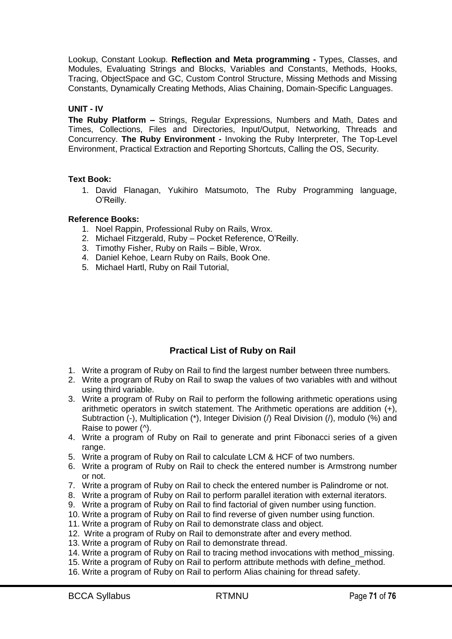Lookup, Constant Lookup. **Reflection and Meta programming -** Types, Classes, and Modules, Evaluating Strings and Blocks, Variables and Constants, Methods, Hooks, Tracing, ObjectSpace and GC, Custom Control Structure, Missing Methods and Missing Constants, Dynamically Creating Methods, Alias Chaining, Domain-Specific Languages.

#### **UNIT - IV**

**The Ruby Platform –** Strings, Regular Expressions, Numbers and Math, Dates and Times, Collections, Files and Directories, Input/Output, Networking, Threads and Concurrency. **The Ruby Environment -** Invoking the Ruby Interpreter, The Top-Level Environment, Practical Extraction and Reporting Shortcuts, Calling the OS, Security.

#### **Text Book:**

1. David Flanagan, Yukihiro Matsumoto, The Ruby Programming language, O'Reilly.

#### **Reference Books:**

- 1. Noel Rappin, Professional Ruby on Rails, Wrox.
- 2. Michael Fitzgerald, Ruby Pocket Reference, O'Reilly.
- 3. Timothy Fisher, Ruby on Rails Bible, Wrox.
- 4. Daniel Kehoe, Learn Ruby on Rails, Book One.
- 5. Michael Hartl, Ruby on Rail Tutorial,

# **Practical List of Ruby on Rail**

- 1. Write a program of Ruby on Rail to find the largest number between three numbers.
- 2. Write a program of Ruby on Rail to swap the values of two variables with and without using third variable.
- 3. Write a program of Ruby on Rail to perform the following arithmetic operations using arithmetic operators in switch statement. The Arithmetic operations are addition (+), Subtraction (-), Multiplication (\*), Integer Division (/) Real Division (/), modulo (%) and Raise to power (^).
- 4. Write a program of Ruby on Rail to generate and print Fibonacci series of a given range.
- 5. Write a program of Ruby on Rail to calculate LCM & HCF of two numbers.
- 6. Write a program of Ruby on Rail to check the entered number is Armstrong number or not.
- 7. Write a program of Ruby on Rail to check the entered number is Palindrome or not.
- 8. Write a program of Ruby on Rail to perform parallel iteration with external iterators.
- 9. Write a program of Ruby on Rail to find factorial of given number using function.
- 10. Write a program of Ruby on Rail to find reverse of given number using function.
- 11. Write a program of Ruby on Rail to demonstrate class and object.
- 12. Write a program of Ruby on Rail to demonstrate after and every method.
- 13. Write a program of Ruby on Rail to demonstrate thread.
- 14. Write a program of Ruby on Rail to tracing method invocations with method\_missing.
- 15. Write a program of Ruby on Rail to perform attribute methods with define\_method.
- 16. Write a program of Ruby on Rail to perform Alias chaining for thread safety.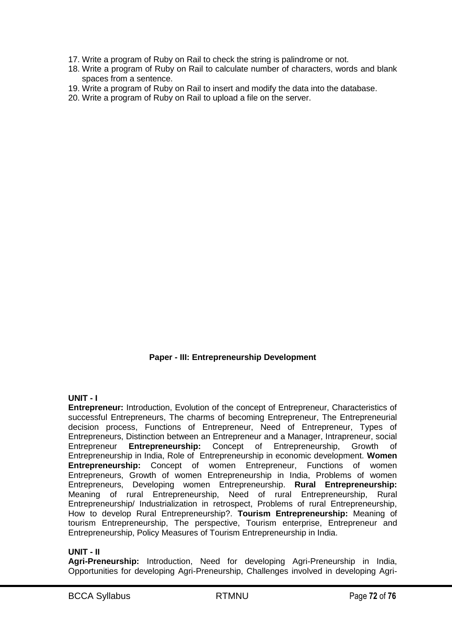- 17. Write a program of Ruby on Rail to check the string is palindrome or not.
- 18. Write a program of Ruby on Rail to calculate number of characters, words and blank spaces from a sentence.
- 19. Write a program of Ruby on Rail to insert and modify the data into the database.
- 20. Write a program of Ruby on Rail to upload a file on the server.

# **Paper - III: Entrepreneurship Development**

#### **UNIT - I**

**Entrepreneur:** Introduction, Evolution of the concept of Entrepreneur, Characteristics of successful Entrepreneurs, The charms of becoming Entrepreneur, The Entrepreneurial decision process, Functions of Entrepreneur, Need of Entrepreneur, Types of Entrepreneurs, Distinction between an Entrepreneur and a Manager, Intrapreneur, social Entrepreneur **Entrepreneurship:** Concept of Entrepreneurship, Growth of Entrepreneurship in India, Role of Entrepreneurship in economic development. **Women Entrepreneurship:** Concept of women Entrepreneur, Functions of women Entrepreneurs, Growth of women Entrepreneurship in India, Problems of women Entrepreneurs, Developing women Entrepreneurship. **Rural Entrepreneurship:** Meaning of rural Entrepreneurship, Need of rural Entrepreneurship, Rural Entrepreneurship/ Industrialization in retrospect, Problems of rural Entrepreneurship, How to develop Rural Entrepreneurship?. **Tourism Entrepreneurship:** Meaning of tourism Entrepreneurship, The perspective, Tourism enterprise, Entrepreneur and Entrepreneurship, Policy Measures of Tourism Entrepreneurship in India.

#### **UNIT - II**

**Agri-Preneurship:** Introduction, Need for developing Agri-Preneurship in India, Opportunities for developing Agri-Preneurship, Challenges involved in developing Agri-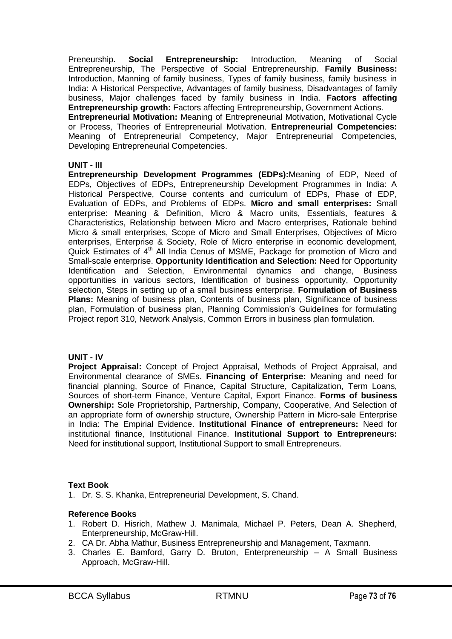Preneurship. **Social Entrepreneurship:** Introduction, Meaning of Social Entrepreneurship, The Perspective of Social Entrepreneurship. **Family Business:**  Introduction, Manning of family business, Types of family business, family business in India: A Historical Perspective, Advantages of family business, Disadvantages of family business, Major challenges faced by family business in India. **Factors affecting Entrepreneurship growth:** Factors affecting Entrepreneurship, Government Actions.

**Entrepreneurial Motivation:** Meaning of Entrepreneurial Motivation, Motivational Cycle or Process, Theories of Entrepreneurial Motivation. **Entrepreneurial Competencies:**  Meaning of Entrepreneurial Competency, Major Entrepreneurial Competencies, Developing Entrepreneurial Competencies.

### **UNIT - III**

**Entrepreneurship Development Programmes (EDPs):**Meaning of EDP, Need of EDPs, Objectives of EDPs, Entrepreneurship Development Programmes in India: A Historical Perspective, Course contents and curriculum of EDPs, Phase of EDP, Evaluation of EDPs, and Problems of EDPs. **Micro and small enterprises:** Small enterprise: Meaning & Definition, Micro & Macro units, Essentials, features & Characteristics, Relationship between Micro and Macro enterprises, Rationale behind Micro & small enterprises, Scope of Micro and Small Enterprises, Objectives of Micro enterprises, Enterprise & Society, Role of Micro enterprise in economic development, Quick Estimates of 4<sup>th</sup> All India Cenus of MSME, Package for promotion of Micro and Small-scale enterprise. **Opportunity Identification and Selection:** Need for Opportunity Identification and Selection, Environmental dynamics and change, Business opportunities in various sectors, Identification of business opportunity, Opportunity selection, Steps in setting up of a small business enterprise. **Formulation of Business Plans:** Meaning of business plan, Contents of business plan, Significance of business plan, Formulation of business plan, Planning Commission's Guidelines for formulating Project report 310, Network Analysis, Common Errors in business plan formulation.

#### **UNIT - IV**

**Project Appraisal:** Concept of Project Appraisal, Methods of Project Appraisal, and Environmental clearance of SMEs. **Financing of Enterprise:** Meaning and need for financial planning, Source of Finance, Capital Structure, Capitalization, Term Loans, Sources of short-term Finance, Venture Capital, Export Finance. **Forms of business Ownership:** Sole Proprietorship, Partnership, Company, Cooperative, And Selection of an appropriate form of ownership structure, Ownership Pattern in Micro-sale Enterprise in India: The Empirial Evidence. **Institutional Finance of entrepreneurs:** Need for institutional finance, Institutional Finance. **Institutional Support to Entrepreneurs:**  Need for institutional support, Institutional Support to small Entrepreneurs.

## **Text Book**

1. Dr. S. S. Khanka, Entrepreneurial Development, S. Chand.

## **Reference Books**

- 1. Robert D. Hisrich, Mathew J. Manimala, Michael P. Peters, Dean A. Shepherd, Enterpreneurship, McGraw-Hill.
- 2. CA Dr. Abha Mathur, Business Entrepreneurship and Management, Taxmann.
- 3. Charles E. Bamford, Garry D. Bruton, Enterpreneurship A Small Business Approach, McGraw-Hill.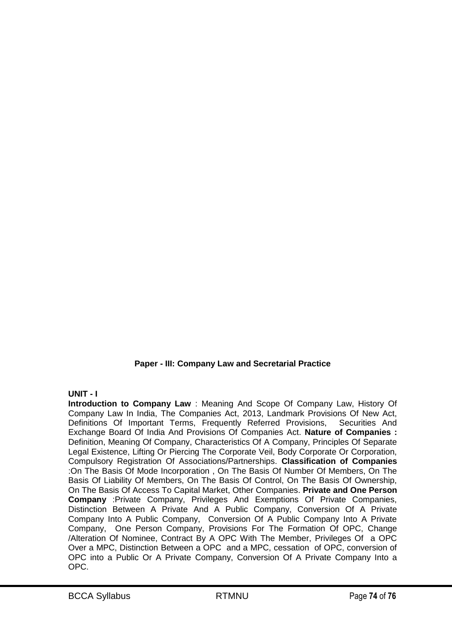# **Paper - III: Company Law and Secretarial Practice**

## **UNIT - I**

**Introduction to Company Law** : Meaning And Scope Of Company Law, History Of Company Law In India, The Companies Act, 2013, Landmark Provisions Of New Act, Definitions Of Important Terms, Frequently Referred Provisions, Securities And Exchange Board Of India And Provisions Of Companies Act. **Nature of Companies :** Definition, Meaning Of Company, Characteristics Of A Company, Principles Of Separate Legal Existence, Lifting Or Piercing The Corporate Veil, Body Corporate Or Corporation, Compulsory Registration Of Associations/Partnerships. **Classification of Companies** :On The Basis Of Mode Incorporation , On The Basis Of Number Of Members, On The Basis Of Liability Of Members, On The Basis Of Control, On The Basis Of Ownership, On The Basis Of Access To Capital Market, Other Companies. **Private and One Person Company** :Private Company, Privileges And Exemptions Of Private Companies, Distinction Between A Private And A Public Company, Conversion Of A Private Company Into A Public Company, Conversion Of A Public Company Into A Private Company, One Person Company, Provisions For The Formation Of OPC, Change /Alteration Of Nominee, Contract By A OPC With The Member, Privileges Of a OPC Over a MPC, Distinction Between a OPC and a MPC, cessation of OPC, conversion of OPC into a Public Or A Private Company, Conversion Of A Private Company Into a OPC.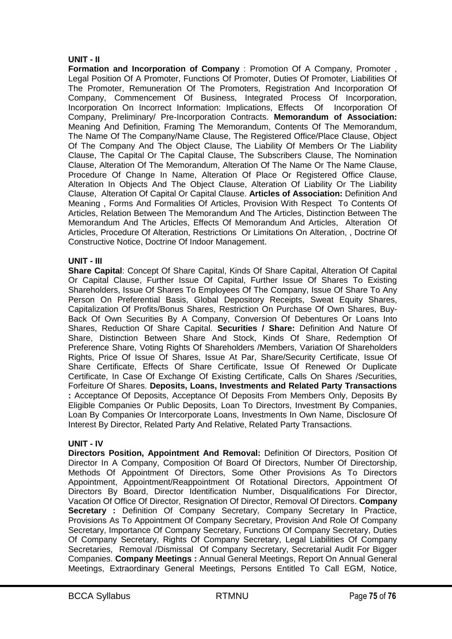#### **UNIT - II**

**Formation and Incorporation of Company** : Promotion Of A Company, Promoter , Legal Position Of A Promoter, Functions Of Promoter, Duties Of Promoter, Liabilities Of The Promoter, Remuneration Of The Promoters, Registration And Incorporation Of Company, Commencement Of Business, Integrated Process Of Incorporation, Incorporation On Incorrect Information: Implications, Effects Of Incorporation Of Company, Preliminary/ Pre-Incorporation Contracts. **Memorandum of Association:** Meaning And Definition, Framing The Memorandum, Contents Of The Memorandum, The Name Of The Company/Name Clause, The Registered Office/Place Clause, Object Of The Company And The Object Clause, The Liability Of Members Or The Liability Clause, The Capital Or The Capital Clause, The Subscribers Clause, The Nomination Clause, Alteration Of The Memorandum, Alteration Of The Name Or The Name Clause, Procedure Of Change In Name, Alteration Of Place Or Registered Office Clause, Alteration In Objects And The Object Clause, Alteration Of Liability Or The Liability Clause, Alteration Of Capital Or Capital Clause. **Articles of Association:** Definition And Meaning , Forms And Formalities Of Articles, Provision With Respect To Contents Of Articles, Relation Between The Memorandum And The Articles, Distinction Between The Memorandum And The Articles, Effects Of Memorandum And Articles, Alteration Of Articles, Procedure Of Alteration, Restrictions Or Limitations On Alteration, , Doctrine Of Constructive Notice, Doctrine Of Indoor Management.

### **UNIT - III**

**Share Capital**: Concept Of Share Capital, Kinds Of Share Capital, Alteration Of Capital Or Capital Clause, Further Issue Of Capital, Further Issue Of Shares To Existing Shareholders, Issue Of Shares To Employees Of The Company, Issue Of Share To Any Person On Preferential Basis, Global Depository Receipts, Sweat Equity Shares, Capitalization Of Profits/Bonus Shares, Restriction On Purchase Of Own Shares, Buy-Back Of Own Securities By A Company, Conversion Of Debentures Or Loans Into Shares, Reduction Of Share Capital. **Securities / Share:** Definition And Nature Of Share, Distinction Between Share And Stock, Kinds Of Share, Redemption Of Preference Share, Voting Rights Of Shareholders /Members, Variation Of Shareholders Rights, Price Of Issue Of Shares, Issue At Par, Share/Security Certificate, Issue Of Share Certificate, Effects Of Share Certificate, Issue Of Renewed Or Duplicate Certificate, In Case Of Exchange Of Existing Certificate, Calls On Shares /Securities, Forfeiture Of Shares. **Deposits, Loans, Investments and Related Party Transactions :** Acceptance Of Deposits, Acceptance Of Deposits From Members Only, Deposits By Eligible Companies Or Public Deposits, Loan To Directors, Investment By Companies, Loan By Companies Or Intercorporate Loans, Investments In Own Name, Disclosure Of Interest By Director, Related Party And Relative, Related Party Transactions.

#### **UNIT - IV**

**Directors Position, Appointment And Removal:** Definition Of Directors, Position Of Director In A Company, Composition Of Board Of Directors, Number Of Directorship, Methods Of Appointment Of Directors, Some Other Provisions As To Directors Appointment, Appointment/Reappointment Of Rotational Directors, Appointment Of Directors By Board, Director Identification Number, Disqualifications For Director, Vacation Of Office Of Director, Resignation Of Director, Removal Of Directors. **Company Secretary :** Definition Of Company Secretary, Company Secretary In Practice, Provisions As To Appointment Of Company Secretary, Provision And Role Of Company Secretary, Importance Of Company Secretary, Functions Of Company Secretary, Duties Of Company Secretary, Rights Of Company Secretary, Legal Liabilities Of Company Secretaries, Removal /Dismissal Of Company Secretary, Secretarial Audit For Bigger Companies. **Company Meetings :** Annual General Meetings, Report On Annual General Meetings, Extraordinary General Meetings, Persons Entitled To Call EGM, Notice,